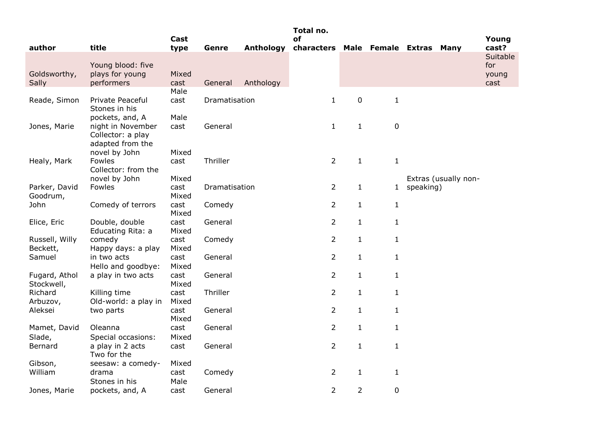|                |                                   |               |               |                  | Total no.                          |                |              |           |                      |                   |
|----------------|-----------------------------------|---------------|---------------|------------------|------------------------------------|----------------|--------------|-----------|----------------------|-------------------|
|                |                                   | Cast          |               |                  | of                                 |                |              |           |                      | Young             |
| author         | title                             | type          | Genre         | <b>Anthology</b> | characters Male Female Extras Many |                |              |           |                      | cast?<br>Suitable |
|                | Young blood: five                 |               |               |                  |                                    |                |              |           |                      | for               |
| Goldsworthy,   | plays for young                   | Mixed         |               |                  |                                    |                |              |           |                      | young             |
| Sally          | performers                        | cast          | General       | Anthology        |                                    |                |              |           |                      | cast              |
|                |                                   | Male          |               |                  |                                    |                |              |           |                      |                   |
| Reade, Simon   | Private Peaceful                  | cast          | Dramatisation |                  | $\mathbf{1}$                       | $\mathbf 0$    | $\mathbf{1}$ |           |                      |                   |
|                | Stones in his                     |               |               |                  |                                    |                |              |           |                      |                   |
|                | pockets, and, A                   | Male          |               |                  |                                    |                |              |           |                      |                   |
| Jones, Marie   | night in November                 | cast          | General       |                  | $\mathbf{1}$                       | $\mathbf{1}$   | $\pmb{0}$    |           |                      |                   |
|                | Collector: a play                 |               |               |                  |                                    |                |              |           |                      |                   |
|                | adapted from the                  |               |               |                  |                                    |                |              |           |                      |                   |
| Healy, Mark    | novel by John<br>Fowles           | Mixed<br>cast | Thriller      |                  | $\overline{2}$                     | $\mathbf{1}$   | $\mathbf{1}$ |           |                      |                   |
|                | Collector: from the               |               |               |                  |                                    |                |              |           |                      |                   |
|                | novel by John                     | Mixed         |               |                  |                                    |                |              |           | Extras (usually non- |                   |
| Parker, David  | Fowles                            | cast          | Dramatisation |                  | $\overline{2}$                     | $\mathbf{1}$   | 1            | speaking) |                      |                   |
| Goodrum,       |                                   | Mixed         |               |                  |                                    |                |              |           |                      |                   |
| John           | Comedy of terrors                 | cast          | Comedy        |                  | $\overline{2}$                     | $\mathbf{1}$   | $\mathbf{1}$ |           |                      |                   |
|                |                                   | Mixed         |               |                  |                                    |                |              |           |                      |                   |
| Elice, Eric    | Double, double                    | cast          | General       |                  | $\overline{2}$                     | $\mathbf{1}$   | $\mathbf{1}$ |           |                      |                   |
|                | Educating Rita: a                 | Mixed         |               |                  |                                    |                |              |           |                      |                   |
| Russell, Willy | comedy                            | cast          | Comedy        |                  | $\overline{2}$                     | $\mathbf{1}$   | $\mathbf{1}$ |           |                      |                   |
| Beckett,       | Happy days: a play                | Mixed         |               |                  | $\overline{2}$                     |                |              |           |                      |                   |
| Samuel         | in two acts<br>Hello and goodbye: | cast<br>Mixed | General       |                  |                                    | $\mathbf{1}$   | $\mathbf{1}$ |           |                      |                   |
| Fugard, Athol  | a play in two acts                | cast          | General       |                  | $\overline{2}$                     | $\mathbf{1}$   | $\mathbf{1}$ |           |                      |                   |
| Stockwell,     |                                   | Mixed         |               |                  |                                    |                |              |           |                      |                   |
| Richard        | Killing time                      | cast          | Thriller      |                  | $\overline{2}$                     | $\mathbf{1}$   | $\mathbf{1}$ |           |                      |                   |
| Arbuzov,       | Old-world: a play in              | Mixed         |               |                  |                                    |                |              |           |                      |                   |
| Aleksei        | two parts                         | cast          | General       |                  | $\overline{2}$                     | $\mathbf{1}$   | $\mathbf{1}$ |           |                      |                   |
|                |                                   | Mixed         |               |                  |                                    |                |              |           |                      |                   |
| Mamet, David   | Oleanna                           | cast          | General       |                  | $\overline{2}$                     | $\mathbf{1}$   | $\mathbf{1}$ |           |                      |                   |
| Slade,         | Special occasions:                | Mixed         |               |                  |                                    |                |              |           |                      |                   |
| Bernard        | a play in 2 acts                  | cast          | General       |                  | $\overline{2}$                     | $\mathbf{1}$   | $\mathbf{1}$ |           |                      |                   |
|                | Two for the                       |               |               |                  |                                    |                |              |           |                      |                   |
| Gibson,        | seesaw: a comedy-                 | Mixed         |               |                  |                                    |                |              |           |                      |                   |
| William        | drama                             | cast          | Comedy        |                  | $\overline{2}$                     | $\mathbf{1}$   | $\mathbf{1}$ |           |                      |                   |
|                | Stones in his                     | Male          |               |                  | $\overline{2}$                     |                |              |           |                      |                   |
| Jones, Marie   | pockets, and, A                   | cast          | General       |                  |                                    | $\overline{2}$ | $\pmb{0}$    |           |                      |                   |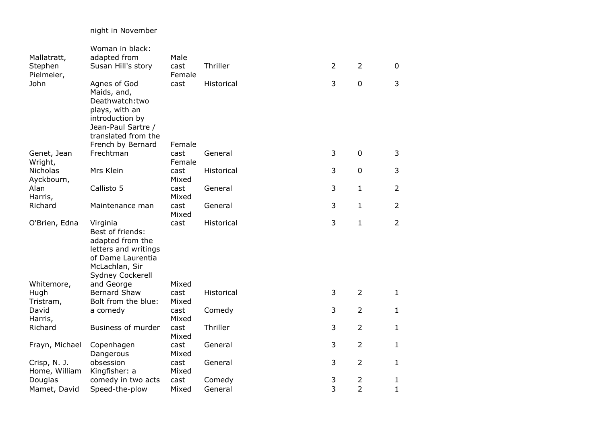## night in November

|                    | Woman in black:             |               |            |                |                |                |
|--------------------|-----------------------------|---------------|------------|----------------|----------------|----------------|
| Mallatratt,        | adapted from                | Male          |            |                |                |                |
| Stephen            | Susan Hill's story          | cast          | Thriller   | $\overline{2}$ | $\overline{2}$ | $\mathbf 0$    |
| Pielmeier,         |                             | Female        |            | 3              | $\mathbf 0$    | 3              |
| John               | Agnes of God<br>Maids, and, | cast          | Historical |                |                |                |
|                    | Deathwatch:two              |               |            |                |                |                |
|                    | plays, with an              |               |            |                |                |                |
|                    | introduction by             |               |            |                |                |                |
|                    | Jean-Paul Sartre /          |               |            |                |                |                |
|                    | translated from the         |               |            |                |                |                |
|                    | French by Bernard           | Female        |            |                |                |                |
| Genet, Jean        | Frechtman                   | cast          | General    | 3              | $\mathbf 0$    | 3              |
| Wright,            |                             | Female        |            |                |                |                |
| Nicholas           | Mrs Klein                   | cast          | Historical | 3              | $\mathbf 0$    | 3              |
| Ayckbourn,         |                             | Mixed         |            |                |                |                |
| Alan               | Callisto 5                  | cast<br>Mixed | General    | 3              | $\mathbf{1}$   | $\overline{2}$ |
| Harris,<br>Richard | Maintenance man             | cast          | General    | 3              | $\mathbf{1}$   | $\overline{2}$ |
|                    |                             | Mixed         |            |                |                |                |
| O'Brien, Edna      | Virginia                    | cast          | Historical | 3              | $\mathbf{1}$   | $\overline{2}$ |
|                    | Best of friends:            |               |            |                |                |                |
|                    | adapted from the            |               |            |                |                |                |
|                    | letters and writings        |               |            |                |                |                |
|                    | of Dame Laurentia           |               |            |                |                |                |
|                    | McLachlan, Sir              |               |            |                |                |                |
|                    | <b>Sydney Cockerell</b>     |               |            |                |                |                |
| Whitemore,         | and George                  | Mixed         |            |                |                |                |
| Hugh               | <b>Bernard Shaw</b>         | cast          | Historical | 3              | $\overline{2}$ | $\mathbf{1}$   |
| Tristram,          | Bolt from the blue:         | Mixed         |            | 3              | $\overline{2}$ | $\mathbf{1}$   |
| David<br>Harris,   | a comedy                    | cast<br>Mixed | Comedy     |                |                |                |
| Richard            | Business of murder          | cast          | Thriller   | 3              | $\overline{2}$ | $\mathbf{1}$   |
|                    |                             | Mixed         |            |                |                |                |
| Frayn, Michael     | Copenhagen                  | cast          | General    | 3              | $\overline{2}$ | $\mathbf{1}$   |
|                    | Dangerous                   | Mixed         |            |                |                |                |
| Crisp, N. J.       | obsession                   | cast          | General    | 3              | $\overline{2}$ | $\mathbf{1}$   |
| Home, William      | Kingfisher: a               | Mixed         |            |                |                |                |
| Douglas            | comedy in two acts          | cast          | Comedy     | 3              | $\overline{2}$ | $\mathbf{1}$   |
| Mamet, David       | Speed-the-plow              | Mixed         | General    | 3              | $\overline{2}$ | $\mathbf{1}$   |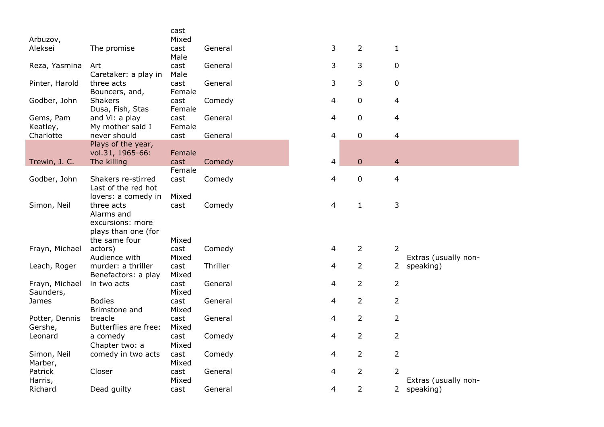|                |                                           | cast   |          |   |                |                |                      |
|----------------|-------------------------------------------|--------|----------|---|----------------|----------------|----------------------|
| Arbuzov,       |                                           | Mixed  |          |   |                |                |                      |
| Aleksei        | The promise                               | cast   | General  | 3 | $\overline{2}$ | $\mathbf{1}$   |                      |
|                |                                           | Male   |          |   |                |                |                      |
| Reza, Yasmina  | Art                                       | cast   | General  | 3 | 3              | $\mathbf 0$    |                      |
|                | Caretaker: a play in                      | Male   |          |   |                |                |                      |
| Pinter, Harold | three acts                                | cast   | General  | 3 | 3              | $\mathbf 0$    |                      |
|                | Bouncers, and,                            | Female |          |   |                |                |                      |
| Godber, John   | Shakers                                   | cast   | Comedy   | 4 | $\pmb{0}$      | $\overline{4}$ |                      |
|                | Dusa, Fish, Stas                          | Female |          |   |                |                |                      |
| Gems, Pam      | and Vi: a play                            | cast   | General  | 4 | $\pmb{0}$      | $\overline{4}$ |                      |
| Keatley,       | My mother said I                          | Female |          |   |                |                |                      |
| Charlotte      | never should                              | cast   | General  | 4 | $\pmb{0}$      | $\overline{4}$ |                      |
|                | Plays of the year,                        |        |          |   |                |                |                      |
|                | vol.31, 1965-66:                          | Female |          |   |                |                |                      |
| Trewin, J. C.  | The killing                               | cast   | Comedy   | 4 | $\pmb{0}$      | $\overline{4}$ |                      |
|                |                                           | Female |          |   |                |                |                      |
| Godber, John   | Shakers re-stirred<br>Last of the red hot | cast   | Comedy   | 4 | $\pmb{0}$      | $\overline{4}$ |                      |
|                |                                           |        |          |   |                |                |                      |
|                | lovers: a comedy in<br>three acts         | Mixed  |          |   |                | 3              |                      |
| Simon, Neil    | Alarms and                                | cast   | Comedy   | 4 | $\mathbf{1}$   |                |                      |
|                | excursions: more                          |        |          |   |                |                |                      |
|                | plays than one (for                       |        |          |   |                |                |                      |
|                | the same four                             | Mixed  |          |   |                |                |                      |
| Frayn, Michael | actors)                                   | cast   | Comedy   | 4 | $\overline{2}$ | $\overline{2}$ |                      |
|                | Audience with                             | Mixed  |          |   |                |                | Extras (usually non- |
| Leach, Roger   | murder: a thriller                        | cast   | Thriller | 4 | $\overline{2}$ |                | 2 speaking)          |
|                | Benefactors: a play                       | Mixed  |          |   |                |                |                      |
| Frayn, Michael | in two acts                               | cast   | General  | 4 | $\overline{2}$ | $\overline{2}$ |                      |
| Saunders,      |                                           | Mixed  |          |   |                |                |                      |
| James          | <b>Bodies</b>                             | cast   | General  | 4 | $\overline{2}$ | $\overline{2}$ |                      |
|                | Brimstone and                             | Mixed  |          |   |                |                |                      |
| Potter, Dennis | treacle                                   | cast   | General  | 4 | $\overline{2}$ | $\overline{2}$ |                      |
| Gershe,        | Butterflies are free:                     | Mixed  |          |   |                |                |                      |
| Leonard        | a comedy                                  | cast   | Comedy   | 4 | $\overline{2}$ | $\overline{2}$ |                      |
|                | Chapter two: a                            | Mixed  |          |   |                |                |                      |
| Simon, Neil    | comedy in two acts                        | cast   | Comedy   | 4 | $\overline{2}$ | $\overline{2}$ |                      |
| Marber,        |                                           | Mixed  |          |   |                |                |                      |
| Patrick        | Closer                                    | cast   | General  | 4 | $\overline{2}$ | $\overline{2}$ |                      |
| Harris,        |                                           | Mixed  |          |   |                |                | Extras (usually non- |
| Richard        | Dead guilty                               | cast   | General  | 4 | $\overline{2}$ | $2^{\circ}$    | speaking)            |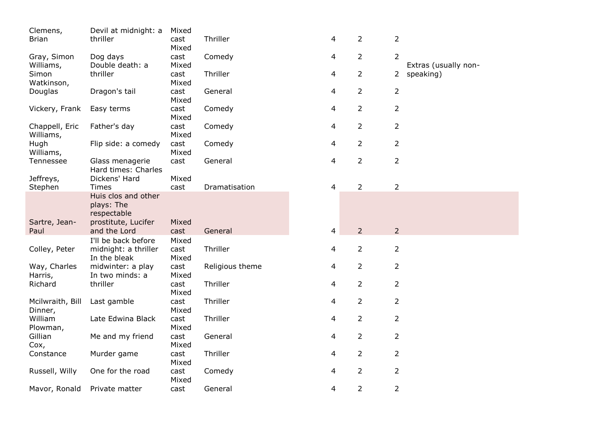| Clemens,           | Devil at midnight: a                 | Mixed         |                 |   |                |                |                      |
|--------------------|--------------------------------------|---------------|-----------------|---|----------------|----------------|----------------------|
| <b>Brian</b>       | thriller                             | cast          | Thriller        | 4 | $\overline{2}$ | $\overline{2}$ |                      |
|                    |                                      | Mixed         |                 |   |                |                |                      |
| Gray, Simon        | Dog days                             | cast          | Comedy          | 4 | $\overline{2}$ | 2              |                      |
| Williams,          | Double death: a                      | Mixed         |                 |   |                |                | Extras (usually non- |
| Simon              | thriller                             | cast          | Thriller        | 4 | $\overline{2}$ | $2^{\circ}$    | speaking)            |
| Watkinson,         |                                      | Mixed         |                 |   |                |                |                      |
| Douglas            | Dragon's tail                        | cast          | General         | 4 | $\overline{2}$ | $\overline{2}$ |                      |
|                    |                                      | Mixed         |                 |   |                |                |                      |
| Vickery, Frank     | Easy terms                           | cast          | Comedy          | 4 | $\overline{2}$ | $\overline{2}$ |                      |
|                    |                                      | Mixed         |                 |   |                |                |                      |
| Chappell, Eric     | Father's day                         | cast          | Comedy          | 4 | $\overline{2}$ | $\overline{2}$ |                      |
| Williams,          |                                      | Mixed         |                 |   |                |                |                      |
| Hugh               | Flip side: a comedy                  | cast          | Comedy          | 4 | $\overline{2}$ | $\overline{2}$ |                      |
| Williams,          |                                      | Mixed         |                 |   |                |                |                      |
| Tennessee          | Glass menagerie                      | cast          | General         | 4 | $\overline{2}$ | $\overline{2}$ |                      |
|                    | Hard times: Charles                  |               |                 |   |                |                |                      |
| Jeffreys,          | Dickens' Hard                        | Mixed         |                 |   |                |                |                      |
| Stephen            | <b>Times</b>                         | cast          | Dramatisation   | 4 | $\overline{2}$ | $\overline{2}$ |                      |
|                    | Huis clos and other                  |               |                 |   |                |                |                      |
|                    | plays: The                           |               |                 |   |                |                |                      |
|                    | respectable                          |               |                 |   |                |                |                      |
| Sartre, Jean-      | prostitute, Lucifer                  | Mixed         |                 |   |                |                |                      |
| Paul               | and the Lord                         | cast          | General         | 4 | $\overline{2}$ | $\overline{2}$ |                      |
|                    | I'll be back before                  | Mixed         |                 |   |                |                |                      |
|                    |                                      | cast          | Thriller        |   | $\overline{2}$ | $\overline{2}$ |                      |
| Colley, Peter      | midnight: a thriller<br>In the bleak | Mixed         |                 | 4 |                |                |                      |
| Way, Charles       | midwinter: a play                    | cast          | Religious theme | 4 | $\overline{2}$ | $\overline{2}$ |                      |
|                    | In two minds: a                      | Mixed         |                 |   |                |                |                      |
| Harris,<br>Richard | thriller                             | cast          | Thriller        | 4 | $\overline{2}$ | $\overline{2}$ |                      |
|                    |                                      |               |                 |   |                |                |                      |
| Mcilwraith, Bill   | Last gamble                          | Mixed<br>cast | Thriller        | 4 | $\overline{2}$ | $\overline{2}$ |                      |
|                    |                                      |               |                 |   |                |                |                      |
| Dinner,<br>William |                                      | Mixed         | Thriller        |   |                |                |                      |
|                    | Late Edwina Black                    | cast          |                 | 4 | 2              | $\overline{2}$ |                      |
| Plowman,           |                                      | Mixed         |                 |   |                |                |                      |
| Gillian            | Me and my friend                     | cast          | General         | 4 | $\overline{2}$ | $\overline{2}$ |                      |
| Cox,               |                                      | Mixed         |                 |   |                |                |                      |
| Constance          | Murder game                          | cast          | Thriller        | 4 | $\overline{2}$ | $\overline{2}$ |                      |
|                    |                                      | Mixed         |                 |   |                |                |                      |
| Russell, Willy     | One for the road                     | cast          | Comedy          | 4 | $\overline{2}$ | $\overline{2}$ |                      |
|                    |                                      | Mixed         |                 |   |                |                |                      |
| Mavor, Ronald      | Private matter                       | cast          | General         | 4 | $\overline{2}$ | $\overline{2}$ |                      |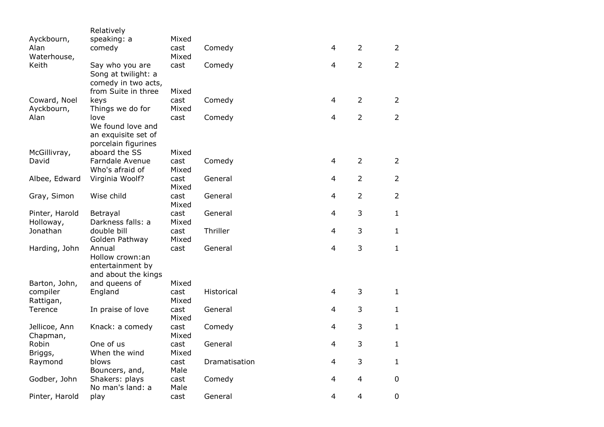|                    | Relatively                    |               |               |                |                |                |
|--------------------|-------------------------------|---------------|---------------|----------------|----------------|----------------|
| Ayckbourn,         | speaking: a                   | Mixed         |               |                |                |                |
| Alan               | comedy                        | cast          | Comedy        | $\overline{4}$ | 2              | $\overline{2}$ |
| Waterhouse,        |                               | Mixed         |               |                |                |                |
| Keith              | Say who you are               | cast          | Comedy        | $\overline{4}$ | $\overline{2}$ | $\overline{2}$ |
|                    | Song at twilight: a           |               |               |                |                |                |
|                    | comedy in two acts,           |               |               |                |                |                |
| Coward, Noel       | from Suite in three<br>keys   | Mixed<br>cast | Comedy        | $\overline{4}$ | $\overline{2}$ | $\overline{2}$ |
| Ayckbourn,         | Things we do for              | Mixed         |               |                |                |                |
| Alan               | love                          | cast          | Comedy        | $\overline{4}$ | $\overline{2}$ | $\overline{2}$ |
|                    | We found love and             |               |               |                |                |                |
|                    | an exquisite set of           |               |               |                |                |                |
|                    | porcelain figurines           |               |               |                |                |                |
| McGillivray,       | aboard the SS                 | Mixed         |               |                |                |                |
| David              | Farndale Avenue               | cast          | Comedy        | $\overline{4}$ | $\overline{2}$ | $\overline{2}$ |
|                    | Who's afraid of               | Mixed         |               |                |                |                |
| Albee, Edward      | Virginia Woolf?               | cast          | General       | 4              | $\overline{2}$ | $\overline{2}$ |
|                    |                               | Mixed         |               |                |                |                |
| Gray, Simon        | Wise child                    | cast          | General       | 4              | $\overline{2}$ | $\overline{2}$ |
|                    |                               | Mixed         |               |                |                |                |
| Pinter, Harold     | Betrayal                      | cast          | General       | $\overline{4}$ | 3              | $\mathbf{1}$   |
| Holloway,          | Darkness falls: a             | Mixed         | Thriller      |                | 3              | $\mathbf{1}$   |
| Jonathan           | double bill<br>Golden Pathway | cast<br>Mixed |               | 4              |                |                |
| Harding, John      | Annual                        | cast          | General       | $\overline{4}$ | 3              | $\mathbf{1}$   |
|                    | Hollow crown:an               |               |               |                |                |                |
|                    | entertainment by              |               |               |                |                |                |
|                    | and about the kings           |               |               |                |                |                |
| Barton, John,      | and queens of                 | Mixed         |               |                |                |                |
| compiler           | England                       | cast          | Historical    | $\overline{4}$ | 3              | $\mathbf{1}$   |
| Rattigan,          |                               | Mixed         |               |                |                |                |
| Terence            | In praise of love             | cast          | General       | 4              | 3              | $\mathbf{1}$   |
|                    |                               | Mixed         |               |                |                |                |
| Jellicoe, Ann      | Knack: a comedy               | cast          | Comedy        | $\overline{4}$ | 3              | $\mathbf{1}$   |
| Chapman,           |                               | Mixed         |               |                |                |                |
| Robin              | One of us                     | cast          | General       | $\overline{4}$ | 3              | $\mathbf{1}$   |
| Briggs,<br>Raymond | When the wind<br>blows        | Mixed<br>cast | Dramatisation | $\overline{4}$ | 3              | $\mathbf{1}$   |
|                    | Bouncers, and,                | Male          |               |                |                |                |
| Godber, John       | Shakers: plays                | cast          | Comedy        | 4              | 4              | $\mathbf 0$    |
|                    | No man's land: a              | Male          |               |                |                |                |
| Pinter, Harold     | play                          | cast          | General       | 4              | 4              | $\pmb{0}$      |
|                    |                               |               |               |                |                |                |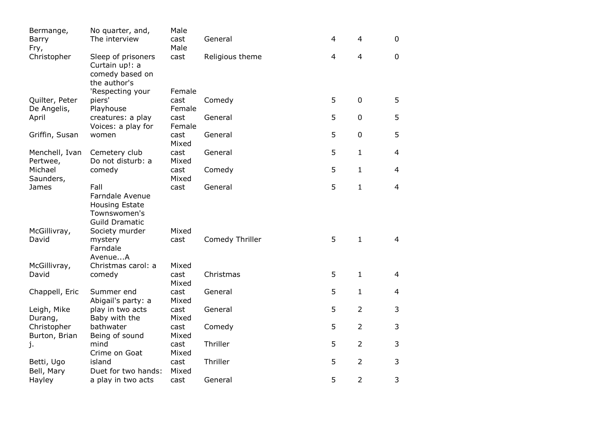| Bermange,                    | No quarter, and,                                                                         | Male           |                 |                |                |                |
|------------------------------|------------------------------------------------------------------------------------------|----------------|-----------------|----------------|----------------|----------------|
| Barry                        | The interview                                                                            | cast           | General         | 4              | $\overline{4}$ | $\mathbf 0$    |
| Fry,                         |                                                                                          | Male           |                 |                |                |                |
| Christopher                  | Sleep of prisoners<br>Curtain up!: a<br>comedy based on<br>the author's                  | cast           | Religious theme | $\overline{4}$ | $\overline{4}$ | $\overline{0}$ |
|                              | 'Respecting your                                                                         | Female         |                 |                |                |                |
| Quilter, Peter               | piers'                                                                                   | cast           | Comedy          | 5              | $\mathbf 0$    | 5              |
| De Angelis,                  | Playhouse                                                                                | Female         |                 |                |                |                |
| April                        | creatures: a play<br>Voices: a play for                                                  | cast<br>Female | General         | 5              | $\mathbf 0$    | 5              |
| Griffin, Susan               | women                                                                                    | cast<br>Mixed  | General         | 5              | $\mathbf 0$    | 5              |
| Menchell, Ivan               | Cemetery club                                                                            | cast           | General         | 5              | $\mathbf{1}$   | 4              |
| Pertwee,                     | Do not disturb: a                                                                        | Mixed          |                 |                |                |                |
| Michael<br>Saunders,         | comedy                                                                                   | cast<br>Mixed  | Comedy          | 5              | $\mathbf{1}$   | 4              |
| James                        | Fall                                                                                     | cast           | General         | 5              | $\mathbf{1}$   | $\overline{4}$ |
|                              | <b>Farndale Avenue</b><br><b>Housing Estate</b><br>Townswomen's<br><b>Guild Dramatic</b> |                |                 |                |                |                |
| McGillivray,                 | Society murder                                                                           | Mixed          |                 |                |                |                |
| David                        | mystery<br>Farndale<br>AvenueA                                                           | cast           | Comedy Thriller | 5              | $\mathbf 1$    | 4              |
| McGillivray,                 | Christmas carol: a                                                                       | Mixed          |                 |                |                |                |
| David                        | comedy                                                                                   | cast<br>Mixed  | Christmas       | 5              | $\mathbf{1}$   | 4              |
| Chappell, Eric               | Summer end<br>Abigail's party: a                                                         | cast<br>Mixed  | General         | 5              | $\mathbf{1}$   | 4              |
| Leigh, Mike<br>Durang,       | play in two acts<br>Baby with the                                                        | cast<br>Mixed  | General         | 5              | $\overline{2}$ | 3              |
| Christopher<br>Burton, Brian | bathwater<br>Being of sound                                                              | cast<br>Mixed  | Comedy          | 5              | $\overline{2}$ | 3              |
| j.                           | mind<br>Crime on Goat                                                                    | cast<br>Mixed  | Thriller        | 5              | $\overline{2}$ | 3              |
| Betti, Ugo                   | island                                                                                   | cast           | Thriller        | 5              | $\overline{2}$ | 3              |
| Bell, Mary<br>Hayley         | Duet for two hands:<br>a play in two acts                                                | Mixed<br>cast  | General         | 5              | $\overline{2}$ | 3              |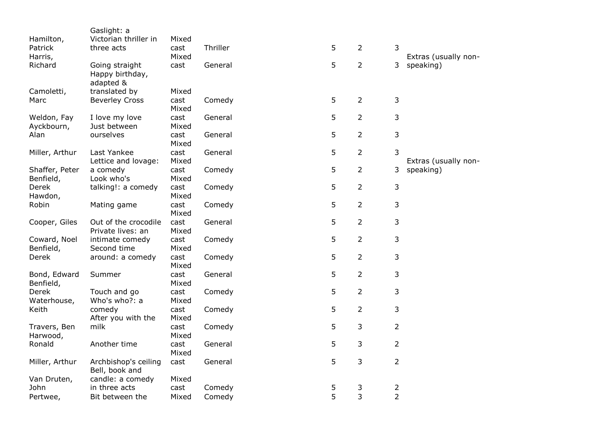|                | Gaslight: a                       |       |          |   |                |                |                      |
|----------------|-----------------------------------|-------|----------|---|----------------|----------------|----------------------|
| Hamilton,      | Victorian thriller in             | Mixed |          |   |                |                |                      |
| Patrick        | three acts                        | cast  | Thriller | 5 | $\overline{2}$ | 3              |                      |
| Harris,        |                                   | Mixed |          |   |                |                | Extras (usually non- |
| Richard        | Going straight<br>Happy birthday, | cast  | General  | 5 | $\overline{2}$ | 3              | speaking)            |
|                |                                   |       |          |   |                |                |                      |
| Camoletti,     | adapted &<br>translated by        | Mixed |          |   |                |                |                      |
| Marc           | <b>Beverley Cross</b>             | cast  | Comedy   | 5 | $\overline{2}$ | 3              |                      |
|                |                                   | Mixed |          |   |                |                |                      |
| Weldon, Fay    | I love my love                    | cast  | General  | 5 | $\overline{2}$ | 3              |                      |
| Ayckbourn,     | Just between                      | Mixed |          |   |                |                |                      |
| Alan           | ourselves                         | cast  | General  | 5 | $\overline{2}$ | 3              |                      |
|                |                                   | Mixed |          |   |                |                |                      |
| Miller, Arthur | Last Yankee                       | cast  | General  | 5 | $\overline{2}$ | 3              |                      |
|                | Lettice and lovage:               | Mixed |          |   |                |                | Extras (usually non- |
| Shaffer, Peter | a comedy                          | cast  | Comedy   | 5 | $\overline{2}$ | 3              | speaking)            |
| Benfield,      | Look who's                        | Mixed |          |   |                |                |                      |
| Derek          | talking!: a comedy                | cast  | Comedy   | 5 | $\overline{2}$ | 3              |                      |
| Hawdon,        |                                   | Mixed |          |   |                |                |                      |
| Robin          | Mating game                       | cast  | Comedy   | 5 | $\overline{2}$ | 3              |                      |
|                |                                   | Mixed |          |   |                |                |                      |
| Cooper, Giles  | Out of the crocodile              | cast  | General  | 5 | $\overline{2}$ | 3              |                      |
|                | Private lives: an                 | Mixed |          |   |                |                |                      |
| Coward, Noel   | intimate comedy                   | cast  | Comedy   | 5 | $\overline{2}$ | 3              |                      |
| Benfield,      | Second time                       | Mixed |          |   |                |                |                      |
| Derek          | around: a comedy                  | cast  | Comedy   | 5 | $\overline{2}$ | 3              |                      |
|                |                                   | Mixed |          |   |                |                |                      |
| Bond, Edward   | Summer                            | cast  | General  | 5 | $\overline{2}$ | 3              |                      |
| Benfield,      |                                   | Mixed |          |   |                |                |                      |
| Derek          | Touch and go                      | cast  | Comedy   | 5 | $\overline{2}$ | 3              |                      |
| Waterhouse,    | Who's who?: a                     | Mixed |          |   |                |                |                      |
| Keith          | comedy                            | cast  | Comedy   | 5 | $\overline{2}$ | 3              |                      |
|                | After you with the                | Mixed |          |   |                |                |                      |
| Travers, Ben   | milk                              | cast  | Comedy   | 5 | 3              | $\overline{2}$ |                      |
| Harwood,       |                                   | Mixed |          |   |                |                |                      |
| Ronald         | Another time                      | cast  | General  | 5 | 3              | $\overline{2}$ |                      |
|                |                                   | Mixed |          |   |                |                |                      |
| Miller, Arthur | Archbishop's ceiling              | cast  | General  | 5 | 3              | $\overline{2}$ |                      |
|                | Bell, book and                    |       |          |   |                |                |                      |
| Van Druten,    | candle: a comedy                  | Mixed |          |   |                |                |                      |
| John           | in three acts                     | cast  | Comedy   | 5 | 3              | $\overline{2}$ |                      |
| Pertwee,       | Bit between the                   | Mixed | Comedy   | 5 | 3              | $\overline{2}$ |                      |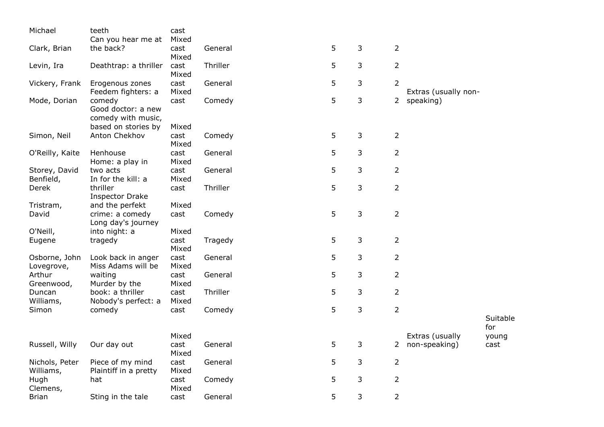| Michael                     | teeth                                                                     | cast                   |          |    |   |                |                      |              |
|-----------------------------|---------------------------------------------------------------------------|------------------------|----------|----|---|----------------|----------------------|--------------|
|                             | Can you hear me at                                                        | Mixed                  |          |    |   |                |                      |              |
| Clark, Brian                | the back?                                                                 | cast<br>Mixed          | General  | 5  | 3 | $\overline{2}$ |                      |              |
| Levin, Ira                  | Deathtrap: a thriller                                                     | cast<br>Mixed          | Thriller | 5  | 3 | $\overline{2}$ |                      |              |
| Vickery, Frank              | Erogenous zones<br>Feedem fighters: a                                     | cast<br>Mixed          | General  | 5  | 3 | $\overline{2}$ | Extras (usually non- |              |
| Mode, Dorian                | comedy<br>Good doctor: a new<br>comedy with music,<br>based on stories by | cast<br>Mixed          | Comedy   | 5  | 3 | $2^{\circ}$    | speaking)            |              |
| Simon, Neil                 | Anton Chekhov                                                             | cast<br>Mixed          | Comedy   | 5  | 3 | $\overline{2}$ |                      |              |
| O'Reilly, Kaite             | Henhouse<br>Home: a play in                                               | cast<br>Mixed          | General  | 5  | 3 | $\overline{2}$ |                      |              |
| Storey, David<br>Benfield,  | two acts<br>In for the kill: a                                            | cast<br>Mixed          | General  | 5  | 3 | $\overline{2}$ |                      |              |
| Derek                       | thriller<br><b>Inspector Drake</b>                                        | cast                   | Thriller | 5  | 3 | $\overline{2}$ |                      |              |
| Tristram,<br>David          | and the perfekt<br>crime: a comedy<br>Long day's journey                  | Mixed<br>cast          | Comedy   | 5  | 3 | $\overline{2}$ |                      |              |
| O'Neill,<br>Eugene          | into night: a<br>tragedy                                                  | Mixed<br>cast<br>Mixed | Tragedy  | 5  | 3 | $\overline{2}$ |                      |              |
| Osborne, John<br>Lovegrove, | Look back in anger<br>Miss Adams will be                                  | cast<br>Mixed          | General  | 5  | 3 | $\overline{2}$ |                      |              |
| Arthur<br>Greenwood,        | waiting<br>Murder by the                                                  | cast<br>Mixed          | General  | 5  | 3 | $\overline{2}$ |                      |              |
| Duncan<br>Williams,         | book: a thriller<br>Nobody's perfect: a                                   | cast<br>Mixed          | Thriller | 5  | 3 | $\overline{2}$ |                      |              |
| Simon                       | comedy                                                                    | cast                   | Comedy   | 5  | 3 | $\overline{2}$ |                      | Suitable     |
|                             |                                                                           | Mixed                  |          |    |   |                | Extras (usually      | for<br>young |
| Russell, Willy              | Our day out                                                               | cast<br>Mixed          | General  | 5  | 3 | $\overline{2}$ | non-speaking)        | cast         |
| Nichols, Peter<br>Williams, | Piece of my mind<br>Plaintiff in a pretty                                 | cast<br>Mixed          | General  | 5. | 3 | $\overline{2}$ |                      |              |
| Hugh<br>Clemens,            | hat                                                                       | cast<br>Mixed          | Comedy   | 5  | 3 | $\overline{2}$ |                      |              |
| <b>Brian</b>                | Sting in the tale                                                         | cast                   | General  | 5  | 3 | $\overline{2}$ |                      |              |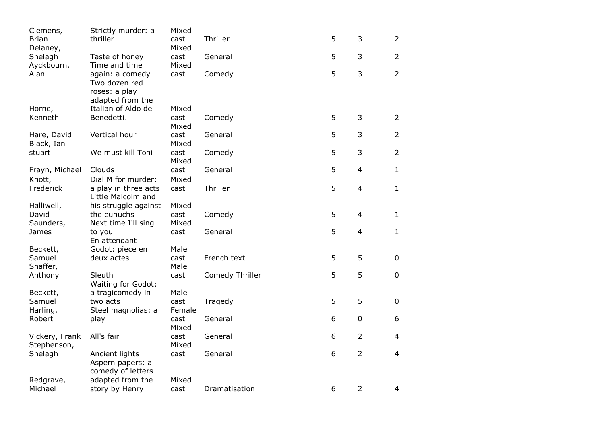| Clemens,                      | Strictly murder: a        | Mixed         |                 |   |                |                |
|-------------------------------|---------------------------|---------------|-----------------|---|----------------|----------------|
| <b>Brian</b>                  | thriller                  | cast          | Thriller        | 5 | 3              | $\overline{2}$ |
| Delaney,                      |                           | Mixed         |                 |   |                |                |
| Shelagh                       | Taste of honey            | cast          | General         | 5 | 3              | $\overline{2}$ |
| Ayckbourn,                    | Time and time             | Mixed         |                 |   |                |                |
| Alan                          | again: a comedy           | cast          | Comedy          | 5 | 3              | $\overline{2}$ |
|                               | Two dozen red             |               |                 |   |                |                |
|                               | roses: a play             |               |                 |   |                |                |
|                               | adapted from the          |               |                 |   |                |                |
| Horne,                        | Italian of Aldo de        | Mixed         |                 |   |                |                |
| Kenneth                       | Benedetti.                | cast          | Comedy          | 5 | 3              | $\overline{2}$ |
|                               |                           | Mixed         |                 |   |                |                |
| Hare, David                   | Vertical hour             | cast          | General         | 5 | 3              | $\overline{2}$ |
| Black, Ian                    | We must kill Toni         | Mixed         |                 | 5 | 3              | $\overline{2}$ |
| stuart                        |                           | cast<br>Mixed | Comedy          |   |                |                |
| Frayn, Michael                | Clouds                    | cast          | General         | 5 | $\overline{4}$ | $\mathbf{1}$   |
| Knott,                        | Dial M for murder:        | Mixed         |                 |   |                |                |
| Frederick                     | a play in three acts      | cast          | Thriller        | 5 | $\overline{4}$ | $\mathbf{1}$   |
|                               | Little Malcolm and        |               |                 |   |                |                |
| Halliwell,                    | his struggle against      | Mixed         |                 |   |                |                |
| David                         | the eunuchs               | cast          | Comedy          | 5 | 4              | $\mathbf{1}$   |
| Saunders,                     | Next time I'll sing       | Mixed         |                 |   |                |                |
| James                         | to you                    | cast          | General         | 5 | $\overline{4}$ | $\mathbf{1}$   |
|                               | En attendant              |               |                 |   |                |                |
| Beckett,                      | Godot: piece en           | Male          |                 |   |                |                |
| Samuel                        | deux actes                | cast          | French text     | 5 | 5              | 0              |
| Shaffer,                      |                           | Male          |                 |   |                |                |
| Anthony                       | Sleuth                    | cast          | Comedy Thriller | 5 | 5              | $\pmb{0}$      |
|                               | <b>Waiting for Godot:</b> |               |                 |   |                |                |
| Beckett,                      | a tragicomedy in          | Male          |                 |   |                |                |
| Samuel                        | two acts                  | cast          | Tragedy         | 5 | 5              | $\pmb{0}$      |
| Harling,                      | Steel magnolias: a        | Female        |                 |   |                |                |
| Robert                        | play                      | cast          | General         | 6 | $\mathbf 0$    | 6              |
|                               |                           | Mixed         |                 | 6 | $\overline{2}$ | $\overline{4}$ |
| Vickery, Frank<br>Stephenson, | All's fair                | cast<br>Mixed | General         |   |                |                |
| Shelagh                       | Ancient lights            | cast          | General         | 6 | $\overline{2}$ | $\overline{4}$ |
|                               | Aspern papers: a          |               |                 |   |                |                |
|                               | comedy of letters         |               |                 |   |                |                |
| Redgrave,                     | adapted from the          | Mixed         |                 |   |                |                |
| Michael                       | story by Henry            | cast          | Dramatisation   | 6 | $\overline{2}$ | $\overline{4}$ |
|                               |                           |               |                 |   |                |                |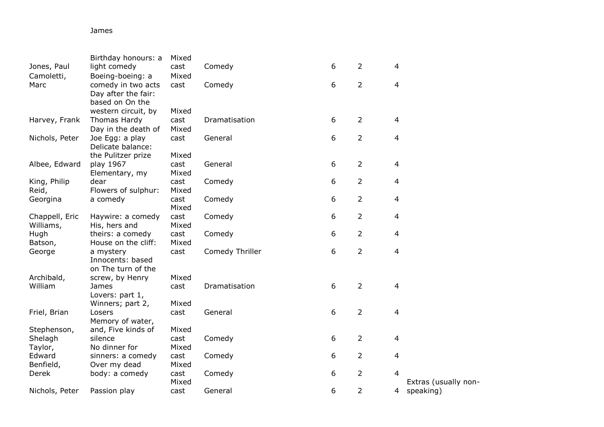## James

|                             | Birthday honours: a               | Mixed         |                 |   |                |                |                      |
|-----------------------------|-----------------------------------|---------------|-----------------|---|----------------|----------------|----------------------|
| Jones, Paul                 | light comedy                      | cast          | Comedy          | 6 | $\overline{2}$ | 4              |                      |
| Camoletti,                  | Boeing-boeing: a                  | Mixed         |                 |   |                |                |                      |
| Marc                        | comedy in two acts                | cast          | Comedy          | 6 | $\overline{2}$ | $\overline{4}$ |                      |
|                             | Day after the fair:               |               |                 |   |                |                |                      |
|                             | based on On the                   |               |                 |   |                |                |                      |
|                             | western circuit, by               | Mixed         |                 |   |                |                |                      |
| Harvey, Frank               | Thomas Hardy                      | cast          | Dramatisation   | 6 | $\overline{2}$ | $\overline{4}$ |                      |
|                             | Day in the death of               | Mixed         |                 |   |                |                |                      |
| Nichols, Peter              | Joe Egg: a play                   | cast          | General         | 6 | $\overline{2}$ | $\overline{4}$ |                      |
|                             | Delicate balance:                 |               |                 |   |                |                |                      |
|                             | the Pulitzer prize                | Mixed         |                 |   |                |                |                      |
| Albee, Edward               | play 1967                         | cast          | General         | 6 | $\overline{2}$ | $\overline{4}$ |                      |
|                             | Elementary, my                    | Mixed         |                 |   |                |                |                      |
| King, Philip                | dear                              | cast          | Comedy          | 6 | $\overline{2}$ | 4              |                      |
| Reid,                       | Flowers of sulphur:               | Mixed         |                 |   |                |                |                      |
| Georgina                    | a comedy                          | cast          | Comedy          | 6 | $\overline{2}$ | $\overline{4}$ |                      |
|                             |                                   | Mixed         |                 |   |                |                |                      |
| Chappell, Eric<br>Williams, | Haywire: a comedy                 | cast<br>Mixed | Comedy          | 6 | 2              | $\overline{4}$ |                      |
| Hugh                        | His, hers and<br>theirs: a comedy | cast          | Comedy          | 6 | $\overline{2}$ | 4              |                      |
| Batson,                     | House on the cliff:               | Mixed         |                 |   |                |                |                      |
| George                      | a mystery                         | cast          | Comedy Thriller | 6 | $\overline{2}$ | $\overline{4}$ |                      |
|                             | Innocents: based                  |               |                 |   |                |                |                      |
|                             | on The turn of the                |               |                 |   |                |                |                      |
| Archibald,                  | screw, by Henry                   | Mixed         |                 |   |                |                |                      |
| William                     | James                             | cast          | Dramatisation   | 6 | $\overline{2}$ | 4              |                      |
|                             | Lovers: part 1,                   |               |                 |   |                |                |                      |
|                             | Winners; part 2,                  | Mixed         |                 |   |                |                |                      |
| Friel, Brian                | Losers                            | cast          | General         | 6 | $\overline{2}$ | 4              |                      |
|                             | Memory of water,                  |               |                 |   |                |                |                      |
| Stephenson,                 | and, Five kinds of                | Mixed         |                 |   |                |                |                      |
| Shelagh                     | silence                           | cast          | Comedy          | 6 | $\overline{2}$ | 4              |                      |
| Taylor,                     | No dinner for                     | Mixed         |                 |   |                |                |                      |
| Edward                      | sinners: a comedy                 | cast          | Comedy          | 6 | $\overline{2}$ | $\overline{4}$ |                      |
| Benfield,                   | Over my dead                      | Mixed         |                 |   |                |                |                      |
| Derek                       | body: a comedy                    | cast          | Comedy          | 6 | $\overline{2}$ | 4              |                      |
|                             |                                   | Mixed         |                 |   |                |                | Extras (usually non- |
| Nichols, Peter              | Passion play                      | cast          | General         | 6 | $\overline{2}$ | 4              | speaking)            |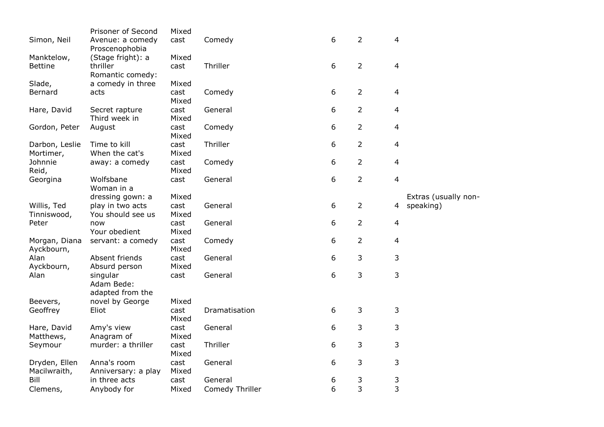|                | Prisoner of Second  | Mixed |                 |   |                |                |                      |
|----------------|---------------------|-------|-----------------|---|----------------|----------------|----------------------|
| Simon, Neil    | Avenue: a comedy    | cast  | Comedy          | 6 | $\overline{2}$ | $\overline{4}$ |                      |
|                | Proscenophobia      |       |                 |   |                |                |                      |
| Manktelow,     | (Stage fright): a   | Mixed |                 |   |                |                |                      |
| <b>Bettine</b> | thriller            | cast  | Thriller        | 6 | $\overline{2}$ | 4              |                      |
|                | Romantic comedy:    |       |                 |   |                |                |                      |
| Slade,         | a comedy in three   | Mixed |                 |   |                |                |                      |
| Bernard        | acts                | cast  | Comedy          | 6 | $\overline{2}$ | 4              |                      |
|                |                     | Mixed |                 |   |                |                |                      |
| Hare, David    | Secret rapture      | cast  | General         | 6 | $\overline{2}$ | $\overline{4}$ |                      |
|                | Third week in       | Mixed |                 |   |                |                |                      |
| Gordon, Peter  | August              | cast  | Comedy          | 6 | $\overline{2}$ | $\overline{4}$ |                      |
|                |                     | Mixed |                 |   |                |                |                      |
| Darbon, Leslie | Time to kill        | cast  | Thriller        | 6 | $\overline{2}$ | $\overline{4}$ |                      |
| Mortimer,      | When the cat's      | Mixed |                 |   |                |                |                      |
| Johnnie        | away: a comedy      | cast  | Comedy          | 6 | $\overline{2}$ | $\overline{4}$ |                      |
| Reid,          |                     | Mixed |                 |   |                |                |                      |
| Georgina       | Wolfsbane           | cast  | General         | 6 | $\overline{2}$ | $\overline{4}$ |                      |
|                | Woman in a          |       |                 |   |                |                |                      |
|                | dressing gown: a    | Mixed |                 |   |                |                | Extras (usually non- |
| Willis, Ted    | play in two acts    | cast  | General         | 6 | $\overline{2}$ | 4              | speaking)            |
| Tinniswood,    | You should see us   | Mixed |                 |   |                |                |                      |
| Peter          | now                 | cast  | General         | 6 | $\overline{2}$ | $\overline{4}$ |                      |
|                | Your obedient       | Mixed |                 |   |                |                |                      |
| Morgan, Diana  | servant: a comedy   | cast  | Comedy          | 6 | $\overline{2}$ | $\overline{4}$ |                      |
| Ayckbourn,     |                     | Mixed |                 |   |                |                |                      |
| Alan           | Absent friends      | cast  | General         | 6 | 3              | 3              |                      |
| Ayckbourn,     | Absurd person       | Mixed |                 |   |                |                |                      |
| Alan           | singular            | cast  | General         | 6 | 3              | 3              |                      |
|                | Adam Bede:          |       |                 |   |                |                |                      |
|                | adapted from the    |       |                 |   |                |                |                      |
| Beevers,       | novel by George     | Mixed |                 |   |                |                |                      |
| Geoffrey       | Eliot               | cast  | Dramatisation   | 6 | 3              | $\mathsf{3}$   |                      |
|                |                     | Mixed |                 |   |                |                |                      |
| Hare, David    | Amy's view          | cast  | General         | 6 | 3              | 3              |                      |
| Matthews,      | Anagram of          | Mixed |                 |   |                |                |                      |
| Seymour        | murder: a thriller  | cast  | Thriller        | 6 | 3              | 3              |                      |
|                |                     | Mixed |                 |   |                |                |                      |
| Dryden, Ellen  | Anna's room         | cast  | General         | 6 | 3              | 3              |                      |
| Macilwraith,   | Anniversary: a play | Mixed |                 |   |                |                |                      |
| Bill           | in three acts       | cast  | General         | 6 | 3              | 3              |                      |
| Clemens,       | Anybody for         | Mixed | Comedy Thriller | 6 | 3              | 3              |                      |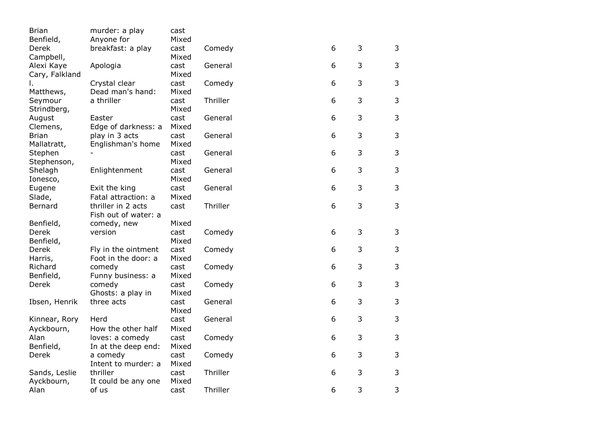| <b>Brian</b>   | murder: a play       | cast  |          |   |   |   |
|----------------|----------------------|-------|----------|---|---|---|
| Benfield,      | Anyone for           | Mixed |          |   |   |   |
| Derek          | breakfast: a play    | cast  | Comedy   | 6 | 3 | 3 |
| Campbell,      |                      | Mixed |          |   |   |   |
| Alexi Kaye     | Apologia             | cast  | General  | 6 | 3 | 3 |
| Cary, Falkland |                      | Mixed |          |   |   |   |
|                | Crystal clear        | cast  | Comedy   | 6 | 3 | 3 |
| Matthews,      | Dead man's hand:     | Mixed |          |   |   |   |
| Seymour        | a thriller           | cast  | Thriller | 6 | 3 | 3 |
| Strindberg,    |                      | Mixed |          |   |   |   |
| August         | Easter               | cast  | General  | 6 | 3 | 3 |
| Clemens,       | Edge of darkness: a  | Mixed |          |   |   |   |
| <b>Brian</b>   | play in 3 acts       | cast  | General  | 6 | 3 | 3 |
| Mallatratt,    | Englishman's home    | Mixed |          |   |   |   |
| Stephen        |                      | cast  | General  | 6 | 3 | 3 |
| Stephenson,    |                      | Mixed |          |   |   |   |
| Shelagh        | Enlightenment        | cast  | General  | 6 | 3 | 3 |
| Ionesco,       |                      | Mixed |          |   |   |   |
| Eugene         | Exit the king        | cast  | General  | 6 | 3 | 3 |
| Slade,         | Fatal attraction: a  | Mixed |          |   |   |   |
| Bernard        | thriller in 2 acts   | cast  | Thriller | 6 | 3 | 3 |
|                | Fish out of water: a |       |          |   |   |   |
| Benfield,      | comedy, new          | Mixed |          |   |   |   |
| Derek          | version              | cast  | Comedy   | 6 | 3 | 3 |
| Benfield,      |                      | Mixed |          |   |   |   |
| Derek          | Fly in the ointment  | cast  | Comedy   | 6 | 3 | 3 |
| Harris,        | Foot in the door: a  | Mixed |          |   |   |   |
| Richard        | comedy               | cast  | Comedy   | 6 | 3 | 3 |
| Benfield,      | Funny business: a    | Mixed |          |   |   |   |
| Derek          | comedy               | cast  | Comedy   | 6 | 3 | 3 |
|                | Ghosts: a play in    | Mixed |          |   |   |   |
| Ibsen, Henrik  | three acts           | cast  | General  | 6 | 3 | 3 |
|                |                      | Mixed |          |   |   |   |
| Kinnear, Rory  | Herd                 | cast  | General  | 6 | 3 | 3 |
| Ayckbourn,     | How the other half   | Mixed |          |   |   |   |
| Alan           | loves: a comedy      | cast  | Comedy   | 6 | 3 | 3 |
| Benfield,      | In at the deep end:  | Mixed |          |   |   |   |
| Derek          | a comedy             | cast  | Comedy   | 6 | 3 | 3 |
|                | Intent to murder: a  | Mixed |          |   |   |   |
| Sands, Leslie  | thriller             | cast  | Thriller | 6 | 3 | 3 |
| Ayckbourn,     | It could be any one  | Mixed |          |   |   |   |
| Alan           | of us                | cast  | Thriller | 6 | 3 | 3 |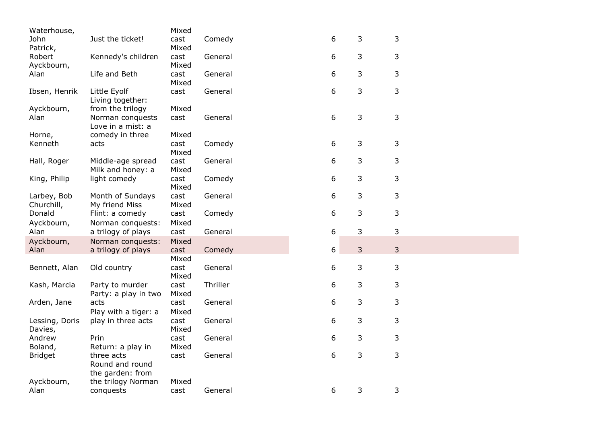| Waterhouse,    |                                       | Mixed         |          |   |   |              |
|----------------|---------------------------------------|---------------|----------|---|---|--------------|
| John           | Just the ticket!                      | cast          | Comedy   | 6 | 3 | 3            |
| Patrick,       |                                       | Mixed         |          |   |   |              |
| Robert         | Kennedy's children                    | cast          | General  | 6 | 3 | 3            |
| Ayckbourn,     |                                       | Mixed         |          |   |   |              |
| Alan           | Life and Beth                         | cast<br>Mixed | General  | 6 | 3 | 3            |
| Ibsen, Henrik  | Little Eyolf<br>Living together:      | cast          | General  | 6 | 3 | 3            |
| Ayckbourn,     | from the trilogy                      | Mixed         |          |   |   |              |
| Alan           | Norman conquests<br>Love in a mist: a | cast          | General  | 6 | 3 | 3            |
| Horne,         | comedy in three                       | Mixed         |          |   |   |              |
| Kenneth        | acts                                  | cast          | Comedy   | 6 | 3 | 3            |
|                |                                       | Mixed         |          |   |   |              |
| Hall, Roger    | Middle-age spread                     | cast<br>Mixed | General  | 6 | 3 | 3            |
|                | Milk and honey: a                     |               |          | 6 | 3 | $\mathsf 3$  |
| King, Philip   | light comedy                          | cast<br>Mixed | Comedy   |   |   |              |
| Larbey, Bob    | Month of Sundays                      | cast          | General  | 6 | 3 | 3            |
| Churchill,     | My friend Miss                        | Mixed         |          |   |   |              |
| Donald         | Flint: a comedy                       | cast          | Comedy   | 6 | 3 | 3            |
| Ayckbourn,     | Norman conquests:                     | Mixed         |          |   |   |              |
| Alan           | a trilogy of plays                    | cast          | General  | 6 | 3 | 3            |
| Ayckbourn,     | Norman conquests:                     | Mixed         |          |   |   |              |
| Alan           | a trilogy of plays                    | cast          | Comedy   | 6 | 3 | 3            |
|                |                                       | Mixed         |          |   |   |              |
| Bennett, Alan  | Old country                           | cast<br>Mixed | General  | 6 | 3 | $\mathsf{3}$ |
| Kash, Marcia   | Party to murder                       | cast          | Thriller | 6 | 3 | 3            |
|                | Party: a play in two                  | Mixed         |          |   |   |              |
| Arden, Jane    | acts                                  | cast          | General  | 6 | 3 | 3            |
|                | Play with a tiger: a                  | Mixed         |          |   |   |              |
| Lessing, Doris | play in three acts                    | cast          | General  | 6 | 3 | 3            |
| Davies,        |                                       | Mixed         |          |   |   |              |
| Andrew         | Prin                                  | cast          | General  | 6 | 3 | 3            |
| Boland,        | Return: a play in                     | Mixed         |          |   |   |              |
| <b>Bridget</b> | three acts                            | cast          | General  | 6 | 3 | 3            |
|                | Round and round                       |               |          |   |   |              |
|                | the garden: from                      |               |          |   |   |              |
| Ayckbourn,     | the trilogy Norman                    | Mixed         |          |   |   |              |
| Alan           | conquests                             | cast          | General  | 6 | 3 | 3            |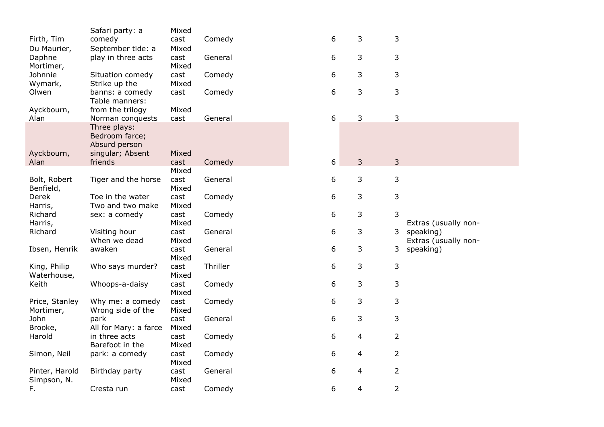|                  | Safari party: a       | Mixed         |          |   |   |                |                      |
|------------------|-----------------------|---------------|----------|---|---|----------------|----------------------|
| Firth, Tim       | comedy                | cast          | Comedy   | 6 | 3 | 3              |                      |
| Du Maurier,      | September tide: a     | Mixed         |          |   |   |                |                      |
| Daphne           | play in three acts    | cast          | General  | 6 | 3 | 3              |                      |
| Mortimer,        |                       | Mixed         |          |   |   |                |                      |
| Johnnie          | Situation comedy      | cast          | Comedy   | 6 | 3 | 3              |                      |
| Wymark,          | Strike up the         | Mixed         |          |   |   |                |                      |
| Olwen            | banns: a comedy       | cast          | Comedy   | 6 | 3 | 3              |                      |
|                  | Table manners:        |               |          |   |   |                |                      |
| Ayckbourn,       | from the trilogy      | Mixed         |          |   |   |                |                      |
| Alan             | Norman conquests      | cast          | General  | 6 | 3 | $\mathsf{3}$   |                      |
|                  | Three plays:          |               |          |   |   |                |                      |
|                  | Bedroom farce;        |               |          |   |   |                |                      |
|                  | Absurd person         |               |          |   |   |                |                      |
| Ayckbourn,       | singular; Absent      | Mixed         |          |   |   |                |                      |
| Alan             | friends               | cast          | Comedy   | 6 | 3 | $\overline{3}$ |                      |
|                  |                       | Mixed         |          |   |   |                |                      |
| Bolt, Robert     | Tiger and the horse   | cast          | General  | 6 | 3 | 3              |                      |
| Benfield,        | Toe in the water      | Mixed         |          | 6 |   | $\mathsf{3}$   |                      |
| Derek<br>Harris, | Two and two make      | cast<br>Mixed | Comedy   |   | 3 |                |                      |
| Richard          | sex: a comedy         | cast          | Comedy   | 6 | 3 | 3              |                      |
| Harris,          |                       | Mixed         |          |   |   |                | Extras (usually non- |
| Richard          | Visiting hour         | cast          | General  | 6 | 3 |                | 3 speaking)          |
|                  | When we dead          | Mixed         |          |   |   |                | Extras (usually non- |
| Ibsen, Henrik    | awaken                | cast          | General  | 6 | 3 | 3              | speaking)            |
|                  |                       | Mixed         |          |   |   |                |                      |
| King, Philip     | Who says murder?      | cast          | Thriller | 6 | 3 | 3              |                      |
| Waterhouse,      |                       | Mixed         |          |   |   |                |                      |
| Keith            | Whoops-a-daisy        | cast          | Comedy   | 6 | 3 | 3              |                      |
|                  |                       | Mixed         |          |   |   |                |                      |
| Price, Stanley   | Why me: a comedy      | cast          | Comedy   | 6 | 3 | 3              |                      |
| Mortimer,        | Wrong side of the     | Mixed         |          |   |   |                |                      |
| John             | park                  | cast          | General  | 6 | 3 | 3              |                      |
| Brooke,          | All for Mary: a farce | Mixed         |          |   |   |                |                      |
| Harold           | in three acts         | cast          | Comedy   | 6 | 4 | $\overline{2}$ |                      |
|                  | Barefoot in the       | Mixed         |          |   |   |                |                      |
| Simon, Neil      | park: a comedy        | cast          | Comedy   | 6 | 4 | $\overline{2}$ |                      |
|                  |                       | Mixed         |          |   |   |                |                      |
| Pinter, Harold   | Birthday party        | cast          | General  | 6 | 4 | $\overline{2}$ |                      |
| Simpson, N.      |                       | Mixed         |          |   |   |                |                      |
| F.               | Cresta run            | cast          | Comedy   | 6 | 4 | $\overline{2}$ |                      |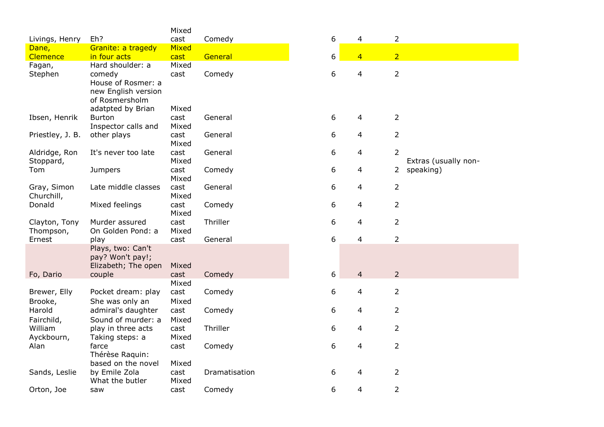|                  |                                                              | Mixed |               |   |                         |                |                      |
|------------------|--------------------------------------------------------------|-------|---------------|---|-------------------------|----------------|----------------------|
| Livings, Henry   | Eh?                                                          | cast  | Comedy        | 6 | 4                       | $\overline{2}$ |                      |
| Dane,            | Granite: a tragedy                                           | Mixed |               |   |                         |                |                      |
| Clemence         | in four acts                                                 | cast  | General       | 6 | $\overline{4}$          | 2 <sup>1</sup> |                      |
| Fagan,           | Hard shoulder: a                                             | Mixed |               |   |                         |                |                      |
| Stephen          | comedy<br>House of Rosmer: a                                 | cast  | Comedy        | 6 | $\overline{\mathbf{4}}$ | $\overline{2}$ |                      |
|                  | new English version<br>of Rosmersholm<br>adatpted by Brian   | Mixed |               |   |                         |                |                      |
| Ibsen, Henrik    | <b>Burton</b>                                                | cast  | General       | 6 | 4                       | $\overline{2}$ |                      |
|                  | Inspector calls and                                          | Mixed |               |   |                         |                |                      |
| Priestley, J. B. | other plays                                                  | cast  | General       | 6 | 4                       | $\overline{2}$ |                      |
|                  |                                                              | Mixed |               |   |                         |                |                      |
| Aldridge, Ron    | It's never too late                                          | cast  | General       | 6 | 4                       | $\overline{2}$ |                      |
| Stoppard,        |                                                              | Mixed |               |   |                         |                | Extras (usually non- |
| Tom              | <b>Jumpers</b>                                               | cast  | Comedy        | 6 | 4                       | 2              | speaking)            |
|                  |                                                              | Mixed |               |   |                         |                |                      |
| Gray, Simon      | Late middle classes                                          | cast  | General       | 6 | 4                       | $\overline{2}$ |                      |
| Churchill,       |                                                              | Mixed |               |   |                         |                |                      |
| Donald           | Mixed feelings                                               | cast  | Comedy        | 6 | 4                       | 2              |                      |
|                  |                                                              | Mixed |               |   |                         |                |                      |
| Clayton, Tony    | Murder assured                                               | cast  | Thriller      | 6 | 4                       | $\overline{2}$ |                      |
| Thompson,        | On Golden Pond: a                                            | Mixed |               |   |                         |                |                      |
| Ernest           | play                                                         | cast  | General       | 6 | 4                       | $\overline{2}$ |                      |
|                  | Plays, two: Can't<br>pay? Won't pay!;<br>Elizabeth; The open | Mixed |               |   |                         |                |                      |
| Fo, Dario        | couple                                                       | cast  | Comedy        | 6 | $\overline{4}$          | $\overline{2}$ |                      |
|                  |                                                              | Mixed |               |   |                         |                |                      |
| Brewer, Elly     | Pocket dream: play                                           | cast  | Comedy        | 6 | $\overline{\mathbf{4}}$ | $\overline{2}$ |                      |
| Brooke,          | She was only an                                              | Mixed |               |   |                         |                |                      |
| Harold           | admiral's daughter                                           | cast  | Comedy        | 6 | 4                       | $\overline{2}$ |                      |
| Fairchild,       | Sound of murder: a                                           | Mixed |               |   |                         |                |                      |
| William          | play in three acts                                           | cast  | Thriller      | 6 | 4                       | $\overline{2}$ |                      |
| Ayckbourn,       | Taking steps: a                                              | Mixed |               |   |                         |                |                      |
| Alan             | farce                                                        | cast  | Comedy        | 6 | $\overline{\mathbf{4}}$ | $\overline{2}$ |                      |
|                  | Thérèse Raquin:                                              |       |               |   |                         |                |                      |
|                  | based on the novel                                           | Mixed |               |   |                         |                |                      |
| Sands, Leslie    | by Emile Zola                                                | cast  | Dramatisation | 6 | 4                       | $\overline{2}$ |                      |
|                  | What the butler                                              | Mixed |               |   |                         |                |                      |
| Orton, Joe       | saw                                                          | cast  | Comedy        | 6 | 4                       | $\overline{2}$ |                      |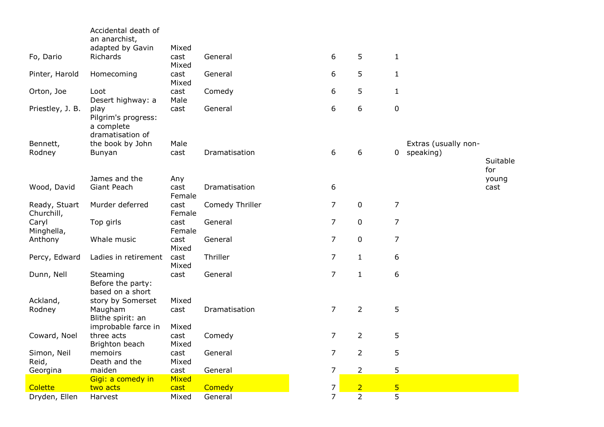|                             | Accidental death of                                                      |                        |                 |                |                |                |                      |                 |
|-----------------------------|--------------------------------------------------------------------------|------------------------|-----------------|----------------|----------------|----------------|----------------------|-----------------|
|                             | an anarchist,<br>adapted by Gavin                                        | Mixed                  |                 |                |                |                |                      |                 |
| Fo, Dario                   | Richards                                                                 | cast<br>Mixed          | General         | 6              | 5              | $\mathbf{1}$   |                      |                 |
| Pinter, Harold              | Homecoming                                                               | cast<br>Mixed          | General         | 6              | 5              | $\mathbf{1}$   |                      |                 |
| Orton, Joe                  | Loot<br>Desert highway: a                                                | cast<br>Male           | Comedy          | 6              | 5              | $\mathbf{1}$   |                      |                 |
| Priestley, J. B.            | play<br>Pilgrim's progress:<br>a complete<br>dramatisation of            | cast                   | General         | 6              | 6              | $\mathbf 0$    |                      |                 |
| Bennett,                    | the book by John                                                         | Male                   |                 |                |                |                | Extras (usually non- |                 |
| Rodney                      | Bunyan                                                                   | cast                   | Dramatisation   | 6              | 6              | $\mathbf 0$    | speaking)            | Suitable<br>for |
|                             | James and the                                                            | Any                    |                 |                |                |                |                      | young           |
| Wood, David                 | Giant Peach                                                              | cast<br>Female         | Dramatisation   | 6              |                |                |                      | cast            |
| Ready, Stuart<br>Churchill, | Murder deferred                                                          | cast<br>Female         | Comedy Thriller | $\overline{7}$ | $\pmb{0}$      | $\overline{7}$ |                      |                 |
| Caryl<br>Minghella,         | Top girls                                                                | cast<br>Female         | General         | $\overline{7}$ | 0              | $\overline{7}$ |                      |                 |
| Anthony                     | Whale music                                                              | cast<br>Mixed          | General         | $\overline{7}$ | 0              | $\overline{7}$ |                      |                 |
| Percy, Edward               | Ladies in retirement                                                     | cast<br>Mixed          | Thriller        | $\overline{7}$ | $\mathbf{1}$   | 6              |                      |                 |
| Dunn, Nell                  | Steaming<br>Before the party:<br>based on a short                        | cast                   | General         | $\overline{7}$ | $\mathbf{1}$   | 6              |                      |                 |
| Ackland,<br>Rodney          | story by Somerset<br>Maugham<br>Blithe spirit: an<br>improbable farce in | Mixed<br>cast<br>Mixed | Dramatisation   | $\overline{7}$ | $\overline{2}$ | 5              |                      |                 |
| Coward, Noel                | three acts<br>Brighton beach                                             | cast<br>Mixed          | Comedy          | $\overline{7}$ | $\overline{2}$ | 5              |                      |                 |
| Simon, Neil<br>Reid,        | memoirs<br>Death and the                                                 | cast<br>Mixed          | General         | 7              | $\overline{2}$ | 5              |                      |                 |
| Georgina                    | maiden                                                                   | cast                   | General         | $\overline{7}$ | $\overline{2}$ | 5              |                      |                 |
|                             | Gigi: a comedy in                                                        | Mixed                  |                 |                |                |                |                      |                 |
| <b>Colette</b>              | two acts                                                                 | cast                   | Comedy          | $\overline{7}$ | $\overline{2}$ | 5 <sub>5</sub> |                      |                 |
| Dryden, Ellen               | Harvest                                                                  | Mixed                  | General         | $\overline{7}$ | $\overline{2}$ | 5              |                      |                 |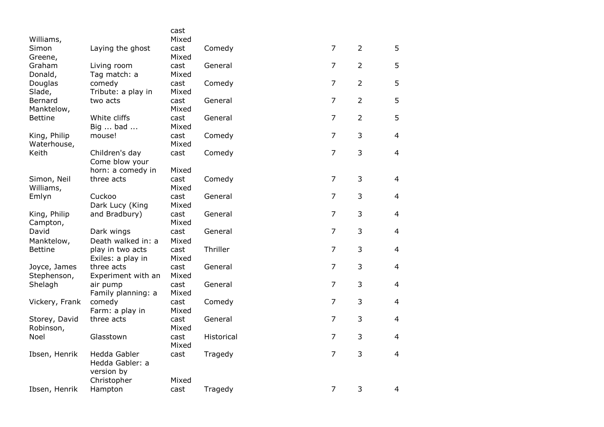|                   |                    | cast          |            |                |                |                |
|-------------------|--------------------|---------------|------------|----------------|----------------|----------------|
| Williams,         |                    | Mixed         |            |                |                |                |
| Simon             | Laying the ghost   | cast          | Comedy     | $\overline{7}$ | $\overline{2}$ | 5              |
| Greene,<br>Graham | Living room        | Mixed<br>cast | General    | $\overline{7}$ | $\overline{2}$ | 5              |
| Donald,           | Tag match: a       | Mixed         |            |                |                |                |
| Douglas           | comedy             | cast          | Comedy     | $\overline{7}$ | $\overline{2}$ | 5              |
| Slade,            | Tribute: a play in | Mixed         |            |                |                |                |
| Bernard           | two acts           | cast          | General    | $\overline{7}$ | $\overline{2}$ | 5              |
| Manktelow,        |                    | Mixed         |            |                |                |                |
| <b>Bettine</b>    | White cliffs       | cast          | General    | $\overline{7}$ | $\overline{2}$ | 5              |
|                   | Big  bad           | Mixed         |            |                |                |                |
| King, Philip      | mouse!             | cast          | Comedy     | $\overline{7}$ | 3              | 4              |
| Waterhouse,       |                    | Mixed         |            |                |                |                |
| Keith             | Children's day     | cast          | Comedy     | $\overline{7}$ | 3              | $\overline{4}$ |
|                   | Come blow your     |               |            |                |                |                |
|                   | horn: a comedy in  | Mixed         |            |                |                |                |
| Simon, Neil       | three acts         | cast          | Comedy     | $\overline{7}$ | 3              | 4              |
| Williams,         |                    | Mixed         |            |                |                |                |
| Emlyn             | Cuckoo             | cast          | General    | $\overline{7}$ | 3              | $\overline{4}$ |
|                   | Dark Lucy (King    | Mixed         |            | $\overline{7}$ |                |                |
| King, Philip      | and Bradbury)      | cast<br>Mixed | General    |                | 3              | 4              |
| Campton,<br>David | Dark wings         | cast          | General    | $\overline{7}$ | 3              | $\overline{4}$ |
| Manktelow,        | Death walked in: a | Mixed         |            |                |                |                |
| <b>Bettine</b>    | play in two acts   | cast          | Thriller   | $\overline{7}$ | 3              | $\overline{4}$ |
|                   | Exiles: a play in  | Mixed         |            |                |                |                |
| Joyce, James      | three acts         | cast          | General    | $\overline{7}$ | 3              | $\overline{4}$ |
| Stephenson,       | Experiment with an | Mixed         |            |                |                |                |
| Shelagh           | air pump           | cast          | General    | $\overline{7}$ | 3              | 4              |
|                   | Family planning: a | Mixed         |            |                |                |                |
| Vickery, Frank    | comedy             | cast          | Comedy     | $\overline{7}$ | 3              | $\overline{4}$ |
|                   | Farm: a play in    | Mixed         |            |                |                |                |
| Storey, David     | three acts         | cast          | General    | $\overline{7}$ | 3              | $\overline{4}$ |
| Robinson,         |                    | Mixed         |            |                |                |                |
| Noel              | Glasstown          | cast          | Historical | $\overline{7}$ | 3              | $\overline{4}$ |
|                   |                    | Mixed         |            |                |                |                |
| Ibsen, Henrik     | Hedda Gabler       | cast          | Tragedy    | $\overline{7}$ | 3              | $\overline{4}$ |
|                   | Hedda Gabler: a    |               |            |                |                |                |
|                   | version by         |               |            |                |                |                |
|                   | Christopher        | Mixed         |            | $\overline{7}$ | 3              | $\overline{4}$ |
| Ibsen, Henrik     | Hampton            | cast          | Tragedy    |                |                |                |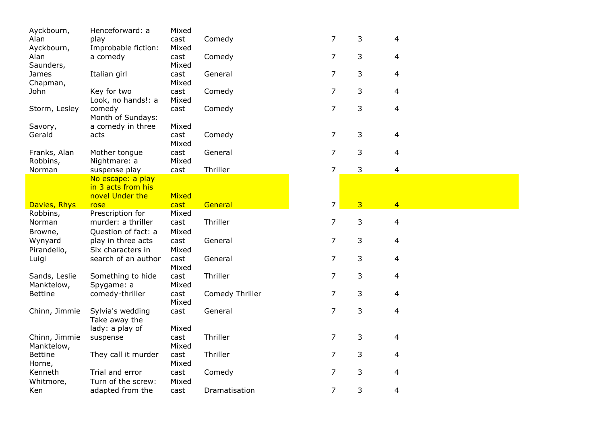| Ayckbourn,     | Henceforward: a                   | Mixed |                 |                |   |                |
|----------------|-----------------------------------|-------|-----------------|----------------|---|----------------|
| Alan           | play                              | cast  | Comedy          | 7              | 3 | 4              |
| Ayckbourn,     | Improbable fiction:               | Mixed |                 |                |   |                |
| Alan           | a comedy                          | cast  | Comedy          | $\overline{7}$ | 3 | 4              |
| Saunders,      |                                   | Mixed |                 |                |   |                |
| James          | Italian girl                      | cast  | General         | $\overline{7}$ | 3 | 4              |
| Chapman,       |                                   | Mixed |                 |                |   |                |
| John           | Key for two                       | cast  | Comedy          | $\overline{7}$ | 3 | 4              |
|                | Look, no hands!: a                | Mixed |                 |                |   |                |
| Storm, Lesley  | comedy                            | cast  | Comedy          | $\overline{7}$ | 3 | $\overline{4}$ |
|                | Month of Sundays:                 |       |                 |                |   |                |
| Savory,        | a comedy in three                 | Mixed |                 |                |   |                |
| Gerald         | acts                              | cast  | Comedy          | $\overline{7}$ | 3 | 4              |
|                |                                   | Mixed |                 |                |   |                |
| Franks, Alan   | Mother tongue                     | cast  | General         | $\overline{7}$ | 3 | 4              |
| Robbins,       | Nightmare: a                      | Mixed |                 |                |   |                |
| Norman         | suspense play                     | cast  | Thriller        | $\overline{7}$ | 3 | 4              |
|                | No escape: a play                 |       |                 |                |   |                |
|                | in 3 acts from his                |       |                 |                |   |                |
|                | novel Under the                   | Mixed |                 |                |   |                |
| Davies, Rhys   | rose                              | cast  | General         | $\overline{7}$ | 3 | $\overline{4}$ |
| Robbins,       | Prescription for                  | Mixed |                 |                |   |                |
| Norman         | murder: a thriller                | cast  | Thriller        | $\overline{7}$ | 3 | 4              |
| Browne,        | Question of fact: a               | Mixed |                 |                |   |                |
| Wynyard        | play in three acts                | cast  | General         | 7              | 3 | 4              |
| Pirandello,    | Six characters in                 | Mixed |                 |                |   |                |
| Luigi          | search of an author               | cast  | General         | $\overline{7}$ | 3 | 4              |
|                |                                   | Mixed |                 |                |   |                |
| Sands, Leslie  | Something to hide                 | cast  | Thriller        | 7              | 3 | 4              |
| Manktelow,     | Spygame: a                        | Mixed |                 |                |   |                |
| <b>Bettine</b> | comedy-thriller                   | cast  | Comedy Thriller | 7              | 3 | 4              |
|                |                                   | Mixed |                 | $\overline{7}$ | 3 |                |
| Chinn, Jimmie  | Sylvia's wedding<br>Take away the | cast  | General         |                |   | 4              |
|                | lady: a play of                   | Mixed |                 |                |   |                |
| Chinn, Jimmie  | suspense                          | cast  | Thriller        | $\overline{7}$ | 3 | 4              |
| Manktelow,     |                                   | Mixed |                 |                |   |                |
| <b>Bettine</b> | They call it murder               | cast  | Thriller        | $\overline{7}$ | 3 | 4              |
| Horne,         |                                   | Mixed |                 |                |   |                |
| Kenneth        | Trial and error                   | cast  | Comedy          | 7              | 3 | 4              |
| Whitmore,      | Turn of the screw:                | Mixed |                 |                |   |                |
| Ken            | adapted from the                  | cast  | Dramatisation   | 7              | 3 | 4              |
|                |                                   |       |                 |                |   |                |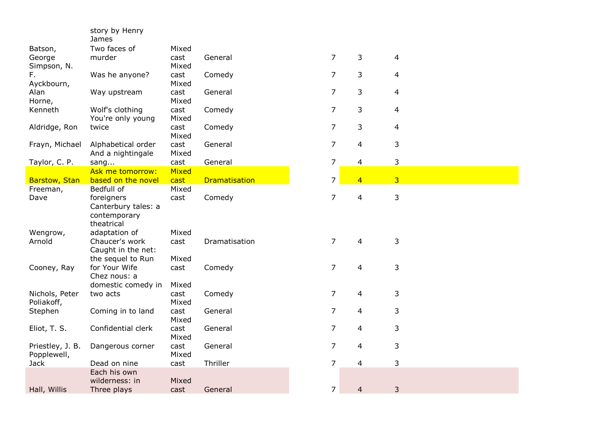|                                 | story by Henry<br>James                                   |               |                      |                |                          |                |
|---------------------------------|-----------------------------------------------------------|---------------|----------------------|----------------|--------------------------|----------------|
| Batson,                         | Two faces of                                              | Mixed         |                      |                |                          |                |
| George<br>Simpson, N.           | murder                                                    | cast<br>Mixed | General              | 7              | 3                        | 4              |
| F.<br>Ayckbourn,                | Was he anyone?                                            | cast<br>Mixed | Comedy               | $\overline{7}$ | 3                        | $\overline{4}$ |
| Alan<br>Horne,                  | Way upstream                                              | cast<br>Mixed | General              | $\overline{7}$ | 3                        | 4              |
| Kenneth                         | Wolf's clothing<br>You're only young                      | cast<br>Mixed | Comedy               | $\overline{7}$ | 3                        | 4              |
| Aldridge, Ron                   | twice                                                     | cast<br>Mixed | Comedy               | $\overline{7}$ | 3                        | 4              |
| Frayn, Michael                  | Alphabetical order<br>And a nightingale                   | cast<br>Mixed | General              | $\overline{7}$ | $\overline{\mathbf{4}}$  | 3              |
| Taylor, C. P.                   | sang                                                      | cast          | General              | $\overline{7}$ | 4                        | 3              |
|                                 | Ask me tomorrow:                                          | <b>Mixed</b>  |                      |                |                          |                |
| <b>Barstow, Stan</b>            | based on the novel                                        | cast          | <b>Dramatisation</b> | 7              | $\overline{4}$           | $\overline{3}$ |
| Freeman,<br>Dave                | Bedfull of<br>foreigners<br>Canterbury tales: a           | Mixed<br>cast | Comedy               | $\overline{7}$ | $\overline{4}$           | 3              |
|                                 | contemporary<br>theatrical                                |               |                      |                |                          |                |
| Wengrow,                        | adaptation of                                             | Mixed         |                      |                |                          |                |
| Arnold                          | Chaucer's work<br>Caught in the net:<br>the sequel to Run | cast<br>Mixed | Dramatisation        | $\overline{7}$ | 4                        | 3              |
| Cooney, Ray                     | for Your Wife                                             | cast          | Comedy               | $\overline{7}$ | $\overline{4}$           | 3              |
|                                 | Chez nous: a<br>domestic comedy in                        | Mixed         |                      |                |                          |                |
| Nichols, Peter<br>Poliakoff,    | two acts                                                  | cast<br>Mixed | Comedy               | 7              | 4                        | 3              |
| Stephen                         | Coming in to land                                         | cast<br>Mixed | General              | $\overline{7}$ | $\overline{\mathcal{A}}$ | 3              |
| Eliot, T. S.                    | Confidential clerk                                        | cast<br>Mixed | General              | $\overline{7}$ | $\overline{\mathbf{4}}$  | 3              |
| Priestley, J. B.<br>Popplewell, | Dangerous corner                                          | cast<br>Mixed | General              | $\overline{7}$ | $\overline{4}$           | 3              |
| <b>Jack</b>                     | Dead on nine                                              | cast          | Thriller             | $\overline{7}$ | $\overline{\mathbf{4}}$  | 3              |
|                                 | Each his own<br>wilderness: in                            | Mixed         |                      |                |                          |                |
| Hall, Willis                    | Three plays                                               | cast          | General              | $\overline{7}$ | $\overline{\mathbf{4}}$  | 3              |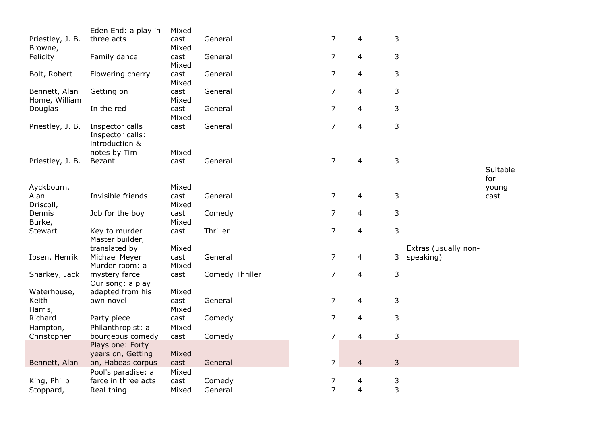|                                                                                                                                          | Eden End: a play in                                                                                                                                                                                                                                                | Mixed                                                                                                               |                                                                                |                                                                                                               |                                                                                  |                                 |                                   |          |
|------------------------------------------------------------------------------------------------------------------------------------------|--------------------------------------------------------------------------------------------------------------------------------------------------------------------------------------------------------------------------------------------------------------------|---------------------------------------------------------------------------------------------------------------------|--------------------------------------------------------------------------------|---------------------------------------------------------------------------------------------------------------|----------------------------------------------------------------------------------|---------------------------------|-----------------------------------|----------|
| Priestley, J. B.                                                                                                                         | three acts                                                                                                                                                                                                                                                         | cast                                                                                                                | General                                                                        | 7                                                                                                             | 4                                                                                | 3                               |                                   |          |
| Browne,                                                                                                                                  |                                                                                                                                                                                                                                                                    | Mixed                                                                                                               |                                                                                |                                                                                                               |                                                                                  |                                 |                                   |          |
| Felicity                                                                                                                                 | Family dance                                                                                                                                                                                                                                                       | cast                                                                                                                | General                                                                        | $\overline{7}$                                                                                                | 4                                                                                | 3                               |                                   |          |
|                                                                                                                                          |                                                                                                                                                                                                                                                                    | Mixed                                                                                                               |                                                                                |                                                                                                               |                                                                                  |                                 |                                   |          |
| Bolt, Robert                                                                                                                             | Flowering cherry                                                                                                                                                                                                                                                   | cast                                                                                                                | General                                                                        | $\overline{7}$                                                                                                | 4                                                                                | 3                               |                                   |          |
|                                                                                                                                          |                                                                                                                                                                                                                                                                    | Mixed                                                                                                               |                                                                                |                                                                                                               |                                                                                  |                                 |                                   |          |
| Bennett, Alan                                                                                                                            | Getting on                                                                                                                                                                                                                                                         | cast                                                                                                                | General                                                                        | $\overline{7}$                                                                                                | 4                                                                                | 3                               |                                   |          |
| Home, William                                                                                                                            |                                                                                                                                                                                                                                                                    | Mixed                                                                                                               |                                                                                |                                                                                                               |                                                                                  |                                 |                                   |          |
| Douglas                                                                                                                                  | In the red                                                                                                                                                                                                                                                         | cast                                                                                                                | General                                                                        | $\overline{7}$                                                                                                | 4                                                                                | 3                               |                                   |          |
|                                                                                                                                          |                                                                                                                                                                                                                                                                    | Mixed                                                                                                               |                                                                                |                                                                                                               |                                                                                  |                                 |                                   |          |
| Priestley, J. B.                                                                                                                         | Inspector calls                                                                                                                                                                                                                                                    | cast                                                                                                                | General                                                                        | $\overline{7}$                                                                                                | $\overline{4}$                                                                   | 3                               |                                   |          |
|                                                                                                                                          | Inspector calls:                                                                                                                                                                                                                                                   |                                                                                                                     |                                                                                |                                                                                                               |                                                                                  |                                 |                                   |          |
|                                                                                                                                          | introduction &                                                                                                                                                                                                                                                     |                                                                                                                     |                                                                                |                                                                                                               |                                                                                  |                                 |                                   |          |
|                                                                                                                                          | notes by Tim                                                                                                                                                                                                                                                       | Mixed                                                                                                               |                                                                                |                                                                                                               |                                                                                  |                                 |                                   |          |
| Priestley, J. B.                                                                                                                         | Bezant                                                                                                                                                                                                                                                             | cast                                                                                                                | General                                                                        | $\overline{7}$                                                                                                | 4                                                                                | 3                               |                                   |          |
|                                                                                                                                          |                                                                                                                                                                                                                                                                    |                                                                                                                     |                                                                                |                                                                                                               |                                                                                  |                                 |                                   | Suitable |
|                                                                                                                                          |                                                                                                                                                                                                                                                                    |                                                                                                                     |                                                                                |                                                                                                               |                                                                                  |                                 |                                   | for      |
| Ayckbourn,                                                                                                                               |                                                                                                                                                                                                                                                                    | Mixed                                                                                                               |                                                                                |                                                                                                               |                                                                                  |                                 |                                   | young    |
| Alan                                                                                                                                     | Invisible friends                                                                                                                                                                                                                                                  | cast                                                                                                                | General                                                                        | 7                                                                                                             | 4                                                                                | 3                               |                                   | cast     |
| Driscoll,                                                                                                                                |                                                                                                                                                                                                                                                                    | Mixed                                                                                                               |                                                                                |                                                                                                               |                                                                                  |                                 |                                   |          |
| Dennis                                                                                                                                   | Job for the boy                                                                                                                                                                                                                                                    | cast                                                                                                                | Comedy                                                                         | 7                                                                                                             | 4                                                                                | 3                               |                                   |          |
| Burke,                                                                                                                                   |                                                                                                                                                                                                                                                                    | Mixed                                                                                                               |                                                                                | $\overline{7}$                                                                                                |                                                                                  |                                 |                                   |          |
| Stewart                                                                                                                                  | Key to murder<br>Master builder,                                                                                                                                                                                                                                   | cast                                                                                                                | Thriller                                                                       |                                                                                                               | 4                                                                                | 3                               |                                   |          |
|                                                                                                                                          |                                                                                                                                                                                                                                                                    |                                                                                                                     |                                                                                |                                                                                                               |                                                                                  |                                 |                                   |          |
|                                                                                                                                          |                                                                                                                                                                                                                                                                    |                                                                                                                     |                                                                                |                                                                                                               |                                                                                  |                                 |                                   |          |
|                                                                                                                                          |                                                                                                                                                                                                                                                                    |                                                                                                                     |                                                                                |                                                                                                               |                                                                                  |                                 |                                   |          |
|                                                                                                                                          |                                                                                                                                                                                                                                                                    |                                                                                                                     |                                                                                |                                                                                                               |                                                                                  |                                 |                                   |          |
|                                                                                                                                          |                                                                                                                                                                                                                                                                    |                                                                                                                     |                                                                                |                                                                                                               |                                                                                  |                                 |                                   |          |
|                                                                                                                                          |                                                                                                                                                                                                                                                                    |                                                                                                                     |                                                                                |                                                                                                               |                                                                                  |                                 |                                   |          |
|                                                                                                                                          |                                                                                                                                                                                                                                                                    |                                                                                                                     |                                                                                |                                                                                                               |                                                                                  |                                 |                                   |          |
|                                                                                                                                          |                                                                                                                                                                                                                                                                    |                                                                                                                     |                                                                                |                                                                                                               |                                                                                  |                                 |                                   |          |
|                                                                                                                                          |                                                                                                                                                                                                                                                                    |                                                                                                                     |                                                                                |                                                                                                               |                                                                                  |                                 |                                   |          |
|                                                                                                                                          |                                                                                                                                                                                                                                                                    |                                                                                                                     |                                                                                |                                                                                                               |                                                                                  |                                 |                                   |          |
|                                                                                                                                          |                                                                                                                                                                                                                                                                    |                                                                                                                     |                                                                                |                                                                                                               |                                                                                  |                                 |                                   |          |
|                                                                                                                                          |                                                                                                                                                                                                                                                                    |                                                                                                                     |                                                                                |                                                                                                               |                                                                                  |                                 |                                   |          |
|                                                                                                                                          |                                                                                                                                                                                                                                                                    |                                                                                                                     |                                                                                |                                                                                                               |                                                                                  |                                 |                                   |          |
|                                                                                                                                          |                                                                                                                                                                                                                                                                    |                                                                                                                     |                                                                                |                                                                                                               |                                                                                  |                                 |                                   |          |
|                                                                                                                                          |                                                                                                                                                                                                                                                                    |                                                                                                                     |                                                                                |                                                                                                               |                                                                                  |                                 |                                   |          |
|                                                                                                                                          | farce in three acts                                                                                                                                                                                                                                                |                                                                                                                     |                                                                                |                                                                                                               |                                                                                  |                                 |                                   |          |
| Stoppard,                                                                                                                                | Real thing                                                                                                                                                                                                                                                         | Mixed                                                                                                               | General                                                                        | $\overline{7}$                                                                                                | 4                                                                                | 3                               |                                   |          |
| Ibsen, Henrik<br>Sharkey, Jack<br>Waterhouse,<br>Keith<br>Harris,<br>Richard<br>Hampton,<br>Christopher<br>Bennett, Alan<br>King, Philip | translated by<br>Michael Meyer<br>Murder room: a<br>mystery farce<br>Our song: a play<br>adapted from his<br>own novel<br>Party piece<br>Philanthropist: a<br>bourgeous comedy<br>Plays one: Forty<br>years on, Getting<br>on, Habeas corpus<br>Pool's paradise: a | Mixed<br>cast<br>Mixed<br>cast<br>Mixed<br>cast<br>Mixed<br>cast<br>Mixed<br>cast<br>Mixed<br>cast<br>Mixed<br>cast | General<br>Comedy Thriller<br>General<br>Comedy<br>Comedy<br>General<br>Comedy | $\overline{7}$<br>7<br>$\overline{7}$<br>$\overline{7}$<br>$\overline{7}$<br>$\overline{7}$<br>$\overline{7}$ | 4<br>4<br>4<br>$\overline{4}$<br>$\overline{4}$<br>$\overline{\mathcal{L}}$<br>4 | 3<br>3<br>3<br>3<br>3<br>3<br>3 | Extras (usually non-<br>speaking) |          |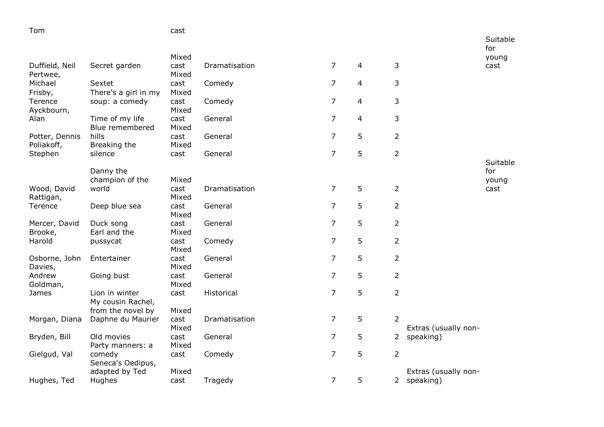| Tom                   |                                     | cast          |               |                |                |                |                      |               |
|-----------------------|-------------------------------------|---------------|---------------|----------------|----------------|----------------|----------------------|---------------|
|                       |                                     |               |               |                |                |                |                      | Suitable      |
|                       |                                     | Mixed         |               |                |                |                |                      | for           |
| Duffield, Neil        | Secret garden                       | cast          | Dramatisation | $\overline{7}$ | 4              | 3              |                      | young<br>cast |
| Pertwee,              |                                     | Mixed         |               |                |                |                |                      |               |
| Michael               | Sextet                              | cast          | Comedy        | $\overline{7}$ | $\overline{4}$ | 3              |                      |               |
| Frisby,               | There's a girl in my                | Mixed         |               |                |                |                |                      |               |
| Terence<br>Ayckbourn, | soup: a comedy                      | cast<br>Mixed | Comedy        | $\overline{7}$ | 4              | 3              |                      |               |
| Alan                  | Time of my life                     | cast          | General       | $\overline{7}$ | 4              | 3              |                      |               |
|                       | Blue remembered                     | Mixed         |               |                |                |                |                      |               |
| Potter, Dennis        | hills                               | cast          | General       | $\overline{7}$ | 5              | $\overline{2}$ |                      |               |
| Poliakoff,            | Breaking the<br>silence             | Mixed<br>cast | General       | $\overline{7}$ | 5              | $\overline{2}$ |                      |               |
| Stephen               |                                     |               |               |                |                |                |                      | Suitable      |
|                       | Danny the                           |               |               |                |                |                |                      | for           |
|                       | champion of the                     | Mixed         |               |                |                |                |                      | young         |
| Wood, David           | world                               | cast          | Dramatisation | $\overline{7}$ | 5              | $\overline{2}$ |                      | cast          |
| Rattigan,<br>Terence  | Deep blue sea                       | Mixed<br>cast | General       | $\overline{7}$ | 5              | 2              |                      |               |
|                       |                                     | Mixed         |               |                |                |                |                      |               |
| Mercer, David         | Duck song                           | cast          | General       | $\overline{7}$ | 5              | $\overline{2}$ |                      |               |
| Brooke,               | Earl and the                        | Mixed         |               |                |                |                |                      |               |
| Harold                | pussycat                            | cast<br>Mixed | Comedy        | $\overline{7}$ | 5              | $\overline{2}$ |                      |               |
| Osborne, John         | Entertainer                         | cast          | General       | $\overline{7}$ | 5              | $\overline{2}$ |                      |               |
| Davies,               |                                     | Mixed         |               |                |                |                |                      |               |
| Andrew<br>Goldman,    | Going bust                          | cast<br>Mixed | General       | $\overline{7}$ | 5              | $\overline{2}$ |                      |               |
| James                 | Lion in winter                      | cast          | Historical    | $\overline{7}$ | 5              | $\overline{2}$ |                      |               |
|                       | My cousin Rachel,                   |               |               |                |                |                |                      |               |
|                       | from the novel by                   | Mixed         |               |                |                |                |                      |               |
| Morgan, Diana         | Daphne du Maurier                   | cast<br>Mixed | Dramatisation | $\overline{7}$ | 5              | $\overline{2}$ | Extras (usually non- |               |
| Bryden, Bill          | Old movies                          | cast          | General       | $\overline{7}$ | 5              |                | 2 speaking)          |               |
|                       | Party manners: a                    | Mixed         |               |                |                |                |                      |               |
| Gielgud, Val          | comedy                              | cast          | Comedy        | $\overline{7}$ | 5              | $\overline{2}$ |                      |               |
|                       | Seneca's Oedipus,<br>adapted by Ted | Mixed         |               |                |                |                | Extras (usually non- |               |
| Hughes, Ted           | <b>Hughes</b>                       | cast          | Tragedy       | $\overline{7}$ | 5              |                | 2 speaking)          |               |
|                       |                                     |               |               |                |                |                |                      |               |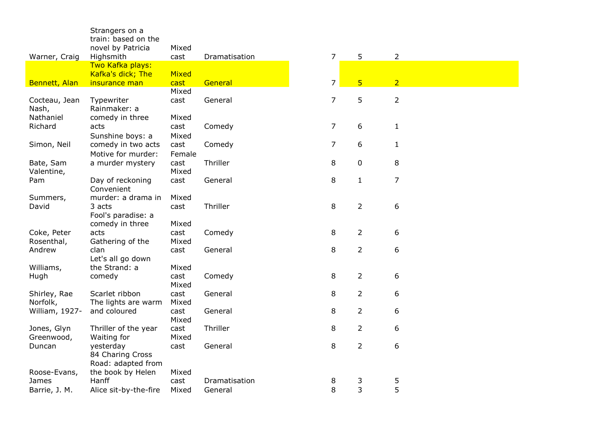|                         | Strangers on a<br>train: based on the |               |               |  |                                  |                |  |
|-------------------------|---------------------------------------|---------------|---------------|--|----------------------------------|----------------|--|
| Warner, Craig           | novel by Patricia<br>Highsmith        | Mixed<br>cast | Dramatisation |  | $\overline{7}$<br>5              | $\overline{2}$ |  |
|                         | Two Kafka plays:                      |               |               |  |                                  |                |  |
| Bennett, Alan           | Kafka's dick; The<br>insurance man    | Mixed<br>cast | General       |  | 5 <sub>5</sub><br>$\overline{7}$ | $\overline{2}$ |  |
|                         |                                       | Mixed         |               |  |                                  |                |  |
| Cocteau, Jean<br>Nash,  | Typewriter<br>Rainmaker: a            | cast          | General       |  | 5<br>$\overline{7}$              | $\overline{2}$ |  |
| Nathaniel               | comedy in three                       | Mixed         |               |  |                                  |                |  |
| Richard                 | acts                                  | cast          | Comedy        |  | $\overline{7}$<br>6              | $\mathbf{1}$   |  |
|                         | Sunshine boys: a                      | Mixed         |               |  |                                  |                |  |
| Simon, Neil             | comedy in two acts                    | cast          | Comedy        |  | $\overline{7}$<br>6              | $\mathbf{1}$   |  |
|                         | Motive for murder:                    | Female        |               |  |                                  |                |  |
| Bate, Sam<br>Valentine, | a murder mystery                      | cast<br>Mixed | Thriller      |  | 8<br>$\mathbf 0$                 | 8              |  |
| Pam                     | Day of reckoning                      | cast          | General       |  | 8<br>$\mathbf{1}$                | 7              |  |
|                         | Convenient                            |               |               |  |                                  |                |  |
| Summers,                | murder: a drama in                    | Mixed         |               |  |                                  |                |  |
| David                   | 3 acts                                | cast          | Thriller      |  | $\overline{2}$<br>8              | 6              |  |
|                         | Fool's paradise: a<br>comedy in three | Mixed         |               |  |                                  |                |  |
| Coke, Peter             | acts                                  | cast          | Comedy        |  | $\overline{2}$<br>8              | 6              |  |
| Rosenthal,              | Gathering of the                      | Mixed         |               |  |                                  |                |  |
| Andrew                  | clan                                  | cast          | General       |  | $\overline{2}$<br>8              | 6              |  |
|                         | Let's all go down                     |               |               |  |                                  |                |  |
| Williams,               | the Strand: a                         | Mixed         |               |  |                                  |                |  |
| Hugh                    | comedy                                | cast<br>Mixed | Comedy        |  | 8<br>$\overline{2}$              | 6              |  |
| Shirley, Rae            | Scarlet ribbon                        | cast          | General       |  | 8<br>$\overline{2}$              | 6              |  |
| Norfolk,                | The lights are warm                   | Mixed         |               |  |                                  |                |  |
| William, 1927-          | and coloured                          | cast          | General       |  | 8<br>$\overline{2}$              | 6              |  |
|                         |                                       | Mixed         |               |  |                                  |                |  |
| Jones, Glyn             | Thriller of the year                  | cast          | Thriller      |  | $\overline{2}$<br>8              | 6              |  |
| Greenwood,              | Waiting for<br>yesterday              | Mixed         | General       |  | $\overline{2}$<br>8              | 6              |  |
| Duncan                  | 84 Charing Cross                      | cast          |               |  |                                  |                |  |
|                         | Road: adapted from                    |               |               |  |                                  |                |  |
| Roose-Evans,            | the book by Helen                     | Mixed         |               |  |                                  |                |  |
| James                   | Hanff                                 | cast          | Dramatisation |  | 3<br>8                           | 5              |  |
| Barrie, J. M.           | Alice sit-by-the-fire                 | Mixed         | General       |  | 3<br>8                           | 5              |  |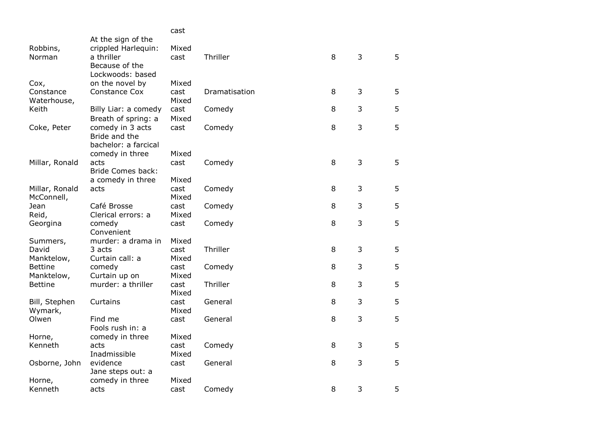|                                 |                                                                                  | cast                   |               |   |   |   |
|---------------------------------|----------------------------------------------------------------------------------|------------------------|---------------|---|---|---|
| Robbins,<br>Norman              | At the sign of the<br>crippled Harlequin:<br>a thriller<br>Because of the        | Mixed<br>cast          | Thriller      | 8 | 3 | 5 |
| Cox,<br>Constance               | Lockwoods: based<br>on the novel by<br>Constance Cox                             | Mixed<br>cast          | Dramatisation | 8 | 3 | 5 |
| Waterhouse,                     |                                                                                  | Mixed                  |               |   |   |   |
| Keith                           | Billy Liar: a comedy                                                             | cast                   | Comedy        | 8 | 3 | 5 |
| Coke, Peter                     | Breath of spring: a<br>comedy in 3 acts<br>Bride and the<br>bachelor: a farcical | Mixed<br>cast          | Comedy        | 8 | 3 | 5 |
| Millar, Ronald                  | comedy in three<br>acts<br><b>Bride Comes back:</b>                              | Mixed<br>cast          | Comedy        | 8 | 3 | 5 |
| Millar, Ronald<br>McConnell,    | a comedy in three<br>acts                                                        | Mixed<br>cast<br>Mixed | Comedy        | 8 | 3 | 5 |
| Jean<br>Reid,                   | Café Brosse<br>Clerical errors: a                                                | cast<br>Mixed          | Comedy        | 8 | 3 | 5 |
| Georgina                        | comedy<br>Convenient                                                             | cast                   | Comedy        | 8 | 3 | 5 |
| Summers,<br>David<br>Manktelow, | murder: a drama in<br>3 acts<br>Curtain call: a                                  | Mixed<br>cast<br>Mixed | Thriller      | 8 | 3 | 5 |
| <b>Bettine</b><br>Manktelow,    | comedy<br>Curtain up on                                                          | cast<br>Mixed          | Comedy        | 8 | 3 | 5 |
| <b>Bettine</b>                  | murder: a thriller                                                               | cast<br>Mixed          | Thriller      | 8 | 3 | 5 |
| Bill, Stephen<br>Wymark,        | Curtains                                                                         | cast<br>Mixed          | General       | 8 | 3 | 5 |
| Olwen                           | Find me<br>Fools rush in: a                                                      | cast                   | General       | 8 | 3 | 5 |
| Horne,<br>Kenneth               | comedy in three<br>acts                                                          | Mixed<br>cast          | Comedy        | 8 | 3 | 5 |
| Osborne, John                   | Inadmissible<br>evidence<br>Jane steps out: a                                    | Mixed<br>cast          | General       | 8 | 3 | 5 |
| Horne,<br>Kenneth               | comedy in three<br>acts                                                          | Mixed<br>cast          | Comedy        | 8 | 3 | 5 |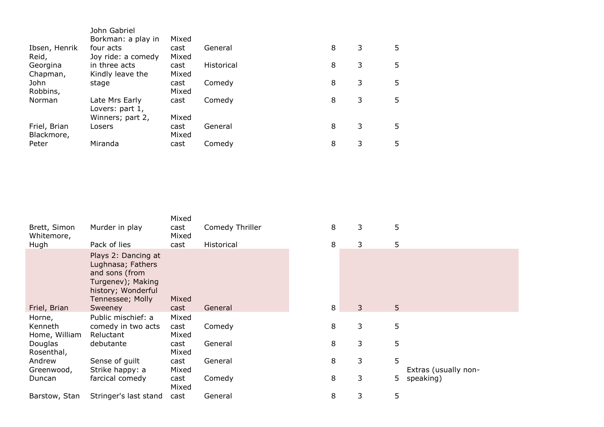|                            | John Gabriel<br>Borkman: a play in  | Mixed         |                   |   |   |    |
|----------------------------|-------------------------------------|---------------|-------------------|---|---|----|
| Ibsen, Henrik<br>Reid,     | four acts                           | cast<br>Mixed | General           | 8 | 3 | 5. |
| Georgina                   | Joy ride: a comedy<br>in three acts | cast          | <b>Historical</b> | 8 | 3 | 5  |
| Chapman,<br>John           | Kindly leave the<br>stage           | Mixed<br>cast | Comedy            | 8 | 3 | 5  |
| Robbins,                   |                                     | Mixed         |                   |   |   |    |
| Norman                     | Late Mrs Early<br>Lovers: part 1,   | cast          | Comedy            | 8 | 3 | 5  |
|                            | Winners; part 2,                    | Mixed         |                   |   |   |    |
| Friel, Brian<br>Blackmore, | Losers                              | cast<br>Mixed | General           | 8 | 3 | 5  |
| Peter                      | Miranda                             | cast          | Comedy            | 8 | 3 | 5  |

|                            |                                                                                                                                      | Mixed         |                 |   |   |   |                      |
|----------------------------|--------------------------------------------------------------------------------------------------------------------------------------|---------------|-----------------|---|---|---|----------------------|
| Brett, Simon<br>Whitemore, | Murder in play                                                                                                                       | cast<br>Mixed | Comedy Thriller | 8 | 3 | 5 |                      |
| Hugh                       | Pack of lies                                                                                                                         | cast          | Historical      | 8 | 3 | 5 |                      |
| Friel, Brian               | Plays 2: Dancing at<br>Lughnasa; Fathers<br>and sons (from<br>Turgenev); Making<br>history; Wonderful<br>Tennessee; Molly<br>Sweeney | Mixed<br>cast | General         | 8 | 3 | 5 |                      |
| Horne,                     | Public mischief: a                                                                                                                   | Mixed         |                 |   |   |   |                      |
| Kenneth<br>Home, William   | comedy in two acts<br>Reluctant                                                                                                      | cast<br>Mixed | Comedy          | 8 | 3 | 5 |                      |
| Douglas<br>Rosenthal,      | debutante                                                                                                                            | cast<br>Mixed | General         | 8 | 3 | 5 |                      |
| Andrew<br>Greenwood,       | Sense of guilt<br>Strike happy: a                                                                                                    | cast<br>Mixed | General         | 8 | 3 | 5 | Extras (usually non- |
| Duncan                     | farcical comedy                                                                                                                      | cast<br>Mixed | Comedy          | 8 | 3 | 5 | speaking)            |
| Barstow, Stan              | Stringer's last stand                                                                                                                | cast          | General         | 8 | 3 | 5 |                      |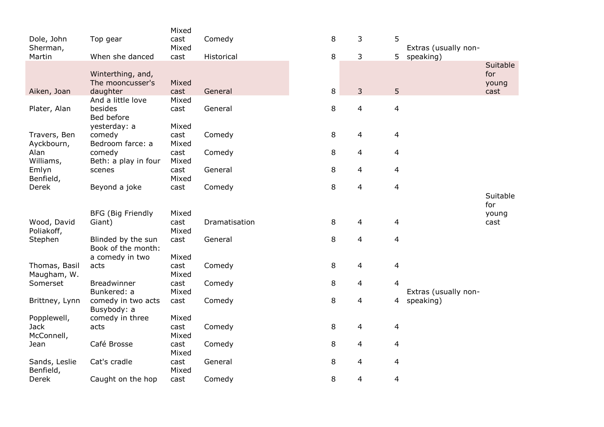|                            |                          | Mixed |               |   |   |                |   |                      |          |
|----------------------------|--------------------------|-------|---------------|---|---|----------------|---|----------------------|----------|
| Dole, John                 | Top gear                 | cast  | Comedy        |   | 8 | 3              | 5 |                      |          |
| Sherman,                   |                          | Mixed |               |   |   |                |   | Extras (usually non- |          |
| Martin                     | When she danced          | cast  | Historical    |   | 8 | 3              | 5 | speaking)            |          |
|                            |                          |       |               |   |   |                |   |                      | Suitable |
|                            | Winterthing, and,        |       |               |   |   |                |   |                      | for      |
|                            | The mooncusser's         | Mixed |               |   |   |                |   |                      | young    |
| Aiken, Joan                | daughter                 | cast  | General       |   | 8 | 3              | 5 |                      | cast     |
|                            | And a little love        | Mixed |               |   |   |                |   |                      |          |
| Plater, Alan               | besides<br>Bed before    | cast  | General       |   | 8 | $\overline{4}$ | 4 |                      |          |
|                            |                          | Mixed |               |   |   |                |   |                      |          |
| Travers, Ben               | yesterday: a<br>comedy   | cast  | Comedy        |   | 8 | 4              | 4 |                      |          |
| Ayckbourn,                 | Bedroom farce: a         | Mixed |               |   |   |                |   |                      |          |
| Alan                       | comedy                   | cast  | Comedy        |   | 8 | 4              | 4 |                      |          |
| Williams,                  | Beth: a play in four     | Mixed |               |   |   |                |   |                      |          |
| Emlyn                      | scenes                   | cast  | General       |   | 8 | $\overline{4}$ | 4 |                      |          |
| Benfield,                  |                          | Mixed |               |   |   |                |   |                      |          |
| Derek                      | Beyond a joke            | cast  | Comedy        | 8 |   | 4              | 4 |                      |          |
|                            |                          |       |               |   |   |                |   |                      | Suitable |
|                            |                          |       |               |   |   |                |   |                      | for      |
|                            | <b>BFG (Big Friendly</b> | Mixed |               |   |   |                |   |                      | young    |
| Wood, David                | Giant)                   | cast  | Dramatisation |   | 8 | 4              | 4 |                      | cast     |
| Poliakoff,                 |                          | Mixed |               |   |   |                |   |                      |          |
| Stephen                    | Blinded by the sun       | cast  | General       |   | 8 | $\overline{4}$ | 4 |                      |          |
|                            | Book of the month:       |       |               |   |   |                |   |                      |          |
|                            | a comedy in two          | Mixed |               |   |   |                |   |                      |          |
| Thomas, Basil              | acts                     | cast  | Comedy        |   | 8 | 4              | 4 |                      |          |
| Maugham, W.                |                          | Mixed |               |   |   |                |   |                      |          |
| Somerset                   | Breadwinner              | cast  | Comedy        |   | 8 | 4              | 4 |                      |          |
|                            | Bunkered: a              | Mixed |               |   |   |                |   | Extras (usually non- |          |
| Brittney, Lynn             | comedy in two acts       | cast  | Comedy        |   | 8 | $\overline{4}$ | 4 | speaking)            |          |
|                            | Busybody: a              | Mixed |               |   |   |                |   |                      |          |
| Popplewell,<br><b>Jack</b> | comedy in three          | cast  |               |   | 8 | 4              | 4 |                      |          |
| McConnell,                 | acts                     | Mixed | Comedy        |   |   |                |   |                      |          |
| Jean                       | Café Brosse              | cast  | Comedy        |   | 8 | 4              | 4 |                      |          |
|                            |                          | Mixed |               |   |   |                |   |                      |          |
| Sands, Leslie              | Cat's cradle             | cast  | General       |   | 8 | 4              | 4 |                      |          |
| Benfield,                  |                          | Mixed |               |   |   |                |   |                      |          |
| Derek                      | Caught on the hop        | cast  | Comedy        |   | 8 | 4              | 4 |                      |          |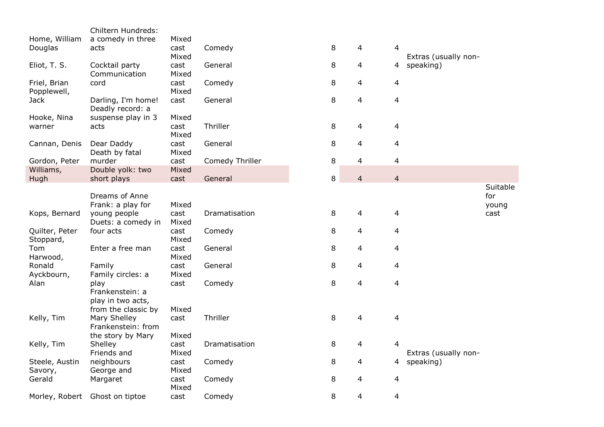|                | Chiltern Hundreds:                 |               |                 |        |                |                |                      |          |
|----------------|------------------------------------|---------------|-----------------|--------|----------------|----------------|----------------------|----------|
| Home, William  | a comedy in three                  | Mixed         |                 |        |                |                |                      |          |
| Douglas        | acts                               | cast          | Comedy          | 8      | 4              | 4              |                      |          |
|                |                                    | Mixed         |                 |        |                |                | Extras (usually non- |          |
| Eliot, T. S.   | Cocktail party                     | cast          | General         | 8      | 4              | 4              | speaking)            |          |
|                | Communication                      | Mixed         |                 |        |                |                |                      |          |
| Friel, Brian   | cord                               | cast          | Comedy          | 8      | 4              | 4              |                      |          |
| Popplewell,    |                                    | Mixed         |                 |        |                |                |                      |          |
| <b>Jack</b>    | Darling, I'm home!                 | cast          | General         | 8      | $\overline{4}$ | 4              |                      |          |
|                | Deadly record: a                   |               |                 |        |                |                |                      |          |
| Hooke, Nina    | suspense play in 3                 | Mixed         |                 |        |                |                |                      |          |
| warner         | acts                               | cast          | Thriller        | 8      | 4              | 4              |                      |          |
|                |                                    | Mixed         |                 |        |                |                |                      |          |
| Cannan, Denis  | Dear Daddy                         | cast          | General         | 8      | 4              | 4              |                      |          |
|                | Death by fatal                     | Mixed         |                 |        |                |                |                      |          |
| Gordon, Peter  | murder                             | cast          | Comedy Thriller | 8      | 4              | 4              |                      |          |
| Williams,      | Double yolk: two                   | Mixed         |                 |        |                |                |                      |          |
| Hugh           | short plays                        | cast          | General         | $\, 8$ | $\overline{4}$ | $\overline{4}$ |                      |          |
|                |                                    |               |                 |        |                |                |                      | Suitable |
|                | Dreams of Anne                     |               |                 |        |                |                |                      | for      |
|                | Frank: a play for                  | Mixed         | Dramatisation   |        |                |                |                      | young    |
| Kops, Bernard  | young people<br>Duets: a comedy in | cast<br>Mixed |                 | 8      | $\overline{4}$ | 4              |                      | cast     |
| Quilter, Peter | four acts                          | cast          | Comedy          | 8      | 4              | 4              |                      |          |
| Stoppard,      |                                    | Mixed         |                 |        |                |                |                      |          |
| Tom            | Enter a free man                   | cast          | General         | 8      | 4              | 4              |                      |          |
| Harwood,       |                                    | Mixed         |                 |        |                |                |                      |          |
| Ronald         | Family                             | cast          | General         | 8      | 4              | 4              |                      |          |
| Ayckbourn,     | Family circles: a                  | Mixed         |                 |        |                |                |                      |          |
| Alan           | play                               | cast          | Comedy          | 8      | $\overline{4}$ | $\overline{4}$ |                      |          |
|                | Frankenstein: a                    |               |                 |        |                |                |                      |          |
|                | play in two acts,                  |               |                 |        |                |                |                      |          |
|                | from the classic by                | Mixed         |                 |        |                |                |                      |          |
| Kelly, Tim     | Mary Shelley                       | cast          | Thriller        | 8      | $\overline{4}$ | 4              |                      |          |
|                | Frankenstein: from                 |               |                 |        |                |                |                      |          |
|                | the story by Mary                  | Mixed         |                 |        |                |                |                      |          |
| Kelly, Tim     | Shelley                            | cast          | Dramatisation   | 8      | 4              | 4              |                      |          |
|                | Friends and                        | Mixed         |                 |        |                |                | Extras (usually non- |          |
| Steele, Austin | neighbours                         | cast          | Comedy          | 8      | 4              | 4              | speaking)            |          |
| Savory,        | George and                         | Mixed         |                 |        |                |                |                      |          |
| Gerald         | Margaret                           | cast          | Comedy          | 8      | 4              | 4              |                      |          |
|                |                                    | Mixed         |                 |        |                |                |                      |          |
|                | Morley, Robert Ghost on tiptoe     | cast          | Comedy          | 8      | 4              | 4              |                      |          |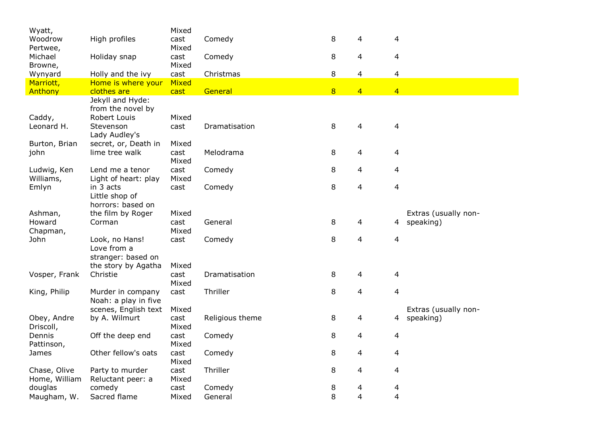| High profiles<br>Comedy<br>8<br>4<br>Woodrow<br>cast<br>4<br>Mixed<br>Pertwee,<br>8<br>Comedy<br>4<br>4<br>Michael<br>Holiday snap<br>cast<br>Mixed<br>Browne,<br>8<br>4<br>$\overline{4}$<br>Holly and the ivy<br>cast<br>Christmas<br>Wynyard<br>Marriott,<br>Home is where your<br>Mixed<br>8<br>$\overline{4}$<br>General<br>$\overline{4}$<br>Anthony<br>clothes are<br>cast<br>Jekyll and Hyde:<br>from the novel by<br>Caddy,<br>Robert Louis<br>Mixed<br>Leonard H.<br>Stevenson<br>Dramatisation<br>8<br>4<br>4<br>cast<br>Lady Audley's<br>secret, or, Death in<br>Mixed<br>Burton, Brian<br>8<br>lime tree walk<br>cast<br>Melodrama<br>4<br>$\overline{4}$<br>john<br>Mixed<br>8<br>$\overline{4}$<br>Ludwig, Ken<br>Lend me a tenor<br>cast<br>Comedy<br>4<br>Williams,<br>Mixed<br>Light of heart: play<br>8<br>in 3 acts<br>Comedy<br>4<br>4<br>Emlyn<br>cast<br>Little shop of<br>horrors: based on<br>the film by Roger<br>Mixed<br>Extras (usually non-<br>Ashman,<br>8<br>Corman<br>General<br>4<br>speaking)<br>Howard<br>cast<br>$\overline{4}$<br>Mixed<br>Chapman,<br>8<br>4<br>$\overline{4}$<br>John<br>Look, no Hans!<br>cast<br>Comedy<br>Love from a<br>stranger: based on<br>Mixed<br>the story by Agatha<br>8<br>4<br>Vosper, Frank<br>Christie<br>cast<br>Dramatisation<br>4<br>Mixed<br>8<br>Thriller<br>4<br>4<br>King, Philip<br>cast<br>Murder in company<br>Noah: a play in five<br>Mixed<br>Extras (usually non-<br>scenes, English text<br>Religious theme<br>Obey, Andre<br>by A. Wilmurt<br>cast<br>8<br>speaking)<br>4<br>4 | Wyatt,    | Mixed |  |  |  |
|----------------------------------------------------------------------------------------------------------------------------------------------------------------------------------------------------------------------------------------------------------------------------------------------------------------------------------------------------------------------------------------------------------------------------------------------------------------------------------------------------------------------------------------------------------------------------------------------------------------------------------------------------------------------------------------------------------------------------------------------------------------------------------------------------------------------------------------------------------------------------------------------------------------------------------------------------------------------------------------------------------------------------------------------------------------------------------------------------------------------------------------------------------------------------------------------------------------------------------------------------------------------------------------------------------------------------------------------------------------------------------------------------------------------------------------------------------------------------------------------------------------------------------------------------------------------|-----------|-------|--|--|--|
|                                                                                                                                                                                                                                                                                                                                                                                                                                                                                                                                                                                                                                                                                                                                                                                                                                                                                                                                                                                                                                                                                                                                                                                                                                                                                                                                                                                                                                                                                                                                                                      |           |       |  |  |  |
|                                                                                                                                                                                                                                                                                                                                                                                                                                                                                                                                                                                                                                                                                                                                                                                                                                                                                                                                                                                                                                                                                                                                                                                                                                                                                                                                                                                                                                                                                                                                                                      |           |       |  |  |  |
|                                                                                                                                                                                                                                                                                                                                                                                                                                                                                                                                                                                                                                                                                                                                                                                                                                                                                                                                                                                                                                                                                                                                                                                                                                                                                                                                                                                                                                                                                                                                                                      |           |       |  |  |  |
|                                                                                                                                                                                                                                                                                                                                                                                                                                                                                                                                                                                                                                                                                                                                                                                                                                                                                                                                                                                                                                                                                                                                                                                                                                                                                                                                                                                                                                                                                                                                                                      |           |       |  |  |  |
|                                                                                                                                                                                                                                                                                                                                                                                                                                                                                                                                                                                                                                                                                                                                                                                                                                                                                                                                                                                                                                                                                                                                                                                                                                                                                                                                                                                                                                                                                                                                                                      |           |       |  |  |  |
|                                                                                                                                                                                                                                                                                                                                                                                                                                                                                                                                                                                                                                                                                                                                                                                                                                                                                                                                                                                                                                                                                                                                                                                                                                                                                                                                                                                                                                                                                                                                                                      |           |       |  |  |  |
|                                                                                                                                                                                                                                                                                                                                                                                                                                                                                                                                                                                                                                                                                                                                                                                                                                                                                                                                                                                                                                                                                                                                                                                                                                                                                                                                                                                                                                                                                                                                                                      |           |       |  |  |  |
|                                                                                                                                                                                                                                                                                                                                                                                                                                                                                                                                                                                                                                                                                                                                                                                                                                                                                                                                                                                                                                                                                                                                                                                                                                                                                                                                                                                                                                                                                                                                                                      |           |       |  |  |  |
|                                                                                                                                                                                                                                                                                                                                                                                                                                                                                                                                                                                                                                                                                                                                                                                                                                                                                                                                                                                                                                                                                                                                                                                                                                                                                                                                                                                                                                                                                                                                                                      |           |       |  |  |  |
|                                                                                                                                                                                                                                                                                                                                                                                                                                                                                                                                                                                                                                                                                                                                                                                                                                                                                                                                                                                                                                                                                                                                                                                                                                                                                                                                                                                                                                                                                                                                                                      |           |       |  |  |  |
|                                                                                                                                                                                                                                                                                                                                                                                                                                                                                                                                                                                                                                                                                                                                                                                                                                                                                                                                                                                                                                                                                                                                                                                                                                                                                                                                                                                                                                                                                                                                                                      |           |       |  |  |  |
|                                                                                                                                                                                                                                                                                                                                                                                                                                                                                                                                                                                                                                                                                                                                                                                                                                                                                                                                                                                                                                                                                                                                                                                                                                                                                                                                                                                                                                                                                                                                                                      |           |       |  |  |  |
|                                                                                                                                                                                                                                                                                                                                                                                                                                                                                                                                                                                                                                                                                                                                                                                                                                                                                                                                                                                                                                                                                                                                                                                                                                                                                                                                                                                                                                                                                                                                                                      |           |       |  |  |  |
|                                                                                                                                                                                                                                                                                                                                                                                                                                                                                                                                                                                                                                                                                                                                                                                                                                                                                                                                                                                                                                                                                                                                                                                                                                                                                                                                                                                                                                                                                                                                                                      |           |       |  |  |  |
|                                                                                                                                                                                                                                                                                                                                                                                                                                                                                                                                                                                                                                                                                                                                                                                                                                                                                                                                                                                                                                                                                                                                                                                                                                                                                                                                                                                                                                                                                                                                                                      |           |       |  |  |  |
|                                                                                                                                                                                                                                                                                                                                                                                                                                                                                                                                                                                                                                                                                                                                                                                                                                                                                                                                                                                                                                                                                                                                                                                                                                                                                                                                                                                                                                                                                                                                                                      |           |       |  |  |  |
|                                                                                                                                                                                                                                                                                                                                                                                                                                                                                                                                                                                                                                                                                                                                                                                                                                                                                                                                                                                                                                                                                                                                                                                                                                                                                                                                                                                                                                                                                                                                                                      |           |       |  |  |  |
|                                                                                                                                                                                                                                                                                                                                                                                                                                                                                                                                                                                                                                                                                                                                                                                                                                                                                                                                                                                                                                                                                                                                                                                                                                                                                                                                                                                                                                                                                                                                                                      |           |       |  |  |  |
|                                                                                                                                                                                                                                                                                                                                                                                                                                                                                                                                                                                                                                                                                                                                                                                                                                                                                                                                                                                                                                                                                                                                                                                                                                                                                                                                                                                                                                                                                                                                                                      |           |       |  |  |  |
|                                                                                                                                                                                                                                                                                                                                                                                                                                                                                                                                                                                                                                                                                                                                                                                                                                                                                                                                                                                                                                                                                                                                                                                                                                                                                                                                                                                                                                                                                                                                                                      |           |       |  |  |  |
|                                                                                                                                                                                                                                                                                                                                                                                                                                                                                                                                                                                                                                                                                                                                                                                                                                                                                                                                                                                                                                                                                                                                                                                                                                                                                                                                                                                                                                                                                                                                                                      |           |       |  |  |  |
|                                                                                                                                                                                                                                                                                                                                                                                                                                                                                                                                                                                                                                                                                                                                                                                                                                                                                                                                                                                                                                                                                                                                                                                                                                                                                                                                                                                                                                                                                                                                                                      |           |       |  |  |  |
|                                                                                                                                                                                                                                                                                                                                                                                                                                                                                                                                                                                                                                                                                                                                                                                                                                                                                                                                                                                                                                                                                                                                                                                                                                                                                                                                                                                                                                                                                                                                                                      |           |       |  |  |  |
|                                                                                                                                                                                                                                                                                                                                                                                                                                                                                                                                                                                                                                                                                                                                                                                                                                                                                                                                                                                                                                                                                                                                                                                                                                                                                                                                                                                                                                                                                                                                                                      |           |       |  |  |  |
|                                                                                                                                                                                                                                                                                                                                                                                                                                                                                                                                                                                                                                                                                                                                                                                                                                                                                                                                                                                                                                                                                                                                                                                                                                                                                                                                                                                                                                                                                                                                                                      |           |       |  |  |  |
|                                                                                                                                                                                                                                                                                                                                                                                                                                                                                                                                                                                                                                                                                                                                                                                                                                                                                                                                                                                                                                                                                                                                                                                                                                                                                                                                                                                                                                                                                                                                                                      |           |       |  |  |  |
|                                                                                                                                                                                                                                                                                                                                                                                                                                                                                                                                                                                                                                                                                                                                                                                                                                                                                                                                                                                                                                                                                                                                                                                                                                                                                                                                                                                                                                                                                                                                                                      |           |       |  |  |  |
|                                                                                                                                                                                                                                                                                                                                                                                                                                                                                                                                                                                                                                                                                                                                                                                                                                                                                                                                                                                                                                                                                                                                                                                                                                                                                                                                                                                                                                                                                                                                                                      |           |       |  |  |  |
|                                                                                                                                                                                                                                                                                                                                                                                                                                                                                                                                                                                                                                                                                                                                                                                                                                                                                                                                                                                                                                                                                                                                                                                                                                                                                                                                                                                                                                                                                                                                                                      |           |       |  |  |  |
|                                                                                                                                                                                                                                                                                                                                                                                                                                                                                                                                                                                                                                                                                                                                                                                                                                                                                                                                                                                                                                                                                                                                                                                                                                                                                                                                                                                                                                                                                                                                                                      |           |       |  |  |  |
|                                                                                                                                                                                                                                                                                                                                                                                                                                                                                                                                                                                                                                                                                                                                                                                                                                                                                                                                                                                                                                                                                                                                                                                                                                                                                                                                                                                                                                                                                                                                                                      |           |       |  |  |  |
|                                                                                                                                                                                                                                                                                                                                                                                                                                                                                                                                                                                                                                                                                                                                                                                                                                                                                                                                                                                                                                                                                                                                                                                                                                                                                                                                                                                                                                                                                                                                                                      |           |       |  |  |  |
|                                                                                                                                                                                                                                                                                                                                                                                                                                                                                                                                                                                                                                                                                                                                                                                                                                                                                                                                                                                                                                                                                                                                                                                                                                                                                                                                                                                                                                                                                                                                                                      | Driscoll, | Mixed |  |  |  |
| 8<br>Dennis<br>Off the deep end<br>cast<br>Comedy<br>4<br>$\overline{4}$                                                                                                                                                                                                                                                                                                                                                                                                                                                                                                                                                                                                                                                                                                                                                                                                                                                                                                                                                                                                                                                                                                                                                                                                                                                                                                                                                                                                                                                                                             |           |       |  |  |  |
| Pattinson,<br>Mixed                                                                                                                                                                                                                                                                                                                                                                                                                                                                                                                                                                                                                                                                                                                                                                                                                                                                                                                                                                                                                                                                                                                                                                                                                                                                                                                                                                                                                                                                                                                                                  |           |       |  |  |  |
| Other fellow's oats<br>8<br>James<br>cast<br>Comedy<br>4<br>4                                                                                                                                                                                                                                                                                                                                                                                                                                                                                                                                                                                                                                                                                                                                                                                                                                                                                                                                                                                                                                                                                                                                                                                                                                                                                                                                                                                                                                                                                                        |           |       |  |  |  |
| Mixed                                                                                                                                                                                                                                                                                                                                                                                                                                                                                                                                                                                                                                                                                                                                                                                                                                                                                                                                                                                                                                                                                                                                                                                                                                                                                                                                                                                                                                                                                                                                                                |           |       |  |  |  |
| Thriller<br>8<br>4<br>4<br>Chase, Olive<br>Party to murder<br>cast                                                                                                                                                                                                                                                                                                                                                                                                                                                                                                                                                                                                                                                                                                                                                                                                                                                                                                                                                                                                                                                                                                                                                                                                                                                                                                                                                                                                                                                                                                   |           |       |  |  |  |
| Home, William<br>Reluctant peer: a<br>Mixed                                                                                                                                                                                                                                                                                                                                                                                                                                                                                                                                                                                                                                                                                                                                                                                                                                                                                                                                                                                                                                                                                                                                                                                                                                                                                                                                                                                                                                                                                                                          |           |       |  |  |  |
| douglas<br>comedy<br>cast<br>Comedy<br>8<br>4<br>4                                                                                                                                                                                                                                                                                                                                                                                                                                                                                                                                                                                                                                                                                                                                                                                                                                                                                                                                                                                                                                                                                                                                                                                                                                                                                                                                                                                                                                                                                                                   |           |       |  |  |  |
| 8<br>$\overline{4}$<br>Sacred flame<br>$\overline{4}$<br>Maugham, W.<br>Mixed<br>General                                                                                                                                                                                                                                                                                                                                                                                                                                                                                                                                                                                                                                                                                                                                                                                                                                                                                                                                                                                                                                                                                                                                                                                                                                                                                                                                                                                                                                                                             |           |       |  |  |  |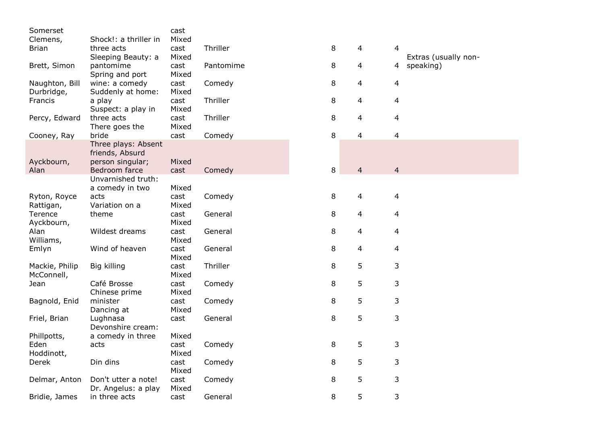| Somerset       |                       | cast  |           |   |                |                         |                      |
|----------------|-----------------------|-------|-----------|---|----------------|-------------------------|----------------------|
| Clemens,       | Shock!: a thriller in | Mixed |           |   |                |                         |                      |
| <b>Brian</b>   | three acts            | cast  | Thriller  | 8 | 4              | 4                       |                      |
|                | Sleeping Beauty: a    | Mixed |           |   |                |                         | Extras (usually non- |
| Brett, Simon   | pantomime             | cast  | Pantomime | 8 | 4              | 4                       | speaking)            |
|                | Spring and port       | Mixed |           |   |                |                         |                      |
| Naughton, Bill | wine: a comedy        | cast  | Comedy    | 8 | $\overline{4}$ | 4                       |                      |
| Durbridge,     | Suddenly at home:     | Mixed |           |   |                |                         |                      |
| Francis        | a play                | cast  | Thriller  | 8 | $\overline{4}$ | 4                       |                      |
|                | Suspect: a play in    | Mixed |           |   |                |                         |                      |
| Percy, Edward  | three acts            | cast  | Thriller  | 8 | $\overline{4}$ | $\overline{4}$          |                      |
|                | There goes the        | Mixed |           |   |                |                         |                      |
| Cooney, Ray    | bride                 | cast  | Comedy    | 8 | 4              | $\overline{\mathbf{4}}$ |                      |
|                | Three plays: Absent   |       |           |   |                |                         |                      |
|                | friends, Absurd       |       |           |   |                |                         |                      |
| Ayckbourn,     | person singular;      | Mixed |           |   |                |                         |                      |
| Alan           | Bedroom farce         | cast  | Comedy    | 8 | $\overline{4}$ | $\overline{4}$          |                      |
|                | Unvarnished truth:    |       |           |   |                |                         |                      |
|                | a comedy in two       | Mixed |           |   |                |                         |                      |
| Ryton, Royce   | acts                  | cast  | Comedy    | 8 | 4              | 4                       |                      |
| Rattigan,      | Variation on a        | Mixed |           |   |                |                         |                      |
| Terence        | theme                 | cast  | General   | 8 | 4              | 4                       |                      |
| Ayckbourn,     |                       | Mixed |           |   |                |                         |                      |
| Alan           | Wildest dreams        | cast  | General   | 8 | 4              | 4                       |                      |
| Williams,      |                       | Mixed |           |   |                |                         |                      |
| Emlyn          | Wind of heaven        | cast  | General   | 8 | 4              | 4                       |                      |
|                |                       | Mixed |           |   |                |                         |                      |
| Mackie, Philip | Big killing           | cast  | Thriller  | 8 | 5              | 3                       |                      |
| McConnell,     |                       | Mixed |           |   |                |                         |                      |
| Jean           | Café Brosse           | cast  | Comedy    | 8 | 5              | 3                       |                      |
|                | Chinese prime         | Mixed |           |   |                |                         |                      |
| Bagnold, Enid  | minister              | cast  | Comedy    | 8 | 5              | 3                       |                      |
|                | Dancing at            | Mixed |           |   |                |                         |                      |
| Friel, Brian   | Lughnasa              | cast  | General   | 8 | 5              | 3                       |                      |
|                | Devonshire cream:     |       |           |   |                |                         |                      |
| Phillpotts,    | a comedy in three     | Mixed |           |   |                |                         |                      |
| Eden           | acts                  | cast  | Comedy    | 8 | 5              | 3                       |                      |
| Hoddinott,     |                       | Mixed |           |   |                |                         |                      |
| Derek          | Din dins              | cast  | Comedy    | 8 | 5              | 3                       |                      |
|                |                       | Mixed |           |   |                |                         |                      |
| Delmar, Anton  | Don't utter a note!   | cast  | Comedy    | 8 | 5              | 3                       |                      |
|                | Dr. Angelus: a play   | Mixed |           |   |                |                         |                      |
| Bridie, James  | in three acts         | cast  | General   | 8 | 5              | 3                       |                      |
|                |                       |       |           |   |                |                         |                      |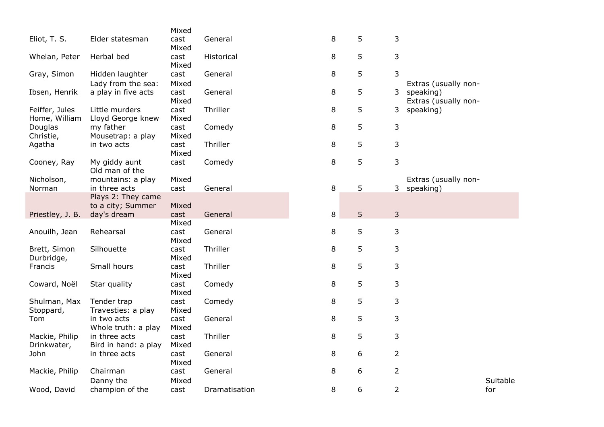|                                 |                                         | Mixed         |               |        |   |                |                                   |
|---------------------------------|-----------------------------------------|---------------|---------------|--------|---|----------------|-----------------------------------|
| Eliot, T. S.                    | Elder statesman                         | cast<br>Mixed | General       | 8      | 5 | 3              |                                   |
| Whelan, Peter                   | Herbal bed                              | cast<br>Mixed | Historical    | 8      | 5 | 3              |                                   |
| Gray, Simon                     | Hidden laughter<br>Lady from the sea:   | cast<br>Mixed | General       | 8      | 5 | 3              | Extras (usually non-              |
| Ibsen, Henrik                   | a play in five acts                     | cast<br>Mixed | General       | 8      | 5 | 3              | speaking)<br>Extras (usually non- |
| Feiffer, Jules<br>Home, William | Little murders<br>Lloyd George knew     | cast<br>Mixed | Thriller      | 8      | 5 | 3              | speaking)                         |
| Douglas<br>Christie,            | my father<br>Mousetrap: a play          | cast<br>Mixed | Comedy        | 8      | 5 | 3              |                                   |
| Agatha                          | in two acts                             | cast<br>Mixed | Thriller      | 8      | 5 | 3              |                                   |
| Cooney, Ray                     | My giddy aunt<br>Old man of the         | cast          | Comedy        | 8      | 5 | 3              |                                   |
| Nicholson,<br>Norman            | mountains: a play<br>in three acts      | Mixed<br>cast | General       | $\, 8$ | 5 | 3              | Extras (usually non-<br>speaking) |
|                                 | Plays 2: They came<br>to a city; Summer | Mixed         |               |        |   |                |                                   |
| Priestley, J. B.                | day's dream                             | cast<br>Mixed | General       | 8      | 5 | 3              |                                   |
| Anouilh, Jean                   | Rehearsal                               | cast<br>Mixed | General       | 8      | 5 | 3              |                                   |
| Brett, Simon<br>Durbridge,      | Silhouette                              | cast<br>Mixed | Thriller      | 8      | 5 | 3              |                                   |
| Francis                         | Small hours                             | cast<br>Mixed | Thriller      | 8      | 5 | 3              |                                   |
| Coward, Noël                    | Star quality                            | cast<br>Mixed | Comedy        | 8      | 5 | 3              |                                   |
| Shulman, Max<br>Stoppard,       | Tender trap<br>Travesties: a play       | cast<br>Mixed | Comedy        | 8      | 5 | 3              |                                   |
| Tom                             | in two acts<br>Whole truth: a play      | cast<br>Mixed | General       | 8      | 5 | 3              |                                   |
| Mackie, Philip<br>Drinkwater,   | in three acts<br>Bird in hand: a play   | cast<br>Mixed | Thriller      | 8      | 5 | 3              |                                   |
| John                            | in three acts                           | cast<br>Mixed | General       | 8      | 6 | $\overline{2}$ |                                   |
| Mackie, Philip                  | Chairman<br>Danny the                   | cast<br>Mixed | General       | 8      | 6 | $\overline{2}$ | Suitable                          |
| Wood, David                     | champion of the                         | cast          | Dramatisation | 8      | 6 | $\overline{2}$ | for                               |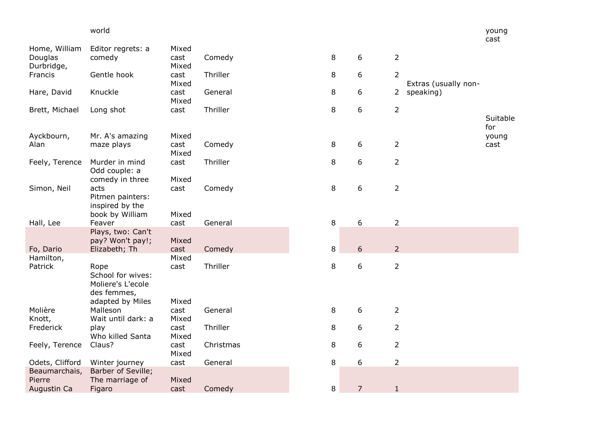|                                        | world                                                          |                        |           |         |                |                |                      | young<br>cast   |
|----------------------------------------|----------------------------------------------------------------|------------------------|-----------|---------|----------------|----------------|----------------------|-----------------|
| Home, William<br>Douglas<br>Durbridge, | Editor regrets: a<br>comedy                                    | Mixed<br>cast<br>Mixed | Comedy    | 8       | 6              | $\overline{2}$ |                      |                 |
| Francis                                | Gentle hook                                                    | cast<br>Mixed          | Thriller  | 8       | 6              | $\overline{2}$ | Extras (usually non- |                 |
| Hare, David                            | Knuckle                                                        | cast<br>Mixed          | General   | 8       | 6              |                | 2 speaking)          |                 |
| Brett, Michael                         | Long shot                                                      | cast                   | Thriller  | 8       | 6              | $\overline{2}$ |                      | Suitable<br>for |
| Ayckbourn,<br>Alan                     | Mr. A's amazing<br>maze plays                                  | Mixed<br>cast<br>Mixed | Comedy    | 8       | 6              | $\overline{2}$ |                      | young<br>cast   |
| Feely, Terence                         | Murder in mind<br>Odd couple: a<br>comedy in three             | cast<br>Mixed          | Thriller  | 8       | 6              | $\overline{2}$ |                      |                 |
| Simon, Neil                            | acts<br>Pitmen painters:<br>inspired by the<br>book by William | cast<br>Mixed          | Comedy    | $\,8\,$ | 6              | $\overline{2}$ |                      |                 |
| Hall, Lee                              | Feaver                                                         | cast                   | General   | 8       | 6              | $\overline{2}$ |                      |                 |
| Fo, Dario                              | Plays, two: Can't<br>pay? Won't pay!;<br>Elizabeth; Th         | Mixed<br>cast          | Comedy    | 8       | 6              | $\overline{2}$ |                      |                 |
| Hamilton,<br>Patrick                   | Rope<br>School for wives:<br>Moliere's L'ecole<br>des femmes,  | Mixed<br>cast          | Thriller  | 8       | 6              | $\overline{2}$ |                      |                 |
| Molière<br>Knott,                      | adapted by Miles<br>Malleson<br>Wait until dark: a             | Mixed<br>cast<br>Mixed | General   | 8       | 6              | $\overline{2}$ |                      |                 |
| Frederick                              | play<br>Who killed Santa                                       | cast<br>Mixed          | Thriller  | 8       | 6              | $\overline{2}$ |                      |                 |
| Feely, Terence                         | Claus?                                                         | cast<br>Mixed          | Christmas | 8       | 6              | $\overline{2}$ |                      |                 |
| Odets, Clifford                        | Winter journey                                                 | cast                   | General   | 8       | 6              | $\overline{2}$ |                      |                 |
| Beaumarchais,<br>Pierre<br>Augustin Ca | Barber of Seville;<br>The marriage of<br>Figaro                | Mixed<br>cast          | Comedy    | 8       | $\overline{7}$ | $\mathbf{1}$   |                      |                 |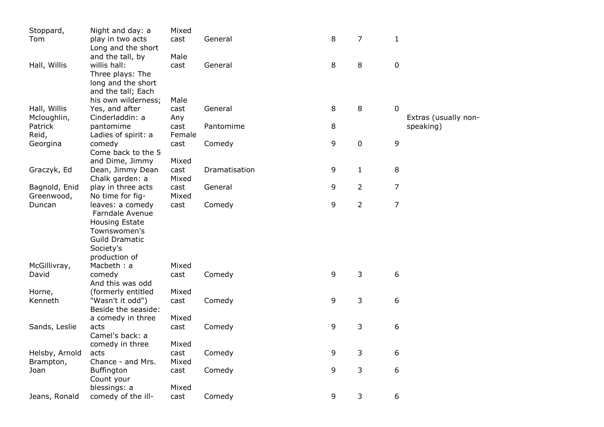| Stoppard,      | Night and day: a      | Mixed  |               |   |                |                      |
|----------------|-----------------------|--------|---------------|---|----------------|----------------------|
| Tom            | play in two acts      | cast   | General       | 8 | 7              | $\mathbf{1}$         |
|                | Long and the short    |        |               |   |                |                      |
|                | and the tall, by      | Male   |               |   |                |                      |
| Hall, Willis   | willis hall:          | cast   | General       | 8 | 8              | $\pmb{0}$            |
|                | Three plays: The      |        |               |   |                |                      |
|                | long and the short    |        |               |   |                |                      |
|                | and the tall; Each    |        |               |   |                |                      |
|                | his own wilderness;   | Male   |               |   |                |                      |
| Hall, Willis   | Yes, and after        | cast   | General       | 8 | 8              | $\mathbf 0$          |
| Mcloughlin,    | Cinderladdin: a       | Any    |               |   |                | Extras (usually non- |
| Patrick        | pantomime             | cast   | Pantomime     | 8 |                | speaking)            |
| Reid,          | Ladies of spirit: a   | Female |               |   |                |                      |
| Georgina       | comedy                | cast   | Comedy        | 9 | $\mathbf 0$    | $\mathsf 9$          |
|                | Come back to the 5    |        |               |   |                |                      |
|                | and Dime, Jimmy       | Mixed  |               |   |                |                      |
| Graczyk, Ed    | Dean, Jimmy Dean      | cast   | Dramatisation | 9 | $\mathbf{1}$   | 8                    |
|                | Chalk garden: a       | Mixed  |               |   |                |                      |
| Bagnold, Enid  | play in three acts    | cast   | General       | 9 | $\overline{2}$ | 7                    |
| Greenwood,     | No time for fig-      | Mixed  |               |   |                |                      |
| Duncan         | leaves: a comedy      | cast   | Comedy        | 9 | $\overline{2}$ | $\overline{7}$       |
|                | Farndale Avenue       |        |               |   |                |                      |
|                | <b>Housing Estate</b> |        |               |   |                |                      |
|                | Townswomen's          |        |               |   |                |                      |
|                | <b>Guild Dramatic</b> |        |               |   |                |                      |
|                | Society's             |        |               |   |                |                      |
|                | production of         |        |               |   |                |                      |
| McGillivray,   | Macbeth: a            | Mixed  |               |   |                |                      |
| David          | comedy                | cast   | Comedy        | 9 | 3              | 6                    |
|                | And this was odd      |        |               |   |                |                      |
| Horne,         | (formerly entitled    | Mixed  |               |   |                |                      |
| Kenneth        | "Wasn't it odd")      | cast   | Comedy        | 9 | 3              | 6                    |
|                | Beside the seaside:   |        |               |   |                |                      |
|                | a comedy in three     | Mixed  |               |   |                |                      |
| Sands, Leslie  | acts                  | cast   | Comedy        | 9 | 3              | 6                    |
|                | Camel's back: a       |        |               |   |                |                      |
|                | comedy in three       | Mixed  |               |   |                |                      |
| Helsby, Arnold | acts                  | cast   | Comedy        | 9 | 3              | 6                    |
| Brampton,      | Chance - and Mrs.     | Mixed  |               |   |                |                      |
| Joan           | <b>Buffington</b>     | cast   | Comedy        | 9 | 3              | 6                    |
|                | Count your            |        |               |   |                |                      |
|                | blessings: a          | Mixed  |               |   |                |                      |
| Jeans, Ronald  | comedy of the ill-    | cast   | Comedy        | 9 | 3              | 6                    |
|                |                       |        |               |   |                |                      |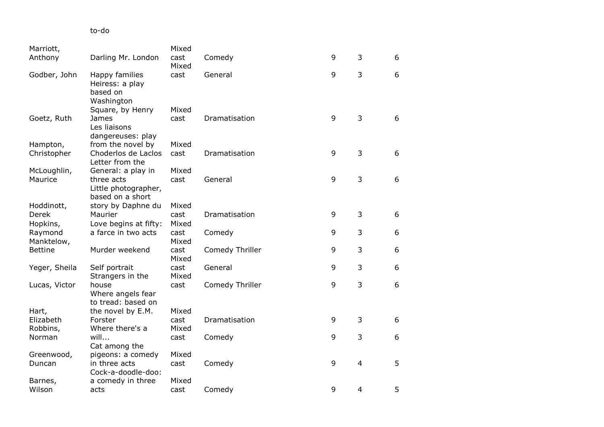## to -do

|                                                  | Mixed                                                                                                                              |                                                 |                                               |                                 |                                              |
|--------------------------------------------------|------------------------------------------------------------------------------------------------------------------------------------|-------------------------------------------------|-----------------------------------------------|---------------------------------|----------------------------------------------|
| Darling Mr. London                               | cast                                                                                                                               | Comedy                                          | 9                                             | 3                               | 6                                            |
|                                                  |                                                                                                                                    |                                                 |                                               |                                 |                                              |
| Heiress: a play<br>based on                      |                                                                                                                                    |                                                 |                                               |                                 | 6                                            |
|                                                  | Mixed                                                                                                                              |                                                 |                                               |                                 |                                              |
| James<br>Les liaisons<br>dangereuses: play       | cast                                                                                                                               | Dramatisation                                   | 9                                             | 3                               | 6                                            |
| from the novel by                                | Mixed                                                                                                                              |                                                 |                                               |                                 |                                              |
| Choderlos de Laclos<br>Letter from the           | cast                                                                                                                               | Dramatisation                                   | 9                                             | 3                               | 6                                            |
|                                                  |                                                                                                                                    |                                                 |                                               |                                 |                                              |
| Little photographer,<br>based on a short         |                                                                                                                                    |                                                 |                                               |                                 | 6                                            |
| story by Daphne du                               | Mixed                                                                                                                              |                                                 |                                               |                                 |                                              |
| Maurier                                          | cast                                                                                                                               | Dramatisation                                   | 9                                             | 3                               | 6                                            |
| Love begins at fifty:                            | Mixed                                                                                                                              |                                                 |                                               |                                 |                                              |
| a farce in two acts                              | cast                                                                                                                               | Comedy                                          | 9                                             | 3                               | 6                                            |
|                                                  | Mixed                                                                                                                              |                                                 |                                               |                                 |                                              |
| Murder weekend                                   | cast<br>Mixed                                                                                                                      | Comedy Thriller                                 | 9                                             |                                 | 6                                            |
| Self portrait<br>Strangers in the                | cast<br>Mixed                                                                                                                      | General                                         |                                               |                                 | 6                                            |
| house<br>Where angels fear<br>to tread: based on | cast                                                                                                                               | Comedy Thriller                                 | 9                                             | 3                               | 6                                            |
| the novel by E.M.                                | Mixed                                                                                                                              |                                                 |                                               |                                 |                                              |
| Forster                                          | cast                                                                                                                               |                                                 |                                               |                                 | 6                                            |
| Where there's a                                  | Mixed                                                                                                                              |                                                 |                                               |                                 |                                              |
|                                                  | cast                                                                                                                               | Comedy                                          |                                               |                                 | 6                                            |
| Cat among the                                    |                                                                                                                                    |                                                 |                                               |                                 |                                              |
|                                                  |                                                                                                                                    |                                                 |                                               |                                 |                                              |
| Cock-a-doodle-doo:                               |                                                                                                                                    |                                                 |                                               |                                 | 5                                            |
| a comedy in three                                | Mixed                                                                                                                              |                                                 |                                               |                                 |                                              |
| acts                                             | cast                                                                                                                               | Comedy                                          |                                               | $\overline{4}$                  | 5                                            |
|                                                  | Happy families<br>Washington<br>Square, by Henry<br>General: a play in<br>three acts<br>will<br>pigeons: a comedy<br>in three acts | Mixed<br>cast<br>Mixed<br>cast<br>Mixed<br>cast | General<br>General<br>Dramatisation<br>Comedy | 9<br>9<br>9<br>9<br>9<br>9<br>9 | 3<br>3<br>3<br>3<br>3<br>3<br>$\overline{4}$ |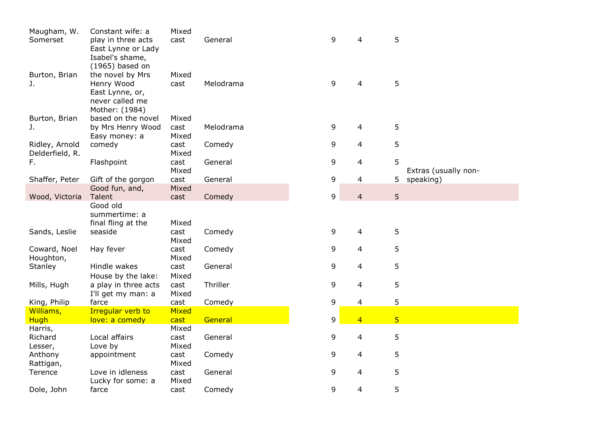| Maugham, W.     | Constant wife: a     | Mixed        |           |   |                         |                |                      |
|-----------------|----------------------|--------------|-----------|---|-------------------------|----------------|----------------------|
| Somerset        | play in three acts   | cast         | General   | 9 | 4                       | 5              |                      |
|                 | East Lynne or Lady   |              |           |   |                         |                |                      |
|                 |                      |              |           |   |                         |                |                      |
|                 | Isabel's shame,      |              |           |   |                         |                |                      |
|                 | (1965) based on      |              |           |   |                         |                |                      |
| Burton, Brian   | the novel by Mrs     | Mixed        |           |   |                         |                |                      |
| J.              | Henry Wood           | cast         | Melodrama | 9 | $\overline{4}$          | 5              |                      |
|                 | East Lynne, or,      |              |           |   |                         |                |                      |
|                 | never called me      |              |           |   |                         |                |                      |
|                 | Mother: (1984)       |              |           |   |                         |                |                      |
| Burton, Brian   | based on the novel   | Mixed        |           |   |                         |                |                      |
| J.              | by Mrs Henry Wood    | cast         | Melodrama | 9 | 4                       | 5              |                      |
|                 | Easy money: a        | Mixed        |           |   |                         |                |                      |
| Ridley, Arnold  | comedy               | cast         | Comedy    | 9 | 4                       | 5              |                      |
| Delderfield, R. |                      | Mixed        |           |   |                         |                |                      |
| F.              | Flashpoint           | cast         | General   | 9 | 4                       | 5              |                      |
|                 |                      | Mixed        |           |   |                         |                |                      |
|                 |                      |              |           |   |                         |                | Extras (usually non- |
| Shaffer, Peter  | Gift of the gorgon   | cast         | General   | 9 | 4                       | 5              | speaking)            |
|                 | Good fun, and,       | Mixed        |           |   |                         |                |                      |
| Wood, Victoria  | Talent               | cast         | Comedy    | 9 | $\overline{\mathbf{4}}$ | 5              |                      |
|                 | Good old             |              |           |   |                         |                |                      |
|                 | summertime: a        |              |           |   |                         |                |                      |
|                 | final fling at the   | Mixed        |           |   |                         |                |                      |
| Sands, Leslie   | seaside              | cast         | Comedy    | 9 | 4                       | 5              |                      |
|                 |                      | Mixed        |           |   |                         |                |                      |
| Coward, Noel    | Hay fever            | cast         | Comedy    | 9 | 4                       | 5              |                      |
| Houghton,       |                      | Mixed        |           |   |                         |                |                      |
| Stanley         | Hindle wakes         | cast         | General   | 9 | 4                       | 5              |                      |
|                 | House by the lake:   | Mixed        |           |   |                         |                |                      |
| Mills, Hugh     | a play in three acts | cast         | Thriller  | 9 | 4                       | 5              |                      |
|                 | I'll get my man: a   | Mixed        |           |   |                         |                |                      |
| King, Philip    | farce                | cast         | Comedy    | 9 | 4                       | 5              |                      |
| Williams,       | Irregular verb to    | <b>Mixed</b> |           |   |                         |                |                      |
| <b>Hugh</b>     | love: a comedy       | cast         | General   | 9 | $\overline{4}$          | 5 <sup>5</sup> |                      |
| Harris,         |                      | Mixed        |           |   |                         |                |                      |
| Richard         | Local affairs        |              | General   | 9 | 4                       | 5              |                      |
|                 |                      | cast         |           |   |                         |                |                      |
| Lesser,         | Love by              | Mixed        |           |   |                         |                |                      |
| Anthony         | appointment          | cast         | Comedy    | 9 | 4                       | 5              |                      |
| Rattigan,       |                      | Mixed        |           |   |                         |                |                      |
| Terence         | Love in idleness     | cast         | General   | 9 | 4                       | 5              |                      |
|                 | Lucky for some: a    | Mixed        |           |   |                         |                |                      |
| Dole, John      | farce                | cast         | Comedy    | 9 | 4                       | 5              |                      |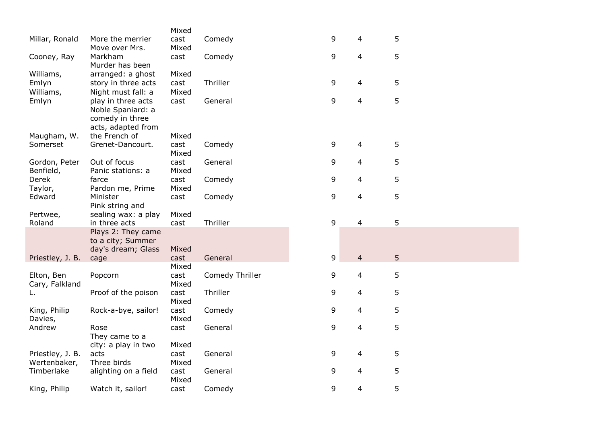|                         |                      | Mixed         |                 |   |                         |   |  |
|-------------------------|----------------------|---------------|-----------------|---|-------------------------|---|--|
| Millar, Ronald          | More the merrier     | cast          | Comedy          | 9 | 4                       | 5 |  |
|                         | Move over Mrs.       | Mixed         |                 |   |                         |   |  |
| Cooney, Ray             | Markham              | cast          | Comedy          | 9 | $\overline{\mathbf{4}}$ | 5 |  |
|                         | Murder has been      |               |                 |   |                         |   |  |
| Williams,               | arranged: a ghost    | Mixed         |                 |   |                         |   |  |
| Emlyn                   | story in three acts  | cast          | Thriller        | 9 | $\overline{\mathbf{4}}$ | 5 |  |
| Williams,               | Night must fall: a   | Mixed         |                 |   |                         |   |  |
| Emlyn                   | play in three acts   | cast          | General         | 9 | $\overline{4}$          | 5 |  |
|                         | Noble Spaniard: a    |               |                 |   |                         |   |  |
|                         | comedy in three      |               |                 |   |                         |   |  |
|                         | acts, adapted from   |               |                 |   |                         |   |  |
| Maugham, W.             | the French of        | Mixed         |                 |   |                         |   |  |
| Somerset                | Grenet-Dancourt.     | cast          | Comedy          | 9 | 4                       | 5 |  |
|                         |                      | Mixed         |                 |   |                         |   |  |
| Gordon, Peter           | Out of focus         | cast          | General         | 9 | 4                       | 5 |  |
| Benfield,               | Panic stations: a    | Mixed         |                 |   |                         |   |  |
| Derek                   | farce                | cast          | Comedy          | 9 | $\overline{4}$          | 5 |  |
| Taylor,                 | Pardon me, Prime     | Mixed         |                 |   |                         |   |  |
| Edward                  | Minister             | cast          | Comedy          | 9 | $\overline{\mathbf{4}}$ | 5 |  |
|                         | Pink string and      |               |                 |   |                         |   |  |
| Pertwee,                | sealing wax: a play  | Mixed         |                 |   |                         |   |  |
| Roland                  | in three acts        | cast          | Thriller        | 9 | $\overline{\mathbf{4}}$ | 5 |  |
|                         | Plays 2: They came   |               |                 |   |                         |   |  |
|                         | to a city; Summer    |               |                 |   |                         |   |  |
|                         | day's dream; Glass   | Mixed         |                 |   |                         |   |  |
| Priestley, J. B.        | cage                 | cast          | General         | 9 | $\overline{4}$          | 5 |  |
|                         |                      | Mixed         |                 |   |                         |   |  |
| Elton, Ben              | Popcorn              | cast          | Comedy Thriller | 9 | $\overline{4}$          | 5 |  |
| Cary, Falkland          |                      | Mixed         |                 |   |                         |   |  |
| L.                      | Proof of the poison  | cast          | Thriller        | 9 | 4                       | 5 |  |
|                         |                      | Mixed         |                 |   |                         |   |  |
| King, Philip<br>Davies, | Rock-a-bye, sailor!  | cast<br>Mixed | Comedy          | 9 | 4                       | 5 |  |
| Andrew                  | Rose                 | cast          | General         | 9 | 4                       | 5 |  |
|                         | They came to a       |               |                 |   |                         |   |  |
|                         | city: a play in two  | Mixed         |                 |   |                         |   |  |
| Priestley, J. B.        | acts                 | cast          | General         | 9 | $\overline{\mathbf{4}}$ | 5 |  |
| Wertenbaker,            | Three birds          | Mixed         |                 |   |                         |   |  |
| Timberlake              | alighting on a field | cast          | General         | 9 | 4                       | 5 |  |
|                         |                      | Mixed         |                 |   |                         |   |  |
| King, Philip            | Watch it, sailor!    | cast          | Comedy          | 9 | 4                       | 5 |  |
|                         |                      |               |                 |   |                         |   |  |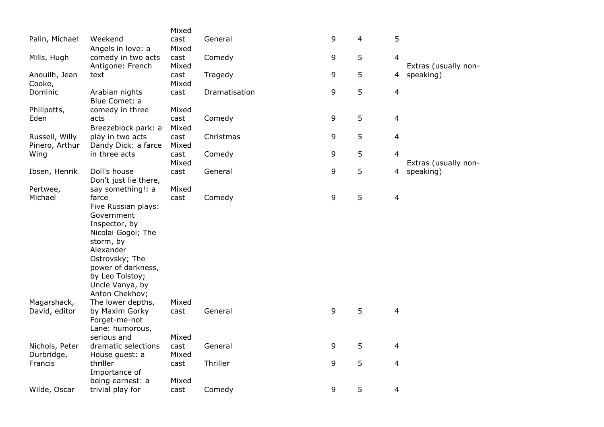|                |                                     | Mixed         |               |   |                |                          |                                   |
|----------------|-------------------------------------|---------------|---------------|---|----------------|--------------------------|-----------------------------------|
| Palin, Michael | Weekend                             | cast          | General       | 9 | $\overline{4}$ | 5                        |                                   |
|                | Angels in love: a                   | Mixed         |               |   |                |                          |                                   |
| Mills, Hugh    | comedy in two acts                  | cast          | Comedy        | 9 | 5              | $\overline{4}$           |                                   |
|                | Antigone: French                    | Mixed         |               |   |                |                          | Extras (usually non-              |
| Anouilh, Jean  | text                                | cast          | Tragedy       | 9 | 5              | 4                        | speaking)                         |
| Cooke,         |                                     | Mixed         |               |   |                |                          |                                   |
| Dominic        | Arabian nights<br>Blue Comet: a     | cast          | Dramatisation | 9 | 5              | $\overline{4}$           |                                   |
| Phillpotts,    | comedy in three                     | Mixed         |               |   |                |                          |                                   |
| Eden           | acts                                | cast          | Comedy        | 9 | 5              | $\overline{a}$           |                                   |
|                | Breezeblock park: a                 | Mixed         |               |   |                |                          |                                   |
| Russell, Willy | play in two acts                    | cast          | Christmas     | 9 | 5              | $\overline{\mathcal{L}}$ |                                   |
| Pinero, Arthur | Dandy Dick: a farce                 | Mixed         |               |   |                |                          |                                   |
| Wing           | in three acts                       | cast<br>Mixed | Comedy        | 9 | 5              | $\overline{4}$           |                                   |
| Ibsen, Henrik  | Doll's house                        | cast          | General       | 9 | 5              | 4                        | Extras (usually non-<br>speaking) |
|                | Don't just lie there,               |               |               |   |                |                          |                                   |
| Pertwee,       | say something!: a                   | Mixed         |               |   |                |                          |                                   |
| Michael        | farce                               | cast          | Comedy        | 9 | 5              | $\overline{\mathbf{4}}$  |                                   |
|                | Five Russian plays:                 |               |               |   |                |                          |                                   |
|                | Government                          |               |               |   |                |                          |                                   |
|                | Inspector, by                       |               |               |   |                |                          |                                   |
|                | Nicolai Gogol; The                  |               |               |   |                |                          |                                   |
|                | storm, by                           |               |               |   |                |                          |                                   |
|                | Alexander                           |               |               |   |                |                          |                                   |
|                | Ostrovsky; The                      |               |               |   |                |                          |                                   |
|                | power of darkness,                  |               |               |   |                |                          |                                   |
|                | by Leo Tolstoy;                     |               |               |   |                |                          |                                   |
|                | Uncle Vanya, by                     |               |               |   |                |                          |                                   |
| Magarshack,    | Anton Chekhov;<br>The lower depths, | Mixed         |               |   |                |                          |                                   |
| David, editor  | by Maxim Gorky                      | cast          | General       | 9 | 5              | $\overline{\mathbf{4}}$  |                                   |
|                | Forget-me-not                       |               |               |   |                |                          |                                   |
|                | Lane: humorous,                     |               |               |   |                |                          |                                   |
|                | serious and                         | Mixed         |               |   |                |                          |                                   |
| Nichols, Peter | dramatic selections                 | cast          | General       | 9 | 5              | $\overline{\mathbf{4}}$  |                                   |
| Durbridge,     | House guest: a                      | Mixed         |               |   |                |                          |                                   |
| Francis        | thriller                            | cast          | Thriller      | 9 | 5              | $\overline{\mathcal{L}}$ |                                   |
|                | Importance of                       |               |               |   |                |                          |                                   |
|                | being earnest: a                    | Mixed         |               |   |                |                          |                                   |
| Wilde, Oscar   | trivial play for                    | cast          | Comedy        | 9 | 5              | 4                        |                                   |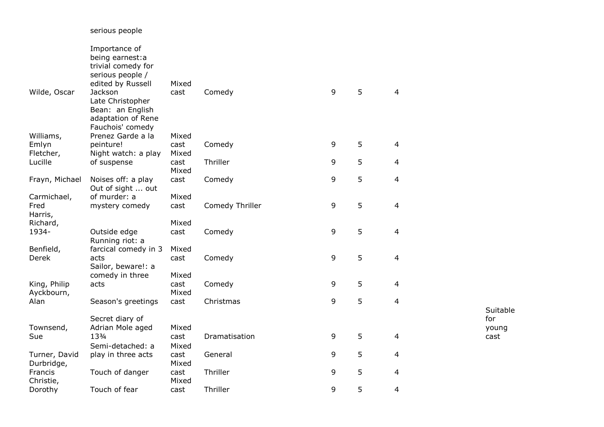|                   | Importance of                          |               |                 |   |   |                          |                 |
|-------------------|----------------------------------------|---------------|-----------------|---|---|--------------------------|-----------------|
|                   | being earnest:a                        |               |                 |   |   |                          |                 |
|                   | trivial comedy for                     |               |                 |   |   |                          |                 |
|                   | serious people /                       |               |                 |   |   |                          |                 |
|                   | edited by Russell                      | Mixed         |                 |   |   |                          |                 |
| Wilde, Oscar      | Jackson                                | cast          | Comedy          | 9 | 5 | $\overline{\mathcal{L}}$ |                 |
|                   | Late Christopher                       |               |                 |   |   |                          |                 |
|                   | Bean: an English                       |               |                 |   |   |                          |                 |
|                   | adaptation of Rene<br>Fauchois' comedy |               |                 |   |   |                          |                 |
| Williams,         | Prenez Garde a la                      | Mixed         |                 |   |   |                          |                 |
| Emlyn             | peinture!                              | cast          | Comedy          | 9 | 5 | 4                        |                 |
| Fletcher,         | Night watch: a play                    | Mixed         |                 |   |   |                          |                 |
| Lucille           | of suspense                            | cast          | Thriller        | 9 | 5 | 4                        |                 |
|                   |                                        | Mixed         |                 |   |   |                          |                 |
| Frayn, Michael    | Noises off: a play                     | cast          | Comedy          | 9 | 5 | 4                        |                 |
|                   | Out of sight  out                      |               |                 |   |   |                          |                 |
| Carmichael,       | of murder: a                           | Mixed         |                 |   |   |                          |                 |
| Fred              | mystery comedy                         | cast          | Comedy Thriller | 9 | 5 | 4                        |                 |
| Harris,           |                                        |               |                 |   |   |                          |                 |
| Richard,<br>1934- | Outside edge                           | Mixed<br>cast | Comedy          | 9 | 5 | $\overline{4}$           |                 |
|                   | Running riot: a                        |               |                 |   |   |                          |                 |
| Benfield,         | farcical comedy in 3                   | Mixed         |                 |   |   |                          |                 |
| Derek             | acts                                   | cast          | Comedy          | 9 | 5 | 4                        |                 |
|                   | Sailor, beware!: a                     |               |                 |   |   |                          |                 |
|                   | comedy in three                        | Mixed         |                 |   |   |                          |                 |
| King, Philip      | acts                                   | cast          | Comedy          | 9 | 5 | 4                        |                 |
| Ayckbourn,        |                                        | Mixed         |                 |   |   |                          |                 |
| Alan              | Season's greetings                     | cast          | Christmas       | 9 | 5 | 4                        |                 |
|                   | Secret diary of                        |               |                 |   |   |                          | Suitable<br>for |
| Townsend,         | Adrian Mole aged                       | Mixed         |                 |   |   |                          | young           |
| Sue               | 133/4                                  | cast          | Dramatisation   | 9 | 5 | $\overline{\mathcal{L}}$ | cast            |
|                   | Semi-detached: a                       | Mixed         |                 |   |   |                          |                 |
| Turner, David     | play in three acts                     | cast          | General         | 9 | 5 | 4                        |                 |
| Durbridge,        |                                        | Mixed         |                 |   |   |                          |                 |
| Francis           | Touch of danger                        | cast          | Thriller        | 9 | 5 | 4                        |                 |
| Christie,         |                                        | Mixed         |                 |   |   |                          |                 |
| Dorothy           | Touch of fear                          | cast          | Thriller        | 9 | 5 | 4                        |                 |

serious people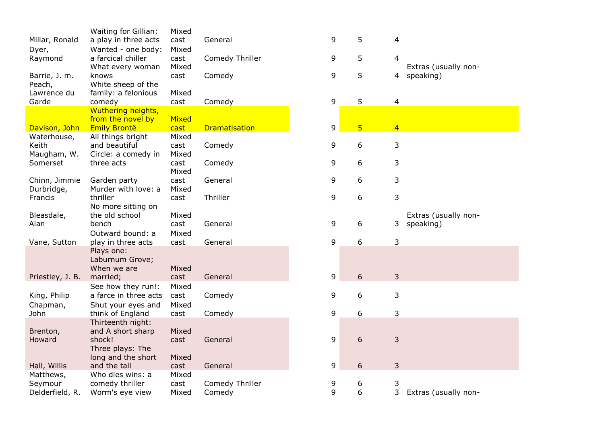|                  | Waiting for Gillian:  | Mixed |                      |   |                         |                |  |
|------------------|-----------------------|-------|----------------------|---|-------------------------|----------------|--|
| Millar, Ronald   | a play in three acts  | cast  | General              | 9 | 5                       | 4              |  |
| Dyer,            | Wanted - one body:    | Mixed |                      |   |                         |                |  |
| Raymond          | a farcical chiller    | cast  | Comedy Thriller      | 9 | 5                       | 4              |  |
|                  | What every woman      | Mixed |                      |   |                         |                |  |
| Barrie, J. m.    | knows                 | cast  | Comedy               | 9 | 5                       | 4              |  |
| Peach,           | White sheep of the    |       |                      |   |                         |                |  |
| Lawrence du      | family: a felonious   | Mixed |                      |   |                         |                |  |
| Garde            | comedy                | cast  | Comedy               | 9 | 5                       | 4              |  |
|                  | Wuthering heights,    |       |                      |   |                         |                |  |
|                  | from the novel by     | Mixed |                      |   |                         |                |  |
| Davison, John    | <b>Emily Brontë</b>   | cast  | <b>Dramatisation</b> | 9 | $\overline{\mathbf{5}}$ | $\overline{4}$ |  |
| Waterhouse,      | All things bright     | Mixed |                      |   |                         |                |  |
| Keith            | and beautiful         | cast  | Comedy               | 9 | 6                       | 3              |  |
| Maugham, W.      | Circle: a comedy in   | Mixed |                      |   |                         |                |  |
| Somerset         | three acts            | cast  | Comedy               | 9 | 6                       | 3              |  |
|                  |                       | Mixed |                      |   |                         |                |  |
| Chinn, Jimmie    | Garden party          | cast  | General              | 9 | 6                       | 3              |  |
| Durbridge,       | Murder with love: a   | Mixed |                      |   |                         |                |  |
| Francis          | thriller              | cast  | Thriller             | 9 | 6                       | 3              |  |
|                  | No more sitting on    |       |                      |   |                         |                |  |
| Bleasdale,       | the old school        | Mixed |                      |   |                         |                |  |
| Alan             | bench                 | cast  | General              | 9 | 6                       | 3              |  |
|                  | Outward bound: a      | Mixed |                      |   |                         |                |  |
| Vane, Sutton     | play in three acts    | cast  | General              | 9 | 6                       | 3              |  |
|                  | Plays one:            |       |                      |   |                         |                |  |
|                  | Laburnum Grove;       |       |                      |   |                         |                |  |
|                  | When we are           | Mixed |                      |   |                         |                |  |
| Priestley, J. B. | married;              | cast  | General              | 9 | 6                       | 3              |  |
|                  | See how they run!:    | Mixed |                      |   |                         |                |  |
| King, Philip     | a farce in three acts | cast  | Comedy               | 9 | 6                       | 3              |  |
| Chapman,         | Shut your eyes and    | Mixed |                      |   |                         |                |  |
| John             | think of England      | cast  | Comedy               | 9 | 6                       | 3              |  |
|                  | Thirteenth night:     |       |                      |   |                         |                |  |
| Brenton,         | and A short sharp     | Mixed |                      |   |                         |                |  |
| Howard           | shock!                | cast  | General              | 9 | 6                       | 3              |  |
|                  | Three plays: The      |       |                      |   |                         |                |  |
|                  | long and the short    | Mixed |                      |   |                         |                |  |
| Hall, Willis     | and the tall          | cast  | General              | 9 | 6                       | 3              |  |
| Matthews,        | Who dies wins: a      | Mixed |                      |   |                         |                |  |
| Seymour          | comedy thriller       | cast  | Comedy Thriller      | 9 | 6                       | 3              |  |
|                  |                       | Mixed |                      | 9 | 6                       | 3              |  |
| Delderfield, R.  | Worm's eye view       |       | Comedy               |   |                         |                |  |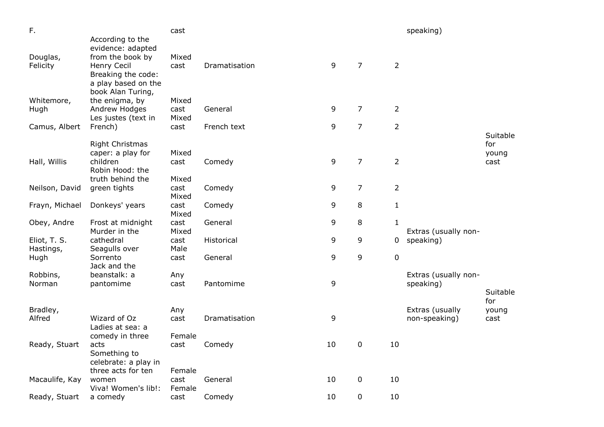| F.                        |                                                                                                   | cast           |               |    |                |                | speaking)            |                 |
|---------------------------|---------------------------------------------------------------------------------------------------|----------------|---------------|----|----------------|----------------|----------------------|-----------------|
|                           | According to the<br>evidence: adapted                                                             |                |               |    |                |                |                      |                 |
| Douglas,<br>Felicity      | from the book by<br>Henry Cecil<br>Breaking the code:<br>a play based on the<br>book Alan Turing, | Mixed<br>cast  | Dramatisation | 9  | $\overline{7}$ | $\overline{2}$ |                      |                 |
| Whitemore,                | the enigma, by                                                                                    | Mixed          |               |    |                |                |                      |                 |
| Hugh                      | Andrew Hodges                                                                                     | cast           | General       | 9  | $\overline{7}$ | $\overline{2}$ |                      |                 |
| Camus, Albert             | Les justes (text in<br>French)                                                                    | Mixed<br>cast  | French text   | 9  | $\overline{7}$ | $\overline{2}$ |                      |                 |
|                           |                                                                                                   |                |               |    |                |                |                      | Suitable        |
|                           | <b>Right Christmas</b><br>caper: a play for                                                       | Mixed          |               |    |                |                |                      | for<br>young    |
| Hall, Willis              | children                                                                                          | cast           | Comedy        | 9  | $\overline{7}$ | $\overline{2}$ |                      | cast            |
|                           | Robin Hood: the                                                                                   |                |               |    |                |                |                      |                 |
| Neilson, David            | truth behind the<br>green tights                                                                  | Mixed<br>cast  | Comedy        | 9  | $\overline{7}$ | $\overline{2}$ |                      |                 |
|                           |                                                                                                   | Mixed          |               |    |                |                |                      |                 |
| Frayn, Michael            | Donkeys' years                                                                                    | cast<br>Mixed  | Comedy        | 9  | 8              | $\mathbf{1}$   |                      |                 |
| Obey, Andre               | Frost at midnight<br>Murder in the                                                                | cast<br>Mixed  | General       | 9  | 8              | $\mathbf{1}$   | Extras (usually non- |                 |
| Eliot, T. S.<br>Hastings, | cathedral<br>Seagulls over                                                                        | cast<br>Male   | Historical    | 9  | 9              | 0              | speaking)            |                 |
| Hugh                      | Sorrento<br>Jack and the                                                                          | cast           | General       | 9  | 9              | $\pmb{0}$      |                      |                 |
| Robbins,                  | beanstalk: a                                                                                      | Any            |               |    |                |                | Extras (usually non- |                 |
| Norman                    | pantomime                                                                                         | cast           | Pantomime     | 9  |                |                | speaking)            |                 |
|                           |                                                                                                   |                |               |    |                |                |                      | Suitable<br>for |
| Bradley,                  |                                                                                                   | Any            |               |    |                |                | Extras (usually      | young           |
| Alfred                    | Wizard of Oz                                                                                      | cast           | Dramatisation | 9  |                |                | non-speaking)        | cast            |
|                           | Ladies at sea: a<br>comedy in three                                                               | Female         |               |    |                |                |                      |                 |
| Ready, Stuart             | acts<br>Something to<br>celebrate: a play in                                                      | cast           | Comedy        | 10 | 0              | 10             |                      |                 |
|                           | three acts for ten                                                                                | Female         |               |    |                |                |                      |                 |
| Macaulife, Kay            | women<br>Viva! Women's lib!:                                                                      | cast<br>Female | General       | 10 | 0              | 10             |                      |                 |
| Ready, Stuart             | a comedy                                                                                          | cast           | Comedy        | 10 | 0              | 10             |                      |                 |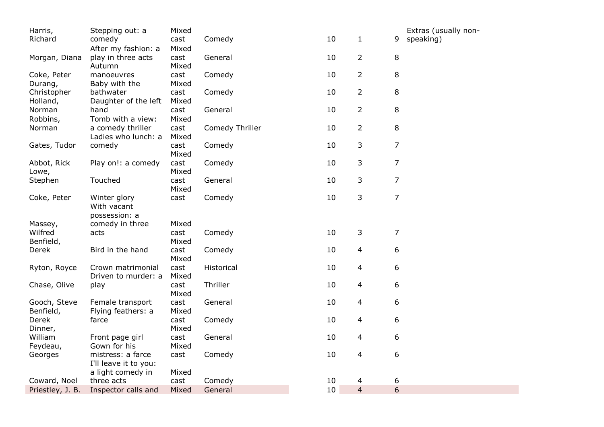| $\mathbf{1}$<br>10<br>speaking)<br>Richard<br>comedy<br>cast<br>Comedy<br>9                                                                                   | Extras (usually non- |
|---------------------------------------------------------------------------------------------------------------------------------------------------------------|----------------------|
| Mixed<br>After my fashion: a                                                                                                                                  |                      |
| 10<br>2<br>8<br>play in three acts<br>cast<br>General<br>Morgan, Diana<br>Mixed<br>Autumn                                                                     |                      |
| 10<br>$\overline{2}$<br>8<br>Comedy<br>Coke, Peter<br>manoeuvres<br>cast<br>Baby with the<br>Mixed<br>Durang,                                                 |                      |
| $\overline{2}$<br>8<br>Christopher<br>10<br>cast<br>Comedy<br>bathwater<br>Mixed<br>Holland,<br>Daughter of the left                                          |                      |
| $\overline{2}$<br>8<br>General<br>10<br>Norman<br>hand<br>cast                                                                                                |                      |
| Robbins,<br>Tomb with a view:<br>Mixed<br>$\overline{2}$<br>8<br>cast<br>Comedy Thriller<br>10<br>Norman<br>a comedy thriller<br>Mixed<br>Ladies who lunch: a |                      |
| 3<br>7<br>Gates, Tudor<br>10<br>comedy<br>cast<br>Comedy<br>Mixed                                                                                             |                      |
| 3<br>$\overline{7}$<br>10<br>Abbot, Rick<br>Play on!: a comedy<br>cast<br>Comedy<br>Mixed<br>Lowe,                                                            |                      |
| 3<br>$\overline{7}$<br>Stephen<br>Touched<br>General<br>10<br>cast<br>Mixed                                                                                   |                      |
| 3<br>$\overline{7}$<br>$10\,$<br>Coke, Peter<br>Comedy<br>Winter glory<br>cast<br>With vacant<br>possession: a                                                |                      |
| Mixed<br>Massey,<br>comedy in three                                                                                                                           |                      |
| 3<br>$\overline{7}$<br>10<br>Wilfred<br>cast<br>Comedy<br>acts<br>Mixed<br>Benfield,                                                                          |                      |
| 10<br>$\overline{4}$<br>6<br>Derek<br>Bird in the hand<br>cast<br>Comedy<br>Mixed                                                                             |                      |
| 10<br>$\overline{4}$<br>6<br>cast<br>Historical<br>Ryton, Royce<br>Crown matrimonial<br>Driven to murder: a<br>Mixed                                          |                      |
| 6<br>Thriller<br>10<br>$\overline{\mathcal{A}}$<br>Chase, Olive<br>cast<br>play<br>Mixed                                                                      |                      |
| 10<br>$\overline{4}$<br>6<br>General<br>Gooch, Steve<br>Female transport<br>cast<br>Benfield,<br>Mixed<br>Flying feathers: a                                  |                      |
| 10<br>$\overline{4}$<br>6<br>Derek<br>cast<br>Comedy<br>farce<br>Dinner,<br>Mixed                                                                             |                      |
| $\overline{4}$<br>6<br>William<br>General<br>10<br>Front page girl<br>cast<br>Gown for his<br>Mixed<br>Feydeau,                                               |                      |
| 4<br>6<br>mistress: a farce<br>10<br>Georges<br>cast<br>Comedy<br>I'll leave it to you:<br>a light comedy in<br>Mixed                                         |                      |
| 10<br>6<br>Coward, Noel<br>three acts<br>cast<br>Comedy<br>4                                                                                                  |                      |
| $\overline{4}$<br>6<br>10<br>Mixed<br>Priestley, J. B.<br>Inspector calls and<br>General                                                                      |                      |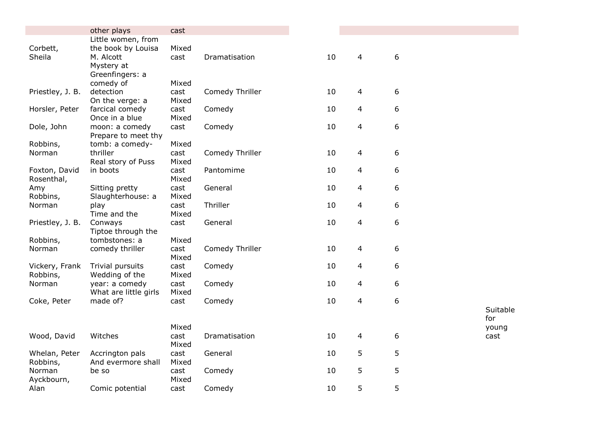|                  | other plays                             | cast          |                 |    |                          |   |  |
|------------------|-----------------------------------------|---------------|-----------------|----|--------------------------|---|--|
|                  | Little women, from                      |               |                 |    |                          |   |  |
| Corbett,         | the book by Louisa                      | Mixed         |                 |    |                          |   |  |
| Sheila           | M. Alcott                               | cast          | Dramatisation   | 10 | 4                        | 6 |  |
|                  | Mystery at                              |               |                 |    |                          |   |  |
|                  | Greenfingers: a                         |               |                 |    |                          |   |  |
|                  | comedy of                               | Mixed         |                 |    |                          |   |  |
| Priestley, J. B. | detection                               | cast          | Comedy Thriller | 10 | 4                        | 6 |  |
|                  | On the verge: a                         | Mixed         |                 |    |                          |   |  |
| Horsler, Peter   | farcical comedy                         | cast          | Comedy          | 10 | 4                        | 6 |  |
|                  | Once in a blue                          | Mixed         |                 |    |                          |   |  |
| Dole, John       | moon: a comedy                          | cast          | Comedy          | 10 | 4                        | 6 |  |
|                  | Prepare to meet thy                     |               |                 |    |                          |   |  |
| Robbins,         | tomb: a comedy-                         | Mixed         |                 |    |                          |   |  |
| Norman           | thriller                                | cast          | Comedy Thriller | 10 | 4                        | 6 |  |
|                  | Real story of Puss                      | Mixed         |                 |    |                          |   |  |
| Foxton, David    | in boots                                | cast          | Pantomime       | 10 | 4                        | 6 |  |
| Rosenthal,       |                                         | Mixed         |                 |    |                          |   |  |
| Amy              | Sitting pretty                          | cast          | General         | 10 | 4                        | 6 |  |
| Robbins,         | Slaughterhouse: a                       | Mixed         |                 |    |                          |   |  |
| Norman           | play                                    | cast          | Thriller        | 10 | 4                        | 6 |  |
|                  | Time and the                            | Mixed         |                 |    |                          |   |  |
| Priestley, J. B. | Conways                                 | cast          | General         | 10 | 4                        | 6 |  |
|                  | Tiptoe through the                      |               |                 |    |                          |   |  |
| Robbins,         | tombstones: a                           | Mixed         |                 |    |                          |   |  |
| Norman           | comedy thriller                         | cast          | Comedy Thriller | 10 | 4                        | 6 |  |
|                  |                                         | Mixed         |                 |    |                          |   |  |
| Vickery, Frank   | Trivial pursuits                        | cast          | Comedy          | 10 | 4                        | 6 |  |
| Robbins,         | Wedding of the                          | Mixed         |                 |    |                          |   |  |
| Norman           | year: a comedy<br>What are little girls | cast<br>Mixed | Comedy          | 10 | 4                        | 6 |  |
|                  | made of?                                |               |                 | 10 | 4                        | 6 |  |
| Coke, Peter      |                                         | cast          | Comedy          |    |                          |   |  |
|                  |                                         |               |                 |    |                          |   |  |
|                  |                                         | Mixed         |                 |    |                          |   |  |
| Wood, David      | Witches                                 | cast          | Dramatisation   | 10 | $\overline{\mathcal{L}}$ | 6 |  |
|                  |                                         | Mixed         |                 |    |                          |   |  |
| Whelan, Peter    | Accrington pals                         | cast          | General         | 10 | 5                        | 5 |  |
| Robbins,         | And evermore shall                      | Mixed         |                 |    |                          |   |  |
| Norman           | be so                                   | cast          | Comedy          | 10 | 5                        | 5 |  |
| Ayckbourn,       |                                         | Mixed         |                 |    |                          |   |  |
| Alan             | Comic potential                         | cast          | Comedy          | 10 | 5                        | 5 |  |
|                  |                                         |               |                 |    |                          |   |  |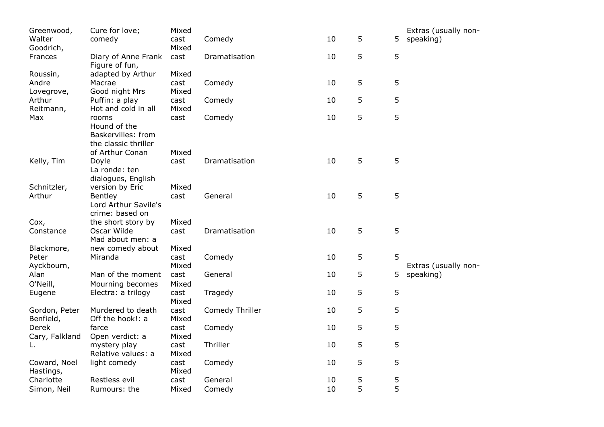| Greenwood,<br>Walter | Cure for love;<br>comedy               | Mixed<br>cast | Comedy          | 10 | 5 | 5 | Extras (usually non-<br>speaking) |
|----------------------|----------------------------------------|---------------|-----------------|----|---|---|-----------------------------------|
| Goodrich,            |                                        | Mixed         |                 |    |   |   |                                   |
| Frances              | Diary of Anne Frank<br>Figure of fun,  | cast          | Dramatisation   | 10 | 5 | 5 |                                   |
| Roussin,             | adapted by Arthur                      | Mixed         |                 |    |   |   |                                   |
| Andre                | Macrae                                 | cast          | Comedy          | 10 | 5 | 5 |                                   |
| Lovegrove,           | Good night Mrs                         | Mixed         |                 |    |   |   |                                   |
| Arthur               | Puffin: a play                         | cast          | Comedy          | 10 | 5 | 5 |                                   |
| Reitmann,            | Hot and cold in all                    | Mixed         |                 |    |   |   |                                   |
| Max                  | rooms                                  | cast          | Comedy          | 10 | 5 | 5 |                                   |
|                      | Hound of the                           |               |                 |    |   |   |                                   |
|                      | Baskervilles: from                     |               |                 |    |   |   |                                   |
|                      | the classic thriller                   |               |                 |    |   |   |                                   |
|                      | of Arthur Conan                        | Mixed         |                 |    |   |   |                                   |
| Kelly, Tim           | Doyle                                  | cast          | Dramatisation   | 10 | 5 | 5 |                                   |
|                      | La ronde: ten                          |               |                 |    |   |   |                                   |
|                      | dialogues, English                     |               |                 |    |   |   |                                   |
| Schnitzler,          | version by Eric                        | Mixed         | General         | 10 | 5 | 5 |                                   |
| Arthur               | <b>Bentley</b><br>Lord Arthur Savile's | cast          |                 |    |   |   |                                   |
|                      | crime: based on                        |               |                 |    |   |   |                                   |
| Cox,                 | the short story by                     | Mixed         |                 |    |   |   |                                   |
| Constance            | Oscar Wilde                            | cast          | Dramatisation   | 10 | 5 | 5 |                                   |
|                      | Mad about men: a                       |               |                 |    |   |   |                                   |
| Blackmore,           | new comedy about                       | Mixed         |                 |    |   |   |                                   |
| Peter                | Miranda                                | cast          | Comedy          | 10 | 5 | 5 |                                   |
| Ayckbourn,           |                                        | Mixed         |                 |    |   |   | Extras (usually non-              |
| Alan                 | Man of the moment                      | cast          | General         | 10 | 5 | 5 | speaking)                         |
| O'Neill,             | Mourning becomes                       | Mixed         |                 |    |   |   |                                   |
| Eugene               | Electra: a trilogy                     | cast          | Tragedy         | 10 | 5 | 5 |                                   |
|                      |                                        | Mixed         |                 |    |   |   |                                   |
| Gordon, Peter        | Murdered to death                      | cast          | Comedy Thriller | 10 | 5 | 5 |                                   |
| Benfield,            | Off the hook!: a                       | Mixed         |                 |    |   |   |                                   |
| Derek                | farce                                  | cast          | Comedy          | 10 | 5 | 5 |                                   |
| Cary, Falkland       | Open verdict: a                        | Mixed         |                 |    |   |   |                                   |
| L.                   | mystery play                           | cast          | Thriller        | 10 | 5 | 5 |                                   |
|                      | Relative values: a                     | Mixed         |                 |    |   |   |                                   |
| Coward, Noel         | light comedy                           | cast          | Comedy          | 10 | 5 | 5 |                                   |
| Hastings,            |                                        | Mixed         |                 |    |   |   |                                   |
| Charlotte            | Restless evil                          | cast          | General         | 10 | 5 | 5 |                                   |
| Simon, Neil          | Rumours: the                           | Mixed         | Comedy          | 10 | 5 | 5 |                                   |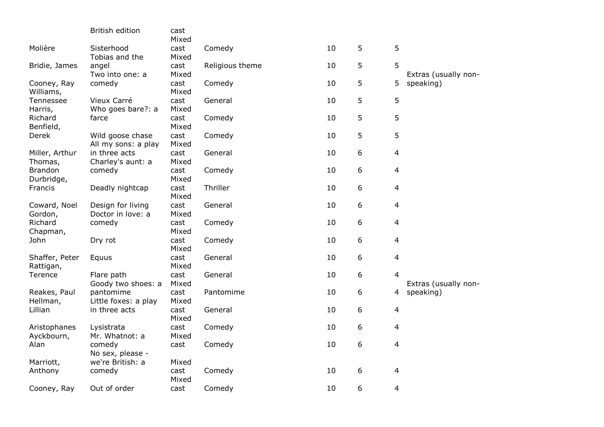|                              | British edition                         | cast<br>Mixed |                 |    |   |                |                      |
|------------------------------|-----------------------------------------|---------------|-----------------|----|---|----------------|----------------------|
| Molière                      | Sisterhood<br>Tobias and the            | cast<br>Mixed | Comedy          | 10 | 5 | 5              |                      |
| Bridie, James                | angel<br>Two into one: a                | cast<br>Mixed | Religious theme | 10 | 5 | 5              | Extras (usually non- |
| Cooney, Ray<br>Williams,     | comedy                                  | cast<br>Mixed | Comedy          | 10 | 5 | 5              | speaking)            |
| Tennessee<br>Harris,         | Vieux Carré<br>Who goes bare?: a        | cast<br>Mixed | General         | 10 | 5 | 5              |                      |
| Richard<br>Benfield,         | farce                                   | cast<br>Mixed | Comedy          | 10 | 5 | 5              |                      |
| Derek                        | Wild goose chase<br>All my sons: a play | cast<br>Mixed | Comedy          | 10 | 5 | 5              |                      |
| Miller, Arthur<br>Thomas,    | in three acts<br>Charley's aunt: a      | cast<br>Mixed | General         | 10 | 6 | 4              |                      |
| <b>Brandon</b><br>Durbridge, | comedy                                  | cast<br>Mixed | Comedy          | 10 | 6 | $\overline{4}$ |                      |
| Francis                      | Deadly nightcap                         | cast<br>Mixed | Thriller        | 10 | 6 | $\overline{4}$ |                      |
| Coward, Noel<br>Gordon,      | Design for living<br>Doctor in love: a  | cast<br>Mixed | General         | 10 | 6 | 4              |                      |
| Richard<br>Chapman,          | comedy                                  | cast<br>Mixed | Comedy          | 10 | 6 | 4              |                      |
| John                         | Dry rot                                 | cast<br>Mixed | Comedy          | 10 | 6 | 4              |                      |
| Shaffer, Peter<br>Rattigan,  | Equus                                   | cast<br>Mixed | General         | 10 | 6 | 4              |                      |
| Terence                      | Flare path<br>Goody two shoes: a        | cast<br>Mixed | General         | 10 | 6 | $\overline{4}$ | Extras (usually non- |
| Reakes, Paul<br>Hellman,     | pantomime<br>Little foxes: a play       | cast<br>Mixed | Pantomime       | 10 | 6 | 4              | speaking)            |
| Lillian                      | in three acts                           | cast<br>Mixed | General         | 10 | 6 | $\overline{4}$ |                      |
| Aristophanes<br>Ayckbourn,   | Lysistrata<br>Mr. Whatnot: a            | cast<br>Mixed | Comedy          | 10 | 6 | 4              |                      |
| Alan                         | comedy<br>No sex, please -              | cast          | Comedy          | 10 | 6 | $\overline{4}$ |                      |
| Marriott,<br>Anthony         | we're British: a<br>comedy              | Mixed<br>cast | Comedy          | 10 | 6 | 4              |                      |
| Cooney, Ray                  | Out of order                            | Mixed<br>cast | Comedy          | 10 | 6 | $\overline{4}$ |                      |
|                              |                                         |               |                 |    |   |                |                      |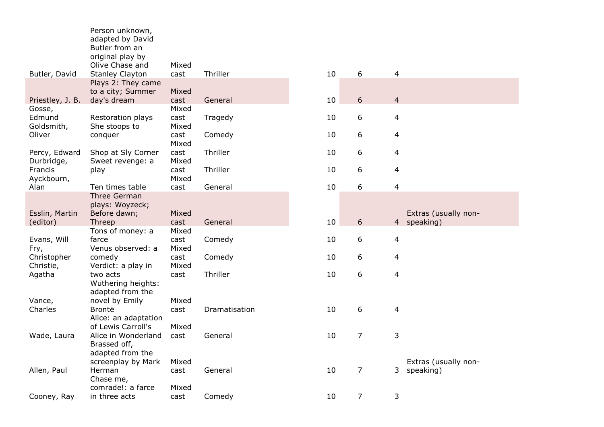|                             | Person unknown,<br>adapted by David<br>Butler from an<br>original play by | Mixed                  |               |    |                |                |                                     |
|-----------------------------|---------------------------------------------------------------------------|------------------------|---------------|----|----------------|----------------|-------------------------------------|
| Butler, David               | Olive Chase and<br><b>Stanley Clayton</b>                                 | cast                   | Thriller      | 10 | 6              | 4              |                                     |
|                             | Plays 2: They came<br>to a city; Summer                                   | Mixed                  |               |    |                |                |                                     |
| Priestley, J. B.<br>Gosse,  | day's dream                                                               | cast<br>Mixed          | General       | 10 | 6              | $\overline{4}$ |                                     |
| Edmund<br>Goldsmith,        | Restoration plays<br>She stoops to                                        | cast<br>Mixed          | Tragedy       | 10 | 6              | 4              |                                     |
| Oliver                      | conquer                                                                   | cast<br>Mixed          | Comedy        | 10 | 6              | 4              |                                     |
| Percy, Edward<br>Durbridge, | Shop at Sly Corner<br>Sweet revenge: a                                    | cast<br>Mixed          | Thriller      | 10 | 6              | 4              |                                     |
| Francis<br>Ayckbourn,       | play                                                                      | cast<br>Mixed          | Thriller      | 10 | 6              | 4              |                                     |
| Alan                        | Ten times table<br>Three German<br>plays: Woyzeck;                        | cast                   | General       | 10 | 6              | 4              |                                     |
| Esslin, Martin<br>(editor)  | Before dawn;<br>Threep                                                    | Mixed<br>cast          | General       | 10 | 6              |                | Extras (usually non-<br>4 speaking) |
| Evans, Will<br>Fry,         | Tons of money: a<br>farce<br>Venus observed: a                            | Mixed<br>cast<br>Mixed | Comedy        | 10 | 6              | 4              |                                     |
| Christopher<br>Christie,    | comedy<br>Verdict: a play in                                              | cast<br>Mixed          | Comedy        | 10 | 6              | 4              |                                     |
| Agatha                      | two acts<br>Wuthering heights:<br>adapted from the                        | cast                   | Thriller      | 10 | 6              | 4              |                                     |
| Vance,                      | novel by Emily                                                            | Mixed                  |               |    |                |                |                                     |
| Charles                     | Brontë<br>Alice: an adaptation                                            | cast                   | Dramatisation | 10 | 6              | 4              |                                     |
| Wade, Laura                 | of Lewis Carroll's<br>Alice in Wonderland<br>Brassed off,                 | Mixed<br>cast          | General       | 10 | $\overline{7}$ | 3              |                                     |
|                             | adapted from the<br>screenplay by Mark                                    | Mixed                  |               |    |                |                | Extras (usually non-                |
| Allen, Paul                 | Herman<br>Chase me,                                                       | cast                   | General       | 10 | 7              | 3 <sup>7</sup> | speaking)                           |
| Cooney, Ray                 | comrade!: a farce<br>in three acts                                        | Mixed<br>cast          | Comedy        | 10 | $\overline{7}$ | 3              |                                     |
|                             |                                                                           |                        |               |    |                |                |                                     |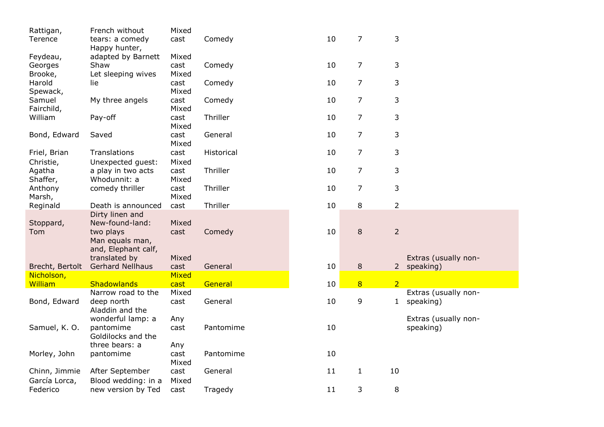| Rattigan,       | French without          | Mixed |            |    |                |                |                      |
|-----------------|-------------------------|-------|------------|----|----------------|----------------|----------------------|
| Terence         | tears: a comedy         | cast  | Comedy     | 10 | 7              | 3              |                      |
|                 | Happy hunter,           |       |            |    |                |                |                      |
| Feydeau,        | adapted by Barnett      | Mixed |            |    |                |                |                      |
| Georges         | Shaw                    | cast  | Comedy     | 10 | $\overline{7}$ | 3              |                      |
| Brooke,         | Let sleeping wives      | Mixed |            |    |                |                |                      |
| Harold          | lie                     | cast  | Comedy     | 10 | $\overline{7}$ | 3              |                      |
| Spewack,        |                         | Mixed |            |    |                |                |                      |
| Samuel          | My three angels         | cast  | Comedy     | 10 | $\overline{7}$ | 3              |                      |
| Fairchild,      |                         | Mixed |            |    |                |                |                      |
| William         | Pay-off                 | cast  | Thriller   | 10 | $\overline{7}$ | 3              |                      |
|                 |                         | Mixed |            |    |                |                |                      |
| Bond, Edward    | Saved                   | cast  | General    | 10 | $\overline{7}$ | 3              |                      |
|                 |                         | Mixed |            |    |                |                |                      |
|                 |                         |       |            |    |                |                |                      |
| Friel, Brian    | Translations            | cast  | Historical | 10 | $\overline{7}$ | 3              |                      |
| Christie,       | Unexpected guest:       | Mixed |            |    |                |                |                      |
| Agatha          | a play in two acts      | cast  | Thriller   | 10 | $\overline{7}$ | 3              |                      |
| Shaffer,        | Whodunnit: a            | Mixed |            |    |                |                |                      |
| Anthony         | comedy thriller         | cast  | Thriller   | 10 | $\overline{7}$ | 3              |                      |
| Marsh,          |                         | Mixed |            |    |                |                |                      |
| Reginald        | Death is announced      | cast  | Thriller   | 10 | 8              | 2              |                      |
|                 | Dirty linen and         |       |            |    |                |                |                      |
| Stoppard,       | New-found-land:         | Mixed |            |    |                |                |                      |
| Tom             | two plays               | cast  | Comedy     | 10 | $\, 8$         | $\overline{2}$ |                      |
|                 | Man equals man,         |       |            |    |                |                |                      |
|                 | and, Elephant calf,     |       |            |    |                |                |                      |
|                 | translated by           | Mixed |            |    |                |                | Extras (usually non- |
| Brecht, Bertolt | <b>Gerhard Nellhaus</b> | cast  | General    | 10 | $\,8\,$        |                | 2 speaking)          |
| Nicholson,      |                         | Mixed |            |    |                |                |                      |
| William         | Shadowlands             | cast  | General    | 10 | 8              | $\overline{2}$ |                      |
|                 | Narrow road to the      | Mixed |            |    |                |                | Extras (usually non- |
| Bond, Edward    | deep north              | cast  | General    | 10 | 9              | $\mathbf{1}$   | speaking)            |
|                 | Aladdin and the         |       |            |    |                |                |                      |
|                 | wonderful lamp: a       | Any   |            |    |                |                | Extras (usually non- |
| Samuel, K. O.   | pantomime               | cast  | Pantomime  | 10 |                |                | speaking)            |
|                 | Goldilocks and the      |       |            |    |                |                |                      |
|                 | three bears: a          | Any   |            |    |                |                |                      |
| Morley, John    | pantomime               | cast  | Pantomime  | 10 |                |                |                      |
|                 |                         | Mixed |            |    |                |                |                      |
| Chinn, Jimmie   | After September         | cast  | General    | 11 | $\mathbf{1}$   | 10             |                      |
| García Lorca,   | Blood wedding: in a     | Mixed |            |    |                |                |                      |
| Federico        | new version by Ted      | cast  | Tragedy    | 11 | 3              | 8              |                      |
|                 |                         |       |            |    |                |                |                      |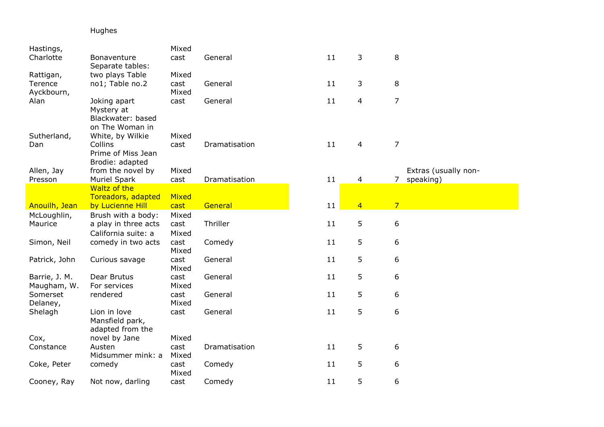# Hughes

| Hastings,                    |                                                                      | Mixed                  |               |    |                |                             |  |
|------------------------------|----------------------------------------------------------------------|------------------------|---------------|----|----------------|-----------------------------|--|
| Charlotte                    | Bonaventure<br>Separate tables:                                      | cast                   | General       | 11 | 3              | 8                           |  |
| Rattigan,                    | two plays Table                                                      | Mixed                  |               |    |                |                             |  |
| Terence<br>Ayckbourn,        | no1; Table no.2                                                      | cast<br>Mixed          | General       | 11 | 3              | 8                           |  |
| Alan                         | Joking apart<br>Mystery at<br>Blackwater: based<br>on The Woman in   | cast                   | General       | 11 | 4              | $\overline{7}$              |  |
| Sutherland,<br>Dan           | White, by Wilkie<br>Collins<br>Prime of Miss Jean<br>Brodie: adapted | Mixed<br>cast          | Dramatisation | 11 | $\overline{4}$ | $\overline{7}$              |  |
| Allen, Jay                   | from the novel by                                                    | Mixed                  |               |    |                | Extras (usually non-        |  |
| Presson                      | <b>Muriel Spark</b>                                                  | cast                   | Dramatisation | 11 | 4              | $\overline{7}$<br>speaking) |  |
|                              | Waltz of the                                                         |                        |               |    |                |                             |  |
|                              | Toreadors, adapted                                                   | Mixed                  | General       | 11 | $\overline{4}$ | $\overline{7}$              |  |
| Anouilh, Jean                | by Lucienne Hill                                                     | cast                   |               |    |                |                             |  |
| McLoughlin,<br>Maurice       | Brush with a body:<br>a play in three acts<br>California suite: a    | Mixed<br>cast<br>Mixed | Thriller      | 11 | 5              | 6                           |  |
| Simon, Neil                  | comedy in two acts                                                   | cast<br>Mixed          | Comedy        | 11 | 5              | 6                           |  |
| Patrick, John                | Curious savage                                                       | cast<br>Mixed          | General       | 11 | 5              | 6                           |  |
| Barrie, J. M.<br>Maugham, W. | Dear Brutus<br>For services                                          | cast<br>Mixed          | General       | 11 | 5              | 6                           |  |
| Somerset<br>Delaney,         | rendered                                                             | cast<br>Mixed          | General       | 11 | 5              | 6                           |  |
| Shelagh                      | Lion in love<br>Mansfield park,<br>adapted from the                  | cast                   | General       | 11 | 5              | 6                           |  |
| Cox,                         | novel by Jane                                                        | Mixed                  |               |    |                |                             |  |
| Constance                    | Austen<br>Midsummer mink: a                                          | cast<br>Mixed          | Dramatisation | 11 | 5              | 6                           |  |
| Coke, Peter                  | comedy                                                               | cast<br>Mixed          | Comedy        | 11 | 5              | 6                           |  |
| Cooney, Ray                  | Not now, darling                                                     | cast                   | Comedy        | 11 | 5              | 6                           |  |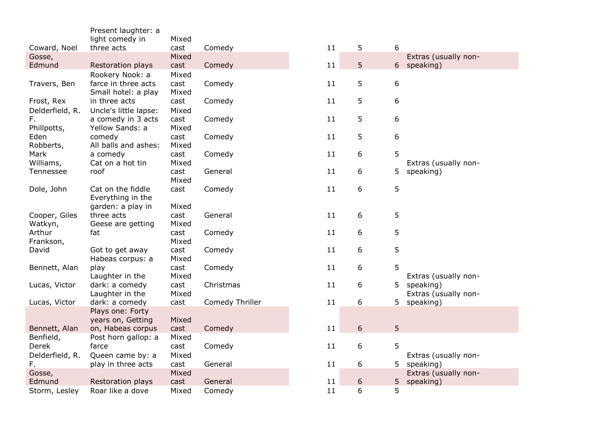|                                           | Present laughter: a                                         |                                |                    |          |        |        |                                                                        |
|-------------------------------------------|-------------------------------------------------------------|--------------------------------|--------------------|----------|--------|--------|------------------------------------------------------------------------|
|                                           | light comedy in                                             | Mixed                          |                    |          |        |        |                                                                        |
| Coward, Noel                              | three acts                                                  | cast                           | Comedy             | 11       | 5      | 6      |                                                                        |
| Gosse,                                    |                                                             | Mixed                          |                    |          |        |        | Extras (usually non-                                                   |
| Edmund                                    | Restoration plays                                           | cast                           | Comedy             | 11       | 5      | 6      | speaking)                                                              |
|                                           | Rookery Nook: a                                             | Mixed                          |                    |          |        |        |                                                                        |
| Travers, Ben                              | farce in three acts                                         | cast                           | Comedy             | 11       | 5      | 6      |                                                                        |
|                                           | Small hotel: a play                                         | Mixed                          |                    |          |        |        |                                                                        |
| Frost, Rex                                | in three acts                                               | cast                           | Comedy             | 11       | 5      | 6      |                                                                        |
| Delderfield, R.                           | Uncle's little lapse:                                       | Mixed                          |                    |          |        |        |                                                                        |
| F.                                        | a comedy in 3 acts                                          | cast                           | Comedy             | 11       | 5      | 6      |                                                                        |
| Phillpotts,                               | Yellow Sands: a                                             | Mixed                          |                    |          |        |        |                                                                        |
| Eden                                      | comedy                                                      | cast                           | Comedy             | 11       | 5      | 6      |                                                                        |
| Robberts,                                 | All balls and ashes:                                        | Mixed                          |                    |          |        |        |                                                                        |
| Mark                                      | a comedy                                                    | cast                           | Comedy             | 11       | 6      | 5      |                                                                        |
| Williams,                                 | Cat on a hot tin                                            | Mixed                          |                    |          |        |        | Extras (usually non-                                                   |
| Tennessee                                 | roof                                                        | cast                           | General            | 11       | 6      | 5      | speaking)                                                              |
|                                           |                                                             | Mixed                          |                    |          |        |        |                                                                        |
| Dole, John                                | Cat on the fiddle                                           | cast                           | Comedy             | $11\,$   | 6      | 5      |                                                                        |
|                                           | Everything in the                                           |                                |                    |          |        |        |                                                                        |
|                                           | garden: a play in                                           | Mixed                          |                    |          |        |        |                                                                        |
| Cooper, Giles                             | three acts                                                  | cast                           | General            | 11       | 6      | 5      |                                                                        |
| Watkyn,<br>Arthur                         | Geese are getting                                           | Mixed                          |                    | 11       |        | 5      |                                                                        |
| Frankson,                                 | fat                                                         | cast<br>Mixed                  | Comedy             |          | 6      |        |                                                                        |
| David                                     | Got to get away                                             | cast                           | Comedy             | 11       | 6      | 5      |                                                                        |
|                                           | Habeas corpus: a                                            | Mixed                          |                    |          |        |        |                                                                        |
| Bennett, Alan                             | play                                                        | cast                           | Comedy             | 11       | 6      | 5      |                                                                        |
|                                           | Laughter in the                                             | Mixed                          |                    |          |        |        | Extras (usually non-                                                   |
| Lucas, Victor                             | dark: a comedy                                              | cast                           | Christmas          | 11       | 6      | 5      | speaking)                                                              |
|                                           | Laughter in the                                             | Mixed                          |                    |          |        |        | Extras (usually non-                                                   |
| Lucas, Victor                             | dark: a comedy                                              | cast                           | Comedy Thriller    | 11       | 6      | 5.     | speaking)                                                              |
|                                           | Plays one: Forty                                            |                                |                    |          |        |        |                                                                        |
|                                           | years on, Getting                                           | Mixed                          |                    |          |        |        |                                                                        |
| Bennett, Alan                             | on, Habeas corpus                                           | cast                           | Comedy             | 11       | 6      | 5      |                                                                        |
| Benfield,                                 | Post horn gallop: a                                         | Mixed                          |                    |          |        |        |                                                                        |
| Derek                                     | farce                                                       | cast                           | Comedy             | 11       | 6      | 5      |                                                                        |
|                                           |                                                             |                                |                    |          |        |        |                                                                        |
|                                           |                                                             |                                |                    |          |        |        |                                                                        |
|                                           |                                                             |                                |                    |          |        |        |                                                                        |
|                                           |                                                             |                                |                    |          |        |        |                                                                        |
| Storm, Lesley                             | Roar like a dove                                            | Mixed                          | Comedy             | 11       | 6      | 5      |                                                                        |
| Delderfield, R.<br>F.<br>Gosse,<br>Edmund | Queen came by: a<br>play in three acts<br>Restoration plays | Mixed<br>cast<br>Mixed<br>cast | General<br>General | 11<br>11 | 6<br>6 | 5<br>5 | Extras (usually non-<br>speaking)<br>Extras (usually non-<br>speaking) |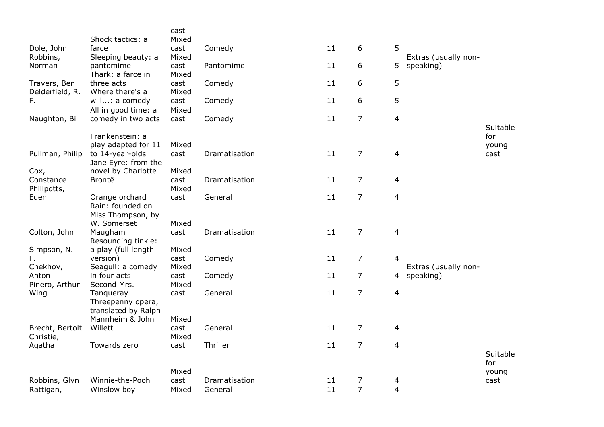|                                 | Shock tactics: a                                        | cast<br>Mixed |               |    |                |                |                      |                          |
|---------------------------------|---------------------------------------------------------|---------------|---------------|----|----------------|----------------|----------------------|--------------------------|
| Dole, John<br>Robbins,          | farce<br>Sleeping beauty: a                             | cast<br>Mixed | Comedy        | 11 | 6              | 5              | Extras (usually non- |                          |
| Norman                          | pantomime<br>Thark: a farce in                          | cast<br>Mixed | Pantomime     | 11 | 6              | 5.             | speaking)            |                          |
| Travers, Ben<br>Delderfield, R. | three acts<br>Where there's a                           | cast<br>Mixed | Comedy        | 11 | 6              | 5              |                      |                          |
| F.                              | will: a comedy<br>All in good time: a                   | cast<br>Mixed | Comedy        | 11 | 6              | 5              |                      |                          |
| Naughton, Bill                  | comedy in two acts                                      | cast          | Comedy        | 11 | $\overline{7}$ | $\overline{4}$ |                      |                          |
|                                 | Frankenstein: a<br>play adapted for 11                  | Mixed         |               |    |                |                |                      | Suitable<br>for<br>young |
| Pullman, Philip                 | to 14-year-olds<br>Jane Eyre: from the                  | cast          | Dramatisation | 11 | $\overline{7}$ | $\overline{4}$ |                      | cast                     |
| Cox,                            | novel by Charlotte                                      | Mixed         |               |    |                |                |                      |                          |
| Constance<br>Phillpotts,        | Brontë                                                  | cast<br>Mixed | Dramatisation | 11 | 7              | $\overline{4}$ |                      |                          |
| Eden                            | Orange orchard<br>Rain: founded on<br>Miss Thompson, by | cast          | General       | 11 | $\overline{7}$ | $\overline{4}$ |                      |                          |
|                                 | W. Somerset                                             | Mixed         |               |    |                |                |                      |                          |
| Colton, John                    | Maugham<br>Resounding tinkle:                           | cast          | Dramatisation | 11 | $\overline{7}$ | $\overline{4}$ |                      |                          |
| Simpson, N.                     | a play (full length                                     | Mixed         |               |    |                |                |                      |                          |
| F.<br>Chekhov,                  | version)<br>Seagull: a comedy                           | cast<br>Mixed | Comedy        | 11 | $\overline{7}$ | $\overline{4}$ | Extras (usually non- |                          |
| Anton<br>Pinero, Arthur         | in four acts<br>Second Mrs.                             | cast<br>Mixed | Comedy        | 11 | $\overline{7}$ |                | 4 speaking)          |                          |
| Wing                            | Tanqueray<br>Threepenny opera,<br>translated by Ralph   | cast          | General       | 11 | $\overline{7}$ | 4              |                      |                          |
|                                 | Mannheim & John                                         | Mixed         |               |    |                |                |                      |                          |
| Brecht, Bertolt<br>Christie,    | Willett                                                 | cast<br>Mixed | General       | 11 | $\overline{7}$ | 4              |                      |                          |
| Agatha                          | Towards zero                                            | cast          | Thriller      | 11 | $\overline{7}$ | $\overline{a}$ |                      |                          |
|                                 |                                                         |               |               |    |                |                |                      | Suitable<br>for          |
|                                 |                                                         | Mixed         |               |    |                |                |                      | young                    |
| Robbins, Glyn                   | Winnie-the-Pooh                                         | cast          | Dramatisation | 11 | 7              | 4              |                      | cast                     |
| Rattigan,                       | Winslow boy                                             | Mixed         | General       | 11 | $\overline{7}$ | $\overline{4}$ |                      |                          |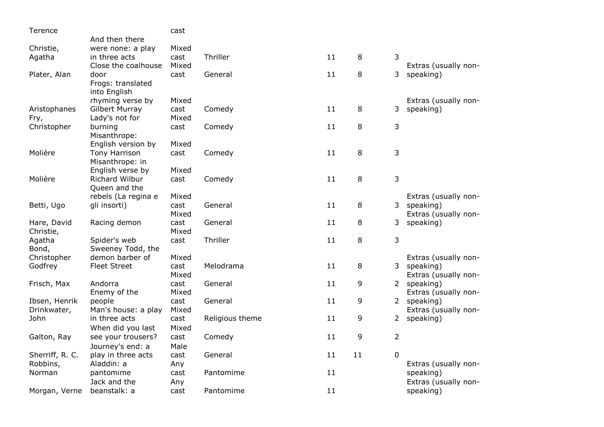| Terence         |                      | cast  |                 |    |    |                |                      |
|-----------------|----------------------|-------|-----------------|----|----|----------------|----------------------|
|                 | And then there       |       |                 |    |    |                |                      |
| Christie,       | were none: a play    | Mixed |                 |    |    |                |                      |
| Agatha          | in three acts        | cast  | Thriller        | 11 | 8  | 3              |                      |
|                 | Close the coalhouse  | Mixed |                 |    |    |                | Extras (usually non- |
| Plater, Alan    | door                 | cast  | General         | 11 | 8  | 3              | speaking)            |
|                 | Frogs: translated    |       |                 |    |    |                |                      |
|                 | into English         |       |                 |    |    |                |                      |
|                 | rhyming verse by     | Mixed |                 |    |    |                | Extras (usually non- |
| Aristophanes    | Gilbert Murray       | cast  | Comedy          | 11 | 8  | 3              | speaking)            |
| Fry,            | Lady's not for       | Mixed |                 |    |    |                |                      |
| Christopher     | burning              | cast  | Comedy          | 11 | 8  | 3              |                      |
|                 | Misanthrope:         |       |                 |    |    |                |                      |
|                 | English version by   | Mixed |                 |    |    |                |                      |
| Molière         | <b>Tony Harrison</b> | cast  | Comedy          | 11 | 8  | 3              |                      |
|                 | Misanthrope: in      |       |                 |    |    |                |                      |
|                 | English verse by     | Mixed |                 |    |    |                |                      |
| Molière         | Richard Wilbur       | cast  | Comedy          | 11 | 8  | 3              |                      |
|                 | Queen and the        |       |                 |    |    |                |                      |
|                 | rebels (La regina e  | Mixed |                 |    |    |                | Extras (usually non- |
| Betti, Ugo      | gli insorti)         | cast  | General         | 11 | 8  | $\mathsf{3}$   | speaking)            |
|                 |                      | Mixed |                 |    |    |                | Extras (usually non- |
| Hare, David     | Racing demon         | cast  | General         | 11 | 8  | 3              | speaking)            |
| Christie,       |                      | Mixed |                 |    |    |                |                      |
| Agatha          | Spider's web         | cast  | Thriller        | 11 | 8  | 3              |                      |
| Bond,           | Sweeney Todd, the    |       |                 |    |    |                |                      |
| Christopher     | demon barber of      | Mixed |                 |    |    |                | Extras (usually non- |
| Godfrey         | <b>Fleet Street</b>  | cast  | Melodrama       | 11 | 8  | 3 <sup>7</sup> | speaking)            |
|                 |                      | Mixed |                 |    |    |                | Extras (usually non- |
| Frisch, Max     | Andorra              | cast  | General         | 11 | 9  | 2              | speaking)            |
|                 | Enemy of the         | Mixed |                 |    |    |                | Extras (usually non- |
| Ibsen, Henrik   | people               | cast  | General         | 11 | 9  |                | 2 speaking)          |
| Drinkwater,     | Man's house: a play  | Mixed |                 | 11 | 9  |                | Extras (usually non- |
| John            | in three acts        | cast  | Religious theme |    |    | $2^{\circ}$    | speaking)            |
|                 | When did you last    | Mixed |                 |    |    |                |                      |
| Galton, Ray     | see your trousers?   | cast  | Comedy          | 11 | 9  | $\overline{2}$ |                      |
|                 | Journey's end: a     | Male  |                 |    |    |                |                      |
| Sherriff, R. C. | play in three acts   | cast  | General         | 11 | 11 | 0              |                      |
| Robbins,        | Aladdin: a           | Any   |                 |    |    |                | Extras (usually non- |
| Norman          | pantomime            | cast  | Pantomime       | 11 |    |                | speaking)            |
|                 | Jack and the         | Any   |                 |    |    |                | Extras (usually non- |
| Morgan, Verne   | beanstalk: a         | cast  | Pantomime       | 11 |    |                | speaking)            |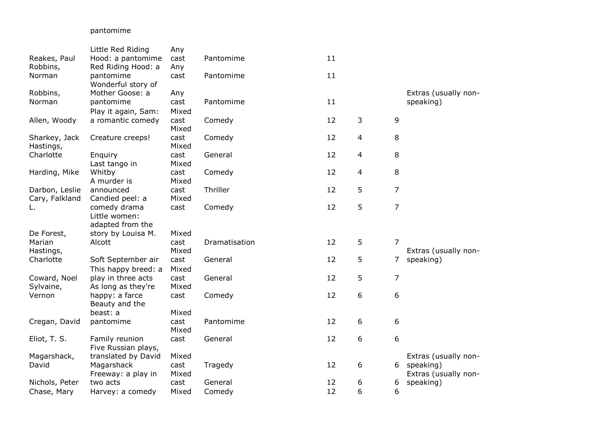## pantomime

|                     | Little Red Riding          | Any   |               |    |                |                |                      |
|---------------------|----------------------------|-------|---------------|----|----------------|----------------|----------------------|
| Reakes, Paul        | Hood: a pantomime          | cast  | Pantomime     | 11 |                |                |                      |
| Robbins,            | Red Riding Hood: a         | Any   |               |    |                |                |                      |
| Norman              | pantomime                  | cast  | Pantomime     | 11 |                |                |                      |
|                     | Wonderful story of         |       |               |    |                |                |                      |
| Robbins,            | Mother Goose: a            | Any   |               |    |                |                | Extras (usually non- |
| Norman              | pantomime                  | cast  | Pantomime     | 11 |                |                | speaking)            |
|                     | Play it again, Sam:        | Mixed |               |    |                |                |                      |
| Allen, Woody        | a romantic comedy          | cast  | Comedy        | 12 | 3              | 9              |                      |
|                     |                            | Mixed |               |    |                |                |                      |
| Sharkey, Jack       | Creature creeps!           | cast  | Comedy        | 12 | $\overline{4}$ | 8              |                      |
| Hastings,           |                            | Mixed |               |    |                |                |                      |
| Charlotte           | Enguiry                    | cast  | General       | 12 | 4              | 8              |                      |
|                     | Last tango in              | Mixed |               |    |                |                |                      |
| Harding, Mike       | Whitby                     | cast  | Comedy        | 12 | $\overline{4}$ | 8              |                      |
|                     | A murder is                | Mixed |               |    |                |                |                      |
| Darbon, Leslie      | announced                  | cast  | Thriller      | 12 | 5              | $\overline{7}$ |                      |
| Cary, Falkland      | Candied peel: a            | Mixed |               |    |                |                |                      |
| L.                  | comedy drama               | cast  | Comedy        | 12 | 5              | $\overline{7}$ |                      |
|                     | Little women:              |       |               |    |                |                |                      |
|                     | adapted from the           |       |               |    |                |                |                      |
| De Forest,          | story by Louisa M.         | Mixed |               |    |                |                |                      |
| Marian              | Alcott                     | cast  | Dramatisation | 12 | 5              | $\overline{7}$ |                      |
| Hastings,           |                            | Mixed |               |    |                |                | Extras (usually non- |
| Charlotte           | Soft September air         | cast  | General       | 12 | 5              | 7              | speaking)            |
|                     | This happy breed: a        | Mixed |               |    |                |                |                      |
| Coward, Noel        | play in three acts         | cast  | General       | 12 | 5              | $\overline{7}$ |                      |
| Sylvaine,<br>Vernon | As long as they're         | Mixed |               | 12 | 6              | 6              |                      |
|                     | happy: a farce             | cast  | Comedy        |    |                |                |                      |
|                     | Beauty and the<br>beast: a | Mixed |               |    |                |                |                      |
| Cregan, David       | pantomime                  | cast  | Pantomime     | 12 | 6              | 6              |                      |
|                     |                            | Mixed |               |    |                |                |                      |
| Eliot, T. S.        | Family reunion             | cast  | General       | 12 | 6              | 6              |                      |
|                     | Five Russian plays,        |       |               |    |                |                |                      |
| Magarshack,         | translated by David        | Mixed |               |    |                |                | Extras (usually non- |
| David               | Magarshack                 | cast  | Tragedy       | 12 | 6              | 6              | speaking)            |
|                     | Freeway: a play in         | Mixed |               |    |                |                | Extras (usually non- |
| Nichols, Peter      | two acts                   | cast  | General       | 12 | 6              | 6              | speaking)            |
| Chase, Mary         | Harvey: a comedy           | Mixed | Comedy        | 12 | 6              | 6              |                      |
|                     |                            |       |               |    |                |                |                      |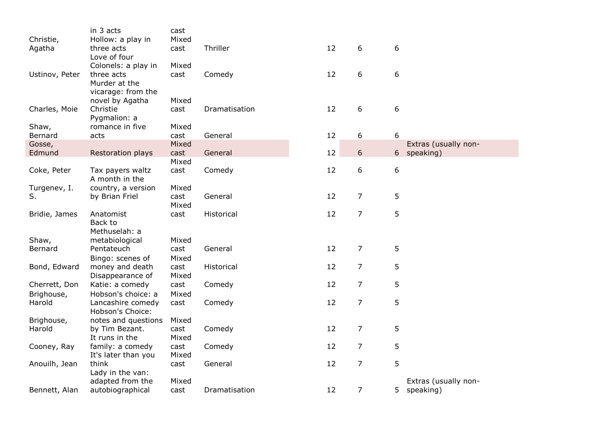|                | in 3 acts           | cast  |               |    |                |                             |
|----------------|---------------------|-------|---------------|----|----------------|-----------------------------|
| Christie,      | Hollow: a play in   | Mixed |               |    |                |                             |
| Agatha         | three acts          | cast  | Thriller      | 12 | 6              | 6                           |
|                | Love of four        |       |               |    |                |                             |
|                | Colonels: a play in | Mixed |               |    |                |                             |
| Ustinov, Peter | three acts          | cast  | Comedy        | 12 | 6              | 6                           |
|                | Murder at the       |       |               |    |                |                             |
|                | vicarage: from the  |       |               |    |                |                             |
|                | novel by Agatha     | Mixed |               |    |                |                             |
| Charles, Moie  | Christie            | cast  | Dramatisation | 12 | 6              | 6                           |
|                | Pygmalion: a        |       |               |    |                |                             |
| Shaw,          | romance in five     | Mixed |               |    |                |                             |
| Bernard        | acts                | cast  | General       | 12 | 6              | 6                           |
| Gosse,         |                     | Mixed |               |    |                | Extras (usually non-        |
| Edmund         | Restoration plays   | cast  | General       | 12 | 6              | 6 <sup>1</sup><br>speaking) |
|                |                     | Mixed |               |    |                |                             |
| Coke, Peter    | Tax payers waltz    | cast  | Comedy        | 12 | 6              | 6                           |
|                | A month in the      |       |               |    |                |                             |
| Turgenev, I.   | country, a version  | Mixed |               |    |                |                             |
| S.             | by Brian Friel      | cast  | General       | 12 | $\overline{7}$ | 5                           |
|                |                     | Mixed |               |    |                |                             |
| Bridie, James  | Anatomist           | cast  | Historical    | 12 | 7              | 5                           |
|                | Back to             |       |               |    |                |                             |
|                | Methuselah: a       |       |               |    |                |                             |
| Shaw,          | metabiological      | Mixed |               |    |                |                             |
| Bernard        | Pentateuch          | cast  | General       | 12 | $\overline{7}$ | 5                           |
|                | Bingo: scenes of    | Mixed |               |    |                |                             |
| Bond, Edward   | money and death     | cast  | Historical    | 12 | $\overline{7}$ | 5                           |
|                | Disappearance of    | Mixed |               |    |                |                             |
| Cherrett, Don  | Katie: a comedy     | cast  | Comedy        | 12 | $\overline{7}$ | 5                           |
| Brighouse,     | Hobson's choice: a  | Mixed |               |    |                |                             |
| Harold         | Lancashire comedy   | cast  | Comedy        | 12 | $\overline{7}$ | 5                           |
|                | Hobson's Choice:    |       |               |    |                |                             |
| Brighouse,     | notes and questions | Mixed |               |    |                |                             |
| Harold         | by Tim Bezant.      | cast  | Comedy        | 12 | $\overline{7}$ | 5                           |
|                | It runs in the      | Mixed |               |    |                |                             |
| Cooney, Ray    | family: a comedy    | cast  | Comedy        | 12 | $\overline{7}$ | 5                           |
|                | It's later than you | Mixed |               |    |                |                             |
| Anouilh, Jean  | think               | cast  | General       | 12 | $\overline{7}$ | 5                           |
|                | Lady in the van:    |       |               |    |                |                             |
|                | adapted from the    | Mixed |               |    |                | Extras (usually non-        |
| Bennett, Alan  | autobiographical    | cast  | Dramatisation | 12 | $\overline{7}$ | 5<br>speaking)              |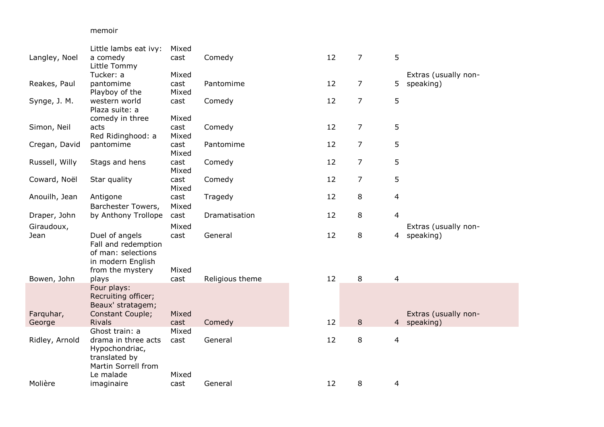## memoir

|                | Little lambs eat ivy: | Mixed |                 |    |                |                         |                      |
|----------------|-----------------------|-------|-----------------|----|----------------|-------------------------|----------------------|
| Langley, Noel  | a comedy              | cast  | Comedy          | 12 | $\overline{7}$ | 5                       |                      |
|                | Little Tommy          |       |                 |    |                |                         |                      |
|                | Tucker: a             | Mixed |                 |    |                |                         | Extras (usually non- |
| Reakes, Paul   | pantomime             | cast  | Pantomime       | 12 | $\overline{7}$ | 5                       | speaking)            |
|                | Playboy of the        | Mixed |                 |    |                |                         |                      |
| Synge, J. M.   | western world         | cast  | Comedy          | 12 | 7              | 5                       |                      |
|                | Plaza suite: a        |       |                 |    |                |                         |                      |
|                | comedy in three       | Mixed |                 |    |                |                         |                      |
| Simon, Neil    | acts                  | cast  | Comedy          | 12 | 7              | 5                       |                      |
|                | Red Ridinghood: a     | Mixed |                 |    |                |                         |                      |
| Cregan, David  | pantomime             | cast  | Pantomime       | 12 | 7              | 5                       |                      |
|                |                       | Mixed |                 |    |                |                         |                      |
| Russell, Willy | Stags and hens        | cast  | Comedy          | 12 | $\overline{7}$ | 5                       |                      |
|                |                       | Mixed |                 |    |                |                         |                      |
| Coward, Noël   | Star quality          | cast  | Comedy          | 12 | 7              | 5                       |                      |
|                |                       | Mixed |                 |    |                |                         |                      |
| Anouilh, Jean  | Antigone              | cast  | Tragedy         | 12 | 8              | $\overline{4}$          |                      |
|                | Barchester Towers,    | Mixed |                 |    |                |                         |                      |
| Draper, John   | by Anthony Trollope   | cast  | Dramatisation   | 12 | 8              | $\overline{4}$          |                      |
| Giraudoux,     |                       | Mixed |                 |    |                |                         | Extras (usually non- |
| Jean           | Duel of angels        | cast  | General         | 12 | 8              | 4                       | speaking)            |
|                | Fall and redemption   |       |                 |    |                |                         |                      |
|                | of man: selections    |       |                 |    |                |                         |                      |
|                | in modern English     |       |                 |    |                |                         |                      |
|                | from the mystery      | Mixed |                 |    |                |                         |                      |
| Bowen, John    | plays                 | cast  | Religious theme | 12 | 8              | $\overline{4}$          |                      |
|                | Four plays:           |       |                 |    |                |                         |                      |
|                | Recruiting officer;   |       |                 |    |                |                         |                      |
|                | Beaux' stratagem;     |       |                 |    |                |                         |                      |
| Farquhar,      | Constant Couple;      | Mixed |                 |    |                |                         | Extras (usually non- |
| George         | <b>Rivals</b>         | cast  | Comedy          | 12 | 8              | 4                       | speaking)            |
|                | Ghost train: a        | Mixed |                 |    |                |                         |                      |
| Ridley, Arnold | drama in three acts   | cast  | General         | 12 | 8              | $\overline{\mathbf{4}}$ |                      |
|                | Hypochondriac,        |       |                 |    |                |                         |                      |
|                | translated by         |       |                 |    |                |                         |                      |
|                | Martin Sorrell from   |       |                 |    |                |                         |                      |
|                | Le malade             | Mixed |                 |    |                |                         |                      |
| Molière        | imaginaire            | cast  | General         | 12 | 8              | 4                       |                      |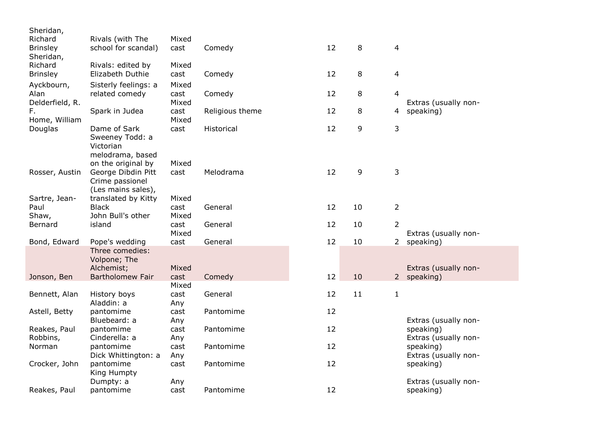| Sheridan,       |                                          |               |                 |    |    |                |                                   |
|-----------------|------------------------------------------|---------------|-----------------|----|----|----------------|-----------------------------------|
| Richard         | Rivals (with The                         | Mixed         |                 |    |    |                |                                   |
| <b>Brinsley</b> | school for scandal)                      | cast          | Comedy          | 12 | 8  | $\overline{4}$ |                                   |
| Sheridan,       |                                          |               |                 |    |    |                |                                   |
| Richard         | Rivals: edited by                        | Mixed         |                 |    |    |                |                                   |
| <b>Brinsley</b> | Elizabeth Duthie                         | cast          | Comedy          | 12 | 8  | 4              |                                   |
| Ayckbourn,      | Sisterly feelings: a                     | Mixed         |                 |    |    |                |                                   |
| Alan            | related comedy                           | cast          | Comedy          | 12 | 8  | 4              |                                   |
| Delderfield, R. |                                          | Mixed         |                 |    |    |                | Extras (usually non-              |
| F.              | Spark in Judea                           | cast          | Religious theme | 12 | 8  | 4              | speaking)                         |
| Home, William   |                                          | Mixed         |                 |    |    |                |                                   |
| Douglas         | Dame of Sark                             | cast          | Historical      | 12 | 9  | 3              |                                   |
|                 | Sweeney Todd: a                          |               |                 |    |    |                |                                   |
|                 | Victorian                                |               |                 |    |    |                |                                   |
|                 | melodrama, based                         |               |                 |    |    |                |                                   |
|                 | on the original by<br>George Dibdin Pitt | Mixed<br>cast | Melodrama       | 12 | 9  | 3              |                                   |
| Rosser, Austin  | Crime passionel                          |               |                 |    |    |                |                                   |
|                 | (Les mains sales),                       |               |                 |    |    |                |                                   |
| Sartre, Jean-   | translated by Kitty                      | Mixed         |                 |    |    |                |                                   |
| Paul            | <b>Black</b>                             | cast          | General         | 12 | 10 | $\overline{2}$ |                                   |
| Shaw,           | John Bull's other                        | Mixed         |                 |    |    |                |                                   |
| Bernard         | island                                   | cast          | General         | 12 | 10 | $\overline{2}$ |                                   |
|                 |                                          | Mixed         |                 |    |    |                | Extras (usually non-              |
| Bond, Edward    | Pope's wedding                           | cast          | General         | 12 | 10 | $2^{\circ}$    | speaking)                         |
|                 | Three comedies:                          |               |                 |    |    |                |                                   |
|                 | Volpone; The                             |               |                 |    |    |                |                                   |
|                 | Alchemist;                               | Mixed         |                 |    |    |                | Extras (usually non-              |
| Jonson, Ben     | <b>Bartholomew Fair</b>                  | cast          | Comedy          | 12 | 10 |                | 2 speaking)                       |
|                 |                                          | Mixed         |                 |    |    |                |                                   |
| Bennett, Alan   | History boys                             | cast          | General         | 12 | 11 | $\mathbf{1}$   |                                   |
|                 | Aladdin: a                               | Any           |                 |    |    |                |                                   |
| Astell, Betty   | pantomime                                | cast          | Pantomime       | 12 |    |                |                                   |
|                 | Bluebeard: a                             | Any           |                 |    |    |                | Extras (usually non-              |
| Reakes, Paul    | pantomime                                | cast          | Pantomime       | 12 |    |                | speaking)                         |
| Robbins,        | Cinderella: a                            | Any           |                 | 12 |    |                | Extras (usually non-              |
| Norman          | pantomime                                | cast          | Pantomime       |    |    |                | speaking)                         |
| Crocker, John   | Dick Whittington: a<br>pantomime         | Any<br>cast   | Pantomime       | 12 |    |                | Extras (usually non-<br>speaking) |
|                 | King Humpty                              |               |                 |    |    |                |                                   |
|                 | Dumpty: a                                | Any           |                 |    |    |                | Extras (usually non-              |
| Reakes, Paul    | pantomime                                | cast          | Pantomime       | 12 |    |                | speaking)                         |
|                 |                                          |               |                 |    |    |                |                                   |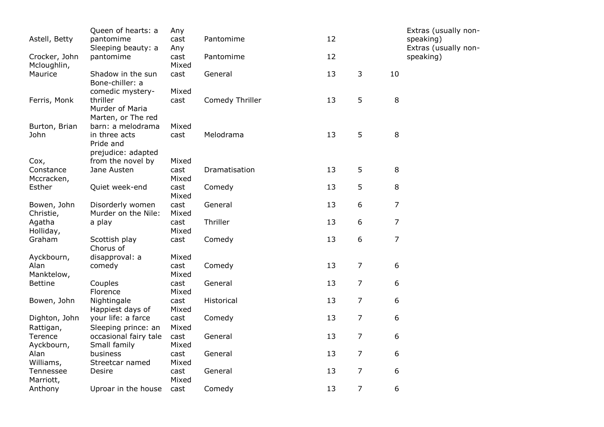| Astell, Betty            | Queen of hearts: a<br>pantomime                  | Any<br>cast   | Pantomime       | 12 |                |                | Extras (usually non-<br>speaking) |
|--------------------------|--------------------------------------------------|---------------|-----------------|----|----------------|----------------|-----------------------------------|
| Crocker, John            | Sleeping beauty: a<br>pantomime                  | Any<br>cast   | Pantomime       | 12 |                |                | Extras (usually non-<br>speaking) |
| Mcloughlin,<br>Maurice   | Shadow in the sun<br>Bone-chiller: a             | Mixed<br>cast | General         | 13 | 3              | 10             |                                   |
|                          | comedic mystery-                                 | Mixed         |                 |    |                |                |                                   |
| Ferris, Monk             | thriller<br>Murder of Maria                      | cast          | Comedy Thriller | 13 | 5              | 8              |                                   |
| Burton, Brian            | Marten, or The red<br>barn: a melodrama          | Mixed         |                 |    |                |                |                                   |
| John                     | in three acts<br>Pride and<br>prejudice: adapted | cast          | Melodrama       | 13 | 5              | 8              |                                   |
| Cox,                     | from the novel by                                | Mixed         |                 |    |                |                |                                   |
| Constance<br>Mccracken,  | Jane Austen                                      | cast<br>Mixed | Dramatisation   | 13 | 5              | 8              |                                   |
| Esther                   | Quiet week-end                                   | cast<br>Mixed | Comedy          | 13 | 5              | 8              |                                   |
| Bowen, John<br>Christie, | Disorderly women<br>Murder on the Nile:          | cast<br>Mixed | General         | 13 | 6              | $\overline{7}$ |                                   |
| Agatha<br>Holliday,      | a play                                           | cast<br>Mixed | Thriller        | 13 | 6              | $\overline{7}$ |                                   |
| Graham                   | Scottish play<br>Chorus of                       | cast          | Comedy          | 13 | 6              | $\overline{7}$ |                                   |
| Ayckbourn,               | disapproval: a                                   | Mixed         |                 |    |                |                |                                   |
| Alan<br>Manktelow,       | comedy                                           | cast<br>Mixed | Comedy          | 13 | $\overline{7}$ | 6              |                                   |
| <b>Bettine</b>           | Couples<br>Florence                              | cast<br>Mixed | General         | 13 | $\overline{7}$ | 6              |                                   |
| Bowen, John              | Nightingale<br>Happiest days of                  | cast<br>Mixed | Historical      | 13 | $\overline{7}$ | 6              |                                   |
| Dighton, John            | your life: a farce                               | cast          | Comedy          | 13 | $\overline{7}$ | 6              |                                   |
| Rattigan,<br>Terence     | Sleeping prince: an<br>occasional fairy tale     | Mixed<br>cast | General         | 13 | $\overline{7}$ | 6              |                                   |
| Ayckbourn,<br>Alan       | Small family<br>business                         | Mixed<br>cast | General         | 13 | $\overline{7}$ | 6              |                                   |
| Williams,                | Streetcar named                                  | Mixed         |                 |    |                |                |                                   |
| Tennessee<br>Marriott,   | Desire                                           | cast<br>Mixed | General         | 13 | $\overline{7}$ | 6              |                                   |
| Anthony                  | Uproar in the house                              | cast          | Comedy          | 13 | $\overline{7}$ | 6              |                                   |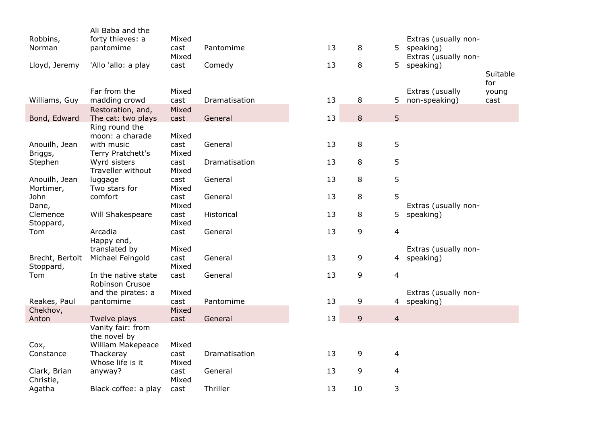|                 | Ali Baba and the     |       |               |    |                |                |                      |          |
|-----------------|----------------------|-------|---------------|----|----------------|----------------|----------------------|----------|
| Robbins,        | forty thieves: a     | Mixed |               |    |                |                | Extras (usually non- |          |
| Norman          | pantomime            | cast  | Pantomime     | 13 | 8              | 5.             | speaking)            |          |
|                 |                      | Mixed |               |    |                |                | Extras (usually non- |          |
| Lloyd, Jeremy   | 'Allo 'allo: a play  | cast  | Comedy        | 13 | 8              | 5              | speaking)            |          |
|                 |                      |       |               |    |                |                |                      | Suitable |
|                 |                      |       |               |    |                |                |                      | for      |
|                 | Far from the         | Mixed |               |    |                |                | Extras (usually      | young    |
| Williams, Guy   | madding crowd        | cast  | Dramatisation | 13 | 8              | 5              | non-speaking)        | cast     |
|                 | Restoration, and,    | Mixed |               |    |                |                |                      |          |
| Bond, Edward    | The cat: two plays   | cast  | General       | 13 | 8              | 5 <sup>5</sup> |                      |          |
|                 | Ring round the       |       |               |    |                |                |                      |          |
|                 | moon: a charade      | Mixed |               |    |                |                |                      |          |
| Anouilh, Jean   | with music           | cast  | General       | 13 | $\,8\,$        | 5              |                      |          |
| Briggs,         | Terry Pratchett's    | Mixed |               |    |                |                |                      |          |
| Stephen         | Wyrd sisters         | cast  | Dramatisation | 13 | 8              | 5              |                      |          |
|                 | Traveller without    | Mixed |               |    |                |                |                      |          |
| Anouilh, Jean   | luggage              | cast  | General       | 13 | $\,8\,$        | 5              |                      |          |
| Mortimer,       | Two stars for        | Mixed |               |    |                |                |                      |          |
| John            | comfort              | cast  | General       | 13 | 8              | 5              |                      |          |
| Dane,           |                      | Mixed |               |    |                |                | Extras (usually non- |          |
| Clemence        | Will Shakespeare     | cast  | Historical    | 13 | 8              | 5              | speaking)            |          |
| Stoppard,       |                      | Mixed |               |    |                |                |                      |          |
| Tom             | Arcadia              | cast  | General       | 13 | 9              | 4              |                      |          |
|                 | Happy end,           |       |               |    |                |                |                      |          |
|                 | translated by        | Mixed |               |    |                |                | Extras (usually non- |          |
| Brecht, Bertolt | Michael Feingold     | cast  | General       | 13 | 9              | 4              | speaking)            |          |
| Stoppard,       |                      | Mixed |               |    |                |                |                      |          |
| Tom             | In the native state  | cast  | General       | 13 | 9              | 4              |                      |          |
|                 | Robinson Crusoe      |       |               |    |                |                |                      |          |
|                 | and the pirates: a   | Mixed |               |    |                |                | Extras (usually non- |          |
| Reakes, Paul    | pantomime            | cast  | Pantomime     | 13 | 9              | 4 <sup>1</sup> | speaking)            |          |
| Chekhov,        |                      | Mixed |               |    |                |                |                      |          |
| Anton           | Twelve plays         | cast  | General       | 13 | $\overline{9}$ | $\overline{4}$ |                      |          |
|                 | Vanity fair: from    |       |               |    |                |                |                      |          |
|                 | the novel by         |       |               |    |                |                |                      |          |
| Cox,            | William Makepeace    | Mixed |               |    |                |                |                      |          |
| Constance       | Thackeray            | cast  | Dramatisation | 13 | 9              | 4              |                      |          |
|                 | Whose life is it     | Mixed |               |    |                |                |                      |          |
| Clark, Brian    | anyway?              | cast  | General       | 13 | 9              | 4              |                      |          |
| Christie,       |                      | Mixed |               |    |                |                |                      |          |
| Agatha          | Black coffee: a play | cast  | Thriller      | 13 | 10             | 3              |                      |          |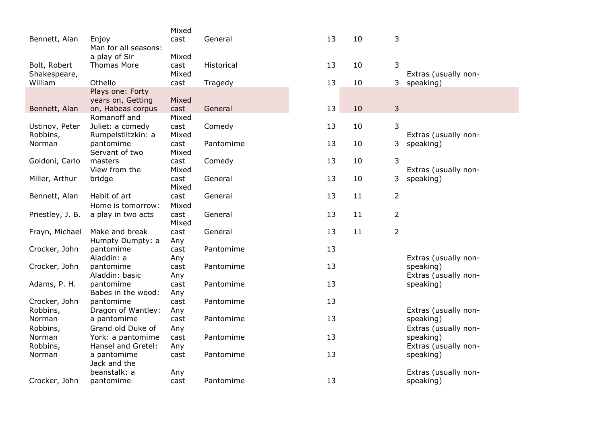|                    |                                         | Mixed       |            |    |    |                |                                   |
|--------------------|-----------------------------------------|-------------|------------|----|----|----------------|-----------------------------------|
| Bennett, Alan      | Enjoy                                   | cast        | General    | 13 | 10 | 3              |                                   |
|                    | Man for all seasons:                    |             |            |    |    |                |                                   |
|                    | a play of Sir                           | Mixed       |            |    |    |                |                                   |
| Bolt, Robert       | <b>Thomas More</b>                      | cast        | Historical | 13 | 10 | 3              |                                   |
| Shakespeare,       |                                         | Mixed       |            |    |    |                | Extras (usually non-              |
| William            | Othello                                 | cast        | Tragedy    | 13 | 10 | 3              | speaking)                         |
|                    | Plays one: Forty                        |             |            |    |    |                |                                   |
|                    | years on, Getting                       | Mixed       |            |    |    |                |                                   |
| Bennett, Alan      | on, Habeas corpus                       | cast        | General    | 13 | 10 | 3              |                                   |
|                    | Romanoff and                            | Mixed       |            |    |    |                |                                   |
| Ustinov, Peter     | Juliet: a comedy                        | cast        | Comedy     | 13 | 10 | 3              |                                   |
| Robbins,           | Rumpelstiltzkin: a                      | Mixed       |            |    |    |                | Extras (usually non-              |
| Norman             | pantomime                               | cast        | Pantomime  | 13 | 10 | 3              | speaking)                         |
|                    | Servant of two                          | Mixed       |            |    |    |                |                                   |
| Goldoni, Carlo     | masters                                 | cast        | Comedy     | 13 | 10 | 3              |                                   |
|                    | View from the                           | Mixed       |            |    |    |                | Extras (usually non-              |
| Miller, Arthur     | bridge                                  | cast        | General    | 13 | 10 | 3              | speaking)                         |
|                    |                                         | Mixed       |            |    |    |                |                                   |
| Bennett, Alan      | Habit of art                            | cast        | General    | 13 | 11 | 2              |                                   |
|                    | Home is tomorrow:                       | Mixed       |            |    |    |                |                                   |
| Priestley, J. B.   | a play in two acts                      | cast        | General    | 13 | 11 | $\overline{2}$ |                                   |
|                    |                                         | Mixed       |            |    |    |                |                                   |
| Frayn, Michael     | Make and break                          | cast        | General    | 13 | 11 | $\overline{2}$ |                                   |
|                    | Humpty Dumpty: a                        | Any         |            |    |    |                |                                   |
| Crocker, John      | pantomime                               | cast        | Pantomime  | 13 |    |                |                                   |
|                    | Aladdin: a                              | Any         |            |    |    |                | Extras (usually non-              |
| Crocker, John      | pantomime                               | cast        | Pantomime  | 13 |    |                | speaking)                         |
|                    | Aladdin: basic                          | Any         |            |    |    |                | Extras (usually non-              |
| Adams, P. H.       | pantomime<br>Babes in the wood:         | cast        | Pantomime  | 13 |    |                | speaking)                         |
| Crocker, John      | pantomime                               | Any<br>cast | Pantomime  | 13 |    |                |                                   |
| Robbins,           | Dragon of Wantley:                      | Any         |            |    |    |                | Extras (usually non-              |
| Norman             | a pantomime                             | cast        | Pantomime  | 13 |    |                | speaking)                         |
|                    | Grand old Duke of                       |             |            |    |    |                |                                   |
| Robbins,<br>Norman |                                         | Any<br>cast | Pantomime  | 13 |    |                | Extras (usually non-              |
| Robbins,           | York: a pantomime<br>Hansel and Gretel: |             |            |    |    |                | speaking)<br>Extras (usually non- |
| Norman             | a pantomime                             | Any<br>cast | Pantomime  | 13 |    |                | speaking)                         |
|                    | Jack and the                            |             |            |    |    |                |                                   |
|                    | beanstalk: a                            | Any         |            |    |    |                | Extras (usually non-              |
| Crocker, John      | pantomime                               | cast        | Pantomime  | 13 |    |                | speaking)                         |
|                    |                                         |             |            |    |    |                |                                   |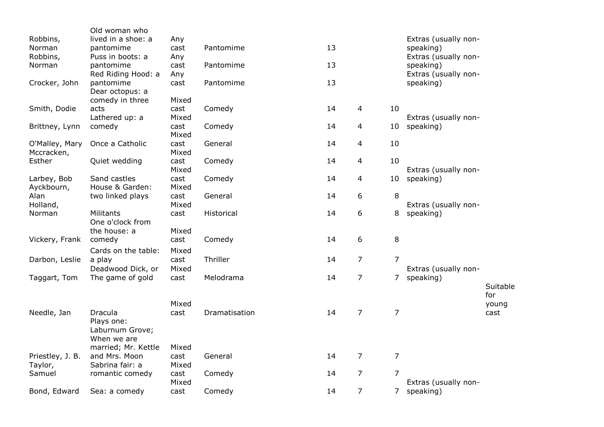| Bond, Edward                     | Sea: a comedy                                           | cast                   | Comedy                 | 14       | $\overline{7}$      |                | 7 speaking)                                    |              |
|----------------------------------|---------------------------------------------------------|------------------------|------------------------|----------|---------------------|----------------|------------------------------------------------|--------------|
| Samuel                           | romantic comedy                                         | cast<br>Mixed          | Comedy                 | 14       | $\overline{7}$      | $\overline{7}$ | Extras (usually non-                           |              |
| Priestley, J. B.<br>Taylor,      | married; Mr. Kettle<br>and Mrs. Moon<br>Sabrina fair: a | Mixed<br>cast<br>Mixed | General                | 14       | $\overline{7}$      | 7              |                                                |              |
| Needle, Jan                      | Dracula<br>Plays one:<br>Laburnum Grove;<br>When we are | cast                   | Dramatisation          | 14       | $\overline{7}$      | $\overline{7}$ |                                                | cast         |
|                                  |                                                         | Mixed                  |                        |          |                     |                |                                                | for<br>young |
| Taggart, Tom                     | Deadwood Dick, or<br>The game of gold                   | Mixed<br>cast          | Melodrama              | 14       | $\overline{7}$      |                | Extras (usually non-<br>7 speaking)            | Suitable     |
| Darbon, Leslie                   | Cards on the table:<br>a play                           | Mixed<br>cast          | Thriller               | 14       | $\overline{7}$      | $\overline{7}$ |                                                |              |
| Vickery, Frank                   | the house: a<br>comedy                                  | Mixed<br>cast          | Comedy                 | 14       | 6                   | 8              |                                                |              |
| Holland,<br>Norman               | Militants<br>One o'clock from                           | Mixed<br>cast          | Historical             | 14       | 6                   | 8              | Extras (usually non-<br>speaking)              |              |
| Ayckbourn,<br>Alan               | House & Garden:<br>two linked plays                     | Mixed<br>cast          | General                | 14       | 6                   | 8              |                                                |              |
| Larbey, Bob                      | Sand castles                                            | Mixed<br>cast          | Comedy                 | 14       | $\overline{4}$      | 10             | Extras (usually non-<br>speaking)              |              |
| Mccracken,<br>Esther             | Quiet wedding                                           | Mixed<br>cast          | Comedy                 | 14       | 4                   | 10             |                                                |              |
| Brittney, Lynn<br>O'Malley, Mary | comedy<br>Once a Catholic                               | cast<br>Mixed<br>cast  | Comedy<br>General      | 14<br>14 | $\overline{4}$<br>4 | 10<br>10       | speaking)                                      |              |
| Smith, Dodie                     | acts<br>Lathered up: a                                  | cast<br>Mixed          | Comedy                 | 14       | $\overline{4}$      | 10             | Extras (usually non-                           |              |
|                                  | Dear octopus: a<br>comedy in three                      | Mixed                  |                        |          |                     |                |                                                |              |
| Norman<br>Crocker, John          | pantomime<br>Red Riding Hood: a<br>pantomime            | cast<br>Any<br>cast    | Pantomime<br>Pantomime | 13<br>13 |                     |                | speaking)<br>Extras (usually non-<br>speaking) |              |
| Norman<br>Robbins,               | pantomime<br>Puss in boots: a                           | cast<br>Any            | Pantomime              | 13       |                     |                | speaking)<br>Extras (usually non-              |              |
| Robbins,                         | Old woman who<br>lived in a shoe: a                     | Any                    |                        |          |                     |                | Extras (usually non-                           |              |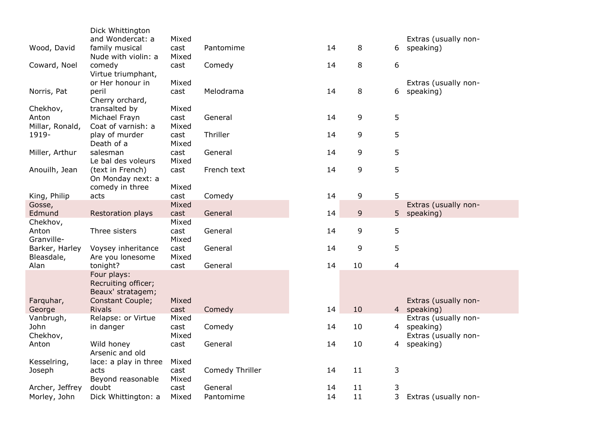| and Wondercat: a<br>Mixed<br>Extras (usually non-<br>8<br>Wood, David<br>family musical<br>14<br>speaking)<br>cast<br>Pantomime<br>6<br>Nude with violin: a<br>Mixed |  |
|----------------------------------------------------------------------------------------------------------------------------------------------------------------------|--|
|                                                                                                                                                                      |  |
|                                                                                                                                                                      |  |
|                                                                                                                                                                      |  |
| 14<br>8<br>6<br>Coward, Noel<br>comedy<br>Comedy<br>cast                                                                                                             |  |
| Virtue triumphant,                                                                                                                                                   |  |
| or Her honour in<br>Mixed<br>Extras (usually non-                                                                                                                    |  |
| 8<br>14<br>Norris, Pat<br>peril<br>Melodrama<br>6 speaking)<br>cast                                                                                                  |  |
| Cherry orchard,                                                                                                                                                      |  |
| Chekhov,<br>transalted by<br>Mixed                                                                                                                                   |  |
| 5<br>9<br>Anton<br>General<br>14<br>Michael Frayn<br>cast                                                                                                            |  |
| Millar, Ronald,<br>Coat of varnish: a<br>Mixed                                                                                                                       |  |
| 5<br>1919-<br>9<br>play of murder<br>Thriller<br>14<br>cast                                                                                                          |  |
| Death of a<br>Mixed                                                                                                                                                  |  |
| 9<br>5<br>14<br>Miller, Arthur<br>salesman<br>General<br>cast                                                                                                        |  |
| Le bal des voleurs<br>Mixed                                                                                                                                          |  |
| 5<br>14<br>9<br>Anouilh, Jean<br>French text<br>(text in French)<br>cast                                                                                             |  |
| On Monday next: a                                                                                                                                                    |  |
| comedy in three<br>Mixed                                                                                                                                             |  |
| 9<br>5<br>Comedy<br>14<br>King, Philip<br>acts<br>cast                                                                                                               |  |
| Gosse,<br>Mixed<br>Extras (usually non-                                                                                                                              |  |
| General<br>14<br>9<br>speaking)<br>Edmund<br>Restoration plays<br>5 <sub>1</sub><br>cast                                                                             |  |
| Mixed<br>Chekhov,                                                                                                                                                    |  |
| 14<br>9<br>5<br>Anton<br>Three sisters<br>General<br>cast                                                                                                            |  |
| Granville-<br>Mixed                                                                                                                                                  |  |
| 9<br>5<br>Barker, Harley<br>General<br>14<br>Voysey inheritance<br>cast                                                                                              |  |
| Mixed<br>Bleasdale,<br>Are you lonesome                                                                                                                              |  |
| tonight?<br>14<br>10<br>4<br>Alan<br>General<br>cast                                                                                                                 |  |
| Four plays:                                                                                                                                                          |  |
| Recruiting officer;                                                                                                                                                  |  |
| Beaux' stratagem;                                                                                                                                                    |  |
| Extras (usually non-<br>Farquhar,<br><b>Constant Couple;</b><br>Mixed                                                                                                |  |
| <b>Rivals</b><br>14<br>10<br>4 speaking)<br>George<br>Comedy<br>cast                                                                                                 |  |
| Vanbrugh,<br>Relapse: or Virtue<br>Mixed<br>Extras (usually non-                                                                                                     |  |
| 14<br>10<br>John<br>in danger<br>Comedy<br>4<br>speaking)<br>cast                                                                                                    |  |
| Chekhov,<br>Mixed<br>Extras (usually non-                                                                                                                            |  |
| General<br>14<br>10<br>Anton<br>Wild honey<br>speaking)<br>cast<br>4                                                                                                 |  |
| Arsenic and old                                                                                                                                                      |  |
| Mixed<br>Kesselring,<br>lace: a play in three                                                                                                                        |  |
| 11<br>Comedy Thriller<br>14<br>3<br>Joseph<br>acts<br>cast                                                                                                           |  |
| Mixed<br>Beyond reasonable                                                                                                                                           |  |
| General<br>11<br>3<br>Archer, Jeffrey<br>doubt<br>cast<br>14                                                                                                         |  |
| 14<br>11<br>3<br>Morley, John<br>Dick Whittington: a<br>Mixed<br>Pantomime<br>Extras (usually non-                                                                   |  |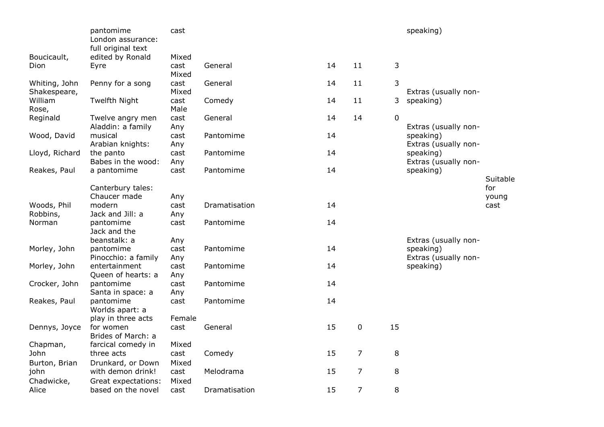|                | pantomime<br>London assurance:<br>full original text | cast   |               |    |                |    | speaking)            |          |
|----------------|------------------------------------------------------|--------|---------------|----|----------------|----|----------------------|----------|
| Boucicault,    | edited by Ronald                                     | Mixed  |               |    |                |    |                      |          |
| Dion           | Eyre                                                 | cast   | General       | 14 | 11             | 3  |                      |          |
|                |                                                      | Mixed  |               |    |                |    |                      |          |
| Whiting, John  | Penny for a song                                     | cast   | General       | 14 | 11             | 3  |                      |          |
| Shakespeare,   |                                                      | Mixed  |               |    |                |    | Extras (usually non- |          |
| William        | Twelfth Night                                        | cast   | Comedy        | 14 | 11             | 3  | speaking)            |          |
| Rose,          |                                                      | Male   |               |    |                |    |                      |          |
| Reginald       | Twelve angry men                                     | cast   | General       | 14 | 14             | 0  |                      |          |
|                | Aladdin: a family                                    | Any    |               |    |                |    | Extras (usually non- |          |
| Wood, David    | musical                                              | cast   | Pantomime     | 14 |                |    | speaking)            |          |
|                | Arabian knights:                                     | Any    |               |    |                |    | Extras (usually non- |          |
| Lloyd, Richard | the panto                                            | cast   | Pantomime     | 14 |                |    | speaking)            |          |
|                | Babes in the wood:                                   | Any    |               |    |                |    | Extras (usually non- |          |
| Reakes, Paul   | a pantomime                                          | cast   | Pantomime     | 14 |                |    | speaking)            |          |
|                |                                                      |        |               |    |                |    |                      | Suitable |
|                | Canterbury tales:                                    |        |               |    |                |    |                      | for      |
|                | Chaucer made                                         | Any    |               |    |                |    |                      | young    |
| Woods, Phil    | modern                                               | cast   | Dramatisation | 14 |                |    |                      | cast     |
| Robbins,       | Jack and Jill: a                                     | Any    |               |    |                |    |                      |          |
| Norman         | pantomime                                            | cast   | Pantomime     | 14 |                |    |                      |          |
|                | Jack and the                                         |        |               |    |                |    |                      |          |
|                | beanstalk: a                                         | Any    |               |    |                |    | Extras (usually non- |          |
| Morley, John   | pantomime                                            | cast   | Pantomime     | 14 |                |    | speaking)            |          |
|                | Pinocchio: a family                                  | Any    |               |    |                |    | Extras (usually non- |          |
| Morley, John   | entertainment                                        | cast   | Pantomime     | 14 |                |    | speaking)            |          |
|                | Queen of hearts: a                                   | Any    |               |    |                |    |                      |          |
| Crocker, John  | pantomime                                            | cast   | Pantomime     | 14 |                |    |                      |          |
|                | Santa in space: a                                    | Any    |               |    |                |    |                      |          |
| Reakes, Paul   | pantomime                                            | cast   | Pantomime     | 14 |                |    |                      |          |
|                | Worlds apart: a                                      |        |               |    |                |    |                      |          |
|                | play in three acts                                   | Female |               |    |                |    |                      |          |
| Dennys, Joyce  | for women                                            | cast   | General       | 15 | 0              | 15 |                      |          |
|                | Brides of March: a                                   |        |               |    |                |    |                      |          |
| Chapman,       | farcical comedy in                                   | Mixed  |               |    |                |    |                      |          |
| John           | three acts                                           | cast   | Comedy        | 15 | $\overline{7}$ | 8  |                      |          |
| Burton, Brian  | Drunkard, or Down                                    | Mixed  |               |    |                |    |                      |          |
| john           | with demon drink!                                    | cast   | Melodrama     | 15 | $\overline{7}$ | 8  |                      |          |
| Chadwicke,     | Great expectations:                                  | Mixed  |               |    |                |    |                      |          |
| Alice          | based on the novel                                   | cast   | Dramatisation | 15 | $\overline{7}$ | 8  |                      |          |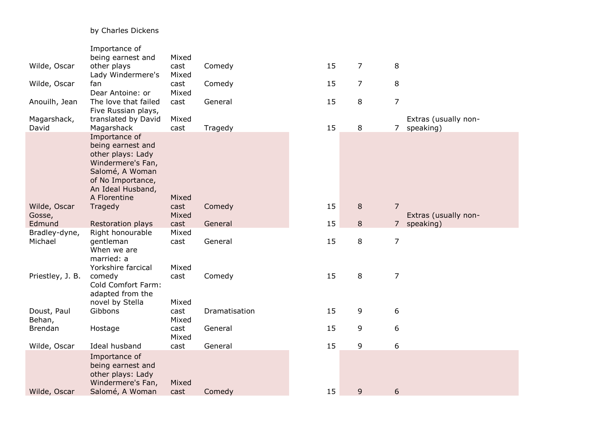# by Charles Dickens

|                  | Importance of        |       |               |    |                |                |                      |
|------------------|----------------------|-------|---------------|----|----------------|----------------|----------------------|
|                  | being earnest and    | Mixed |               |    |                |                |                      |
| Wilde, Oscar     | other plays          | cast  | Comedy        | 15 | 7              | 8              |                      |
|                  | Lady Windermere's    | Mixed |               |    |                |                |                      |
| Wilde, Oscar     | fan                  | cast  | Comedy        | 15 | $\overline{7}$ | 8              |                      |
|                  | Dear Antoine: or     | Mixed |               |    |                |                |                      |
| Anouilh, Jean    | The love that failed | cast  | General       | 15 | 8              | $\overline{7}$ |                      |
|                  | Five Russian plays,  |       |               |    |                |                |                      |
| Magarshack,      | translated by David  | Mixed |               |    |                |                | Extras (usually non- |
| David            | Magarshack           | cast  | Tragedy       | 15 | 8              |                | 7 speaking)          |
|                  | Importance of        |       |               |    |                |                |                      |
|                  | being earnest and    |       |               |    |                |                |                      |
|                  | other plays: Lady    |       |               |    |                |                |                      |
|                  | Windermere's Fan,    |       |               |    |                |                |                      |
|                  | Salomé, A Woman      |       |               |    |                |                |                      |
|                  | of No Importance,    |       |               |    |                |                |                      |
|                  | An Ideal Husband,    |       |               |    |                |                |                      |
|                  | A Florentine         | Mixed |               |    |                |                |                      |
| Wilde, Oscar     | Tragedy              | cast  | Comedy        | 15 | 8              | $\overline{7}$ |                      |
| Gosse,           |                      | Mixed |               |    |                |                | Extras (usually non- |
| Edmund           | Restoration plays    | cast  | General       | 15 | 8              | $\overline{7}$ | speaking)            |
| Bradley-dyne,    | Right honourable     | Mixed |               |    |                |                |                      |
| Michael          | gentleman            | cast  | General       | 15 | 8              | $\overline{7}$ |                      |
|                  | When we are          |       |               |    |                |                |                      |
|                  | married: a           |       |               |    |                |                |                      |
|                  | Yorkshire farcical   | Mixed |               |    |                |                |                      |
| Priestley, J. B. | comedy               | cast  | Comedy        | 15 | 8              | $\overline{7}$ |                      |
|                  | Cold Comfort Farm:   |       |               |    |                |                |                      |
|                  | adapted from the     |       |               |    |                |                |                      |
|                  | novel by Stella      | Mixed |               |    |                |                |                      |
| Doust, Paul      | Gibbons              | cast  | Dramatisation | 15 | 9              | 6              |                      |
| Behan,           |                      | Mixed |               |    |                |                |                      |
| <b>Brendan</b>   | Hostage              | cast  | General       | 15 | 9              | 6              |                      |
|                  |                      | Mixed |               |    |                |                |                      |
| Wilde, Oscar     | Ideal husband        | cast  | General       | 15 | 9              | 6              |                      |
|                  | Importance of        |       |               |    |                |                |                      |
|                  | being earnest and    |       |               |    |                |                |                      |
|                  | other plays: Lady    |       |               |    |                |                |                      |
|                  | Windermere's Fan,    | Mixed |               |    |                |                |                      |
| Wilde, Oscar     | Salomé, A Woman      | cast  | Comedy        | 15 | 9              | 6              |                      |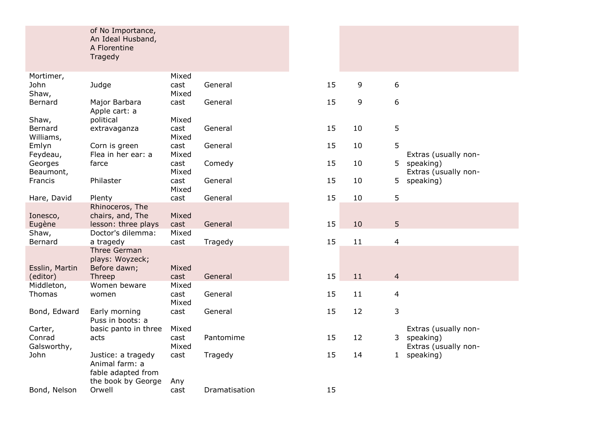#### of No Importance, An Ideal Husband, A Florentine Tragedy

|                      |                                   | Mixed         |               |    |    |                |                                   |
|----------------------|-----------------------------------|---------------|---------------|----|----|----------------|-----------------------------------|
| Mortimer,            |                                   |               |               |    |    |                |                                   |
| John                 | Judge                             | cast          | General       | 15 | 9  | 6              |                                   |
| Shaw,                |                                   | Mixed         |               |    |    |                |                                   |
| Bernard              | Major Barbara                     | cast          | General       | 15 | 9  | 6              |                                   |
|                      | Apple cart: a                     |               |               |    |    |                |                                   |
| Shaw,                | political                         | Mixed         |               | 15 | 10 |                |                                   |
| Bernard<br>Williams, | extravaganza                      | cast<br>Mixed | General       |    |    | 5              |                                   |
| Emlyn                | Corn is green                     | cast          | General       | 15 | 10 | 5              |                                   |
| Feydeau,             | Flea in her ear: a                | Mixed         |               |    |    |                | Extras (usually non-              |
| Georges              | farce                             | cast          | Comedy        | 15 | 10 | 5.             | speaking)                         |
| Beaumont,            |                                   | Mixed         |               |    |    |                | Extras (usually non-              |
| Francis              | Philaster                         | cast          | General       | 15 | 10 | 5              | speaking)                         |
|                      |                                   | Mixed         |               |    |    |                |                                   |
| Hare, David          | Plenty                            | cast          | General       | 15 | 10 | 5              |                                   |
|                      | Rhinoceros, The                   |               |               |    |    |                |                                   |
| Ionesco,             | chairs, and, The                  | Mixed         |               |    |    |                |                                   |
| Eugène               | lesson: three plays               | cast          | General       | 15 | 10 | 5              |                                   |
| Shaw,                | Doctor's dilemma:                 | Mixed         |               |    |    |                |                                   |
| Bernard              | a tragedy                         | cast          | Tragedy       | 15 | 11 | 4              |                                   |
|                      | <b>Three German</b>               |               |               |    |    |                |                                   |
|                      | plays: Woyzeck;                   |               |               |    |    |                |                                   |
| Esslin, Martin       | Before dawn;                      | Mixed         |               |    |    |                |                                   |
| (editor)             | Threep                            | cast          | General       | 15 | 11 | $\overline{4}$ |                                   |
| Middleton,           | Women beware                      | Mixed         |               |    |    |                |                                   |
| Thomas               | women                             | cast          | General       | 15 | 11 | 4              |                                   |
|                      |                                   | Mixed         |               |    |    |                |                                   |
| Bond, Edward         | Early morning<br>Puss in boots: a | cast          | General       | 15 | 12 | 3              |                                   |
| Carter,              |                                   | Mixed         |               |    |    |                |                                   |
| Conrad               | basic panto in three<br>acts      | cast          | Pantomime     | 15 | 12 | 3              | Extras (usually non-<br>speaking) |
| Galsworthy,          |                                   | Mixed         |               |    |    |                | Extras (usually non-              |
| John                 | Justice: a tragedy                | cast          | Tragedy       | 15 | 14 | $\mathbf{1}$   | speaking)                         |
|                      | Animal farm: a                    |               |               |    |    |                |                                   |
|                      | fable adapted from                |               |               |    |    |                |                                   |
|                      | the book by George                | Any           |               |    |    |                |                                   |
| Bond, Nelson         | Orwell                            | cast          | Dramatisation | 15 |    |                |                                   |
|                      |                                   |               |               |    |    |                |                                   |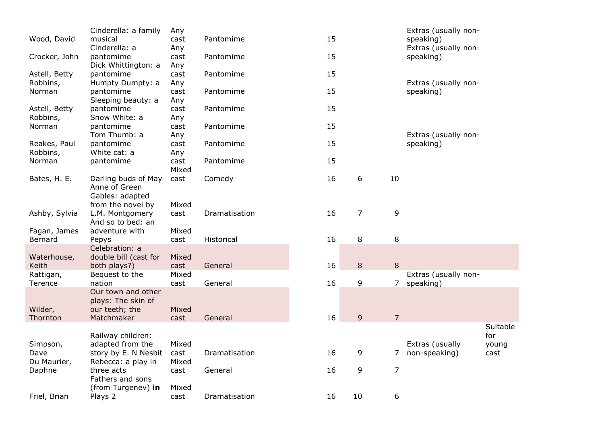|               | Cinderella: a family  | Any   |               |    |                |                | Extras (usually non- |          |
|---------------|-----------------------|-------|---------------|----|----------------|----------------|----------------------|----------|
| Wood, David   | musical               | cast  | Pantomime     | 15 |                |                | speaking)            |          |
|               | Cinderella: a         | Any   |               |    |                |                | Extras (usually non- |          |
| Crocker, John | pantomime             | cast  | Pantomime     | 15 |                |                | speaking)            |          |
|               | Dick Whittington: a   | Any   |               |    |                |                |                      |          |
| Astell, Betty | pantomime             | cast  | Pantomime     | 15 |                |                |                      |          |
| Robbins,      | Humpty Dumpty: a      | Any   |               |    |                |                | Extras (usually non- |          |
| Norman        | pantomime             | cast  | Pantomime     | 15 |                |                | speaking)            |          |
|               | Sleeping beauty: a    | Any   |               |    |                |                |                      |          |
| Astell, Betty | pantomime             | cast  | Pantomime     | 15 |                |                |                      |          |
| Robbins,      | Snow White: a         | Any   |               |    |                |                |                      |          |
| Norman        | pantomime             | cast  | Pantomime     | 15 |                |                |                      |          |
|               | Tom Thumb: a          | Any   |               |    |                |                | Extras (usually non- |          |
| Reakes, Paul  | pantomime             | cast  | Pantomime     | 15 |                |                | speaking)            |          |
| Robbins,      | White cat: a          | Any   |               |    |                |                |                      |          |
| Norman        | pantomime             | cast  | Pantomime     | 15 |                |                |                      |          |
|               |                       | Mixed |               |    |                |                |                      |          |
| Bates, H. E.  | Darling buds of May   | cast  | Comedy        | 16 | 6              | 10             |                      |          |
|               | Anne of Green         |       |               |    |                |                |                      |          |
|               | Gables: adapted       |       |               |    |                |                |                      |          |
|               | from the novel by     | Mixed |               |    |                |                |                      |          |
| Ashby, Sylvia | L.M. Montgomery       | cast  | Dramatisation | 16 | $\overline{7}$ | 9              |                      |          |
|               | And so to bed: an     |       |               |    |                |                |                      |          |
| Fagan, James  | adventure with        | Mixed |               |    |                |                |                      |          |
| Bernard       | Pepys                 | cast  | Historical    | 16 | 8              | 8              |                      |          |
|               | Celebration: a        |       |               |    |                |                |                      |          |
| Waterhouse,   | double bill (cast for | Mixed |               |    |                |                |                      |          |
| Keith         | both plays?)          | cast  | General       | 16 | 8              | 8              |                      |          |
| Rattigan,     | Bequest to the        | Mixed |               |    |                |                | Extras (usually non- |          |
| Terence       | nation                | cast  | General       | 16 | 9              | $\overline{7}$ | speaking)            |          |
|               | Our town and other    |       |               |    |                |                |                      |          |
|               | plays: The skin of    |       |               |    |                |                |                      |          |
| Wilder,       | our teeth; the        | Mixed |               |    |                |                |                      |          |
| Thornton      | Matchmaker            | cast  | General       | 16 | 9              | $\overline{7}$ |                      |          |
|               |                       |       |               |    |                |                |                      | Suitable |
|               | Railway children:     |       |               |    |                |                |                      | for      |
| Simpson,      | adapted from the      | Mixed |               |    |                |                | Extras (usually      | young    |
| Dave          | story by E. N Nesbit  | cast  | Dramatisation | 16 | 9              | 7              | non-speaking)        | cast     |
| Du Maurier,   | Rebecca: a play in    | Mixed |               |    |                |                |                      |          |
|               | three acts            |       | General       | 16 | 9              | $\overline{7}$ |                      |          |
| Daphne        | Fathers and sons      | cast  |               |    |                |                |                      |          |
|               |                       | Mixed |               |    |                |                |                      |          |
|               | (from Turgenev) in    |       |               |    |                |                |                      |          |
| Friel, Brian  | Plays 2               | cast  | Dramatisation | 16 | 10             | 6              |                      |          |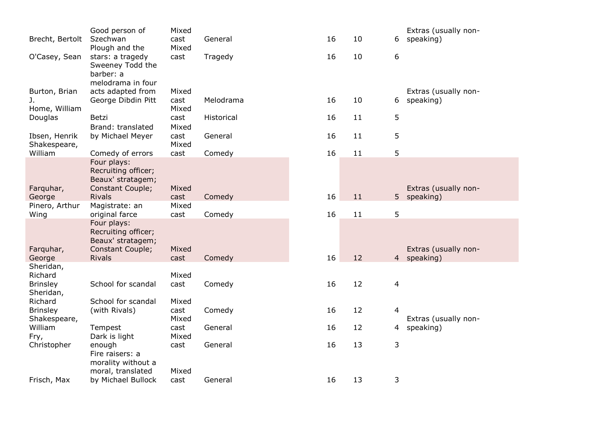|                     | Good person of                        | Mixed |            |    |    |                | Extras (usually non-                |
|---------------------|---------------------------------------|-------|------------|----|----|----------------|-------------------------------------|
| Brecht, Bertolt     | Szechwan                              | cast  | General    | 16 | 10 | 6              | speaking)                           |
|                     | Plough and the                        | Mixed |            |    |    |                |                                     |
| O'Casey, Sean       | stars: a tragedy                      | cast  | Tragedy    | 16 | 10 | 6              |                                     |
|                     | Sweeney Todd the                      |       |            |    |    |                |                                     |
|                     | barber: a                             |       |            |    |    |                |                                     |
|                     | melodrama in four                     |       |            |    |    |                |                                     |
| Burton, Brian       | acts adapted from                     | Mixed |            |    |    |                | Extras (usually non-                |
| J.                  | George Dibdin Pitt                    | cast  | Melodrama  | 16 | 10 | 6              | speaking)                           |
| Home, William       |                                       | Mixed |            |    |    |                |                                     |
| Douglas             | Betzi                                 | cast  | Historical | 16 | 11 | 5              |                                     |
|                     | Brand: translated                     | Mixed |            |    |    |                |                                     |
| Ibsen, Henrik       | by Michael Meyer                      | cast  | General    | 16 | 11 | 5              |                                     |
| Shakespeare,        |                                       | Mixed |            |    |    |                |                                     |
| William             | Comedy of errors                      | cast  | Comedy     | 16 | 11 | 5              |                                     |
|                     | Four plays:                           |       |            |    |    |                |                                     |
|                     | Recruiting officer;                   |       |            |    |    |                |                                     |
|                     | Beaux' stratagem;<br>Constant Couple; | Mixed |            |    |    |                |                                     |
| Farquhar,<br>George | <b>Rivals</b>                         | cast  | Comedy     | 16 | 11 |                | Extras (usually non-<br>5 speaking) |
| Pinero, Arthur      | Magistrate: an                        | Mixed |            |    |    |                |                                     |
| Wing                | original farce                        | cast  | Comedy     | 16 | 11 | 5              |                                     |
|                     | Four plays:                           |       |            |    |    |                |                                     |
|                     | Recruiting officer;                   |       |            |    |    |                |                                     |
|                     | Beaux' stratagem;                     |       |            |    |    |                |                                     |
| Farquhar,           | Constant Couple;                      | Mixed |            |    |    |                | Extras (usually non-                |
| George              | <b>Rivals</b>                         | cast  | Comedy     | 16 | 12 | $\overline{4}$ | speaking)                           |
| Sheridan,           |                                       |       |            |    |    |                |                                     |
| Richard             |                                       | Mixed |            |    |    |                |                                     |
| <b>Brinsley</b>     | School for scandal                    | cast  | Comedy     | 16 | 12 | 4              |                                     |
| Sheridan,           |                                       |       |            |    |    |                |                                     |
| Richard             | School for scandal                    | Mixed |            |    |    |                |                                     |
| <b>Brinsley</b>     | (with Rivals)                         | cast  | Comedy     | 16 | 12 | $\overline{4}$ |                                     |
| Shakespeare,        |                                       | Mixed |            |    |    |                | Extras (usually non-                |
| William             | Tempest                               | cast  | General    | 16 | 12 | 4              | speaking)                           |
| Fry,                | Dark is light                         | Mixed |            |    |    |                |                                     |
| Christopher         | enough                                | cast  | General    | 16 | 13 | 3              |                                     |
|                     | Fire raisers: a                       |       |            |    |    |                |                                     |
|                     | morality without a                    |       |            |    |    |                |                                     |
|                     | moral, translated                     | Mixed |            |    |    |                |                                     |
| Frisch, Max         | by Michael Bullock                    | cast  | General    | 16 | 13 | 3              |                                     |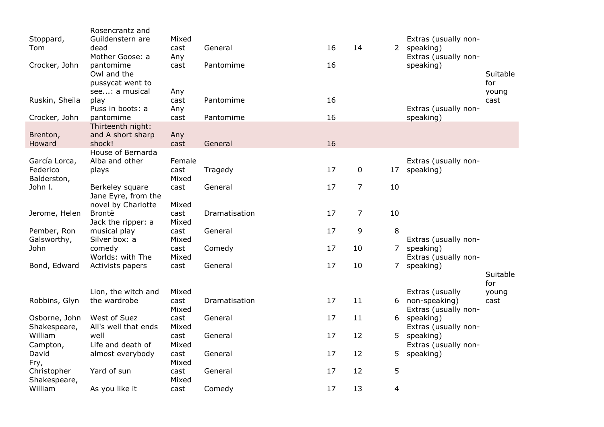| Stoppard,<br>Tom<br>Crocker, John<br>Ruskin, Sheila<br>Crocker, John | Rosencrantz and<br>Guildenstern are<br>dead<br>Mother Goose: a<br>pantomime<br>Owl and the<br>pussycat went to<br>see: a musical<br>play<br>Puss in boots: a<br>pantomime | Mixed<br>cast<br>Any<br>cast<br>Any<br>cast<br>Any<br>cast | General<br>Pantomime<br>Pantomime<br>Pantomime | 16<br>16<br>16<br>16 | 14             |                | Extras (usually non-<br>2 speaking)<br>Extras (usually non-<br>speaking)<br>Extras (usually non-<br>speaking) | Suitable<br>for<br>young<br>cast |
|----------------------------------------------------------------------|---------------------------------------------------------------------------------------------------------------------------------------------------------------------------|------------------------------------------------------------|------------------------------------------------|----------------------|----------------|----------------|---------------------------------------------------------------------------------------------------------------|----------------------------------|
| Brenton,<br>Howard                                                   | Thirteenth night:<br>and A short sharp<br>shock!                                                                                                                          | Any<br>cast                                                | General                                        | 16                   |                |                |                                                                                                               |                                  |
| García Lorca,<br>Federico<br>Balderston,                             | House of Bernarda<br>Alba and other<br>plays                                                                                                                              | Female<br>cast<br>Mixed                                    | Tragedy                                        | 17                   | $\mathbf 0$    | 17             | Extras (usually non-<br>speaking)                                                                             |                                  |
| John I.                                                              | Berkeley square<br>Jane Eyre, from the<br>novel by Charlotte                                                                                                              | cast<br>Mixed                                              | General                                        | 17                   | $\overline{7}$ | 10             |                                                                                                               |                                  |
| Jerome, Helen                                                        | Brontë<br>Jack the ripper: a                                                                                                                                              | cast<br>Mixed                                              | Dramatisation                                  | 17                   | $\overline{7}$ | 10             |                                                                                                               |                                  |
| Pember, Ron<br>Galsworthy,                                           | musical play<br>Silver box: a                                                                                                                                             | cast<br>Mixed                                              | General                                        | 17                   | 9              | 8              | Extras (usually non-                                                                                          |                                  |
| John                                                                 | comedy<br>Worlds: with The                                                                                                                                                | cast<br>Mixed                                              | Comedy                                         | 17                   | 10             | 7              | speaking)<br>Extras (usually non-                                                                             |                                  |
| Bond, Edward                                                         | Activists papers                                                                                                                                                          | cast                                                       | General                                        | 17                   | 10             | $\overline{7}$ | speaking)                                                                                                     | Suitable<br>for                  |
| Robbins, Glyn                                                        | Lion, the witch and<br>the wardrobe                                                                                                                                       | Mixed<br>cast<br>Mixed                                     | Dramatisation                                  | 17                   | 11             | 6              | Extras (usually<br>non-speaking)<br>Extras (usually non-                                                      | young<br>cast                    |
| Osborne, John<br>Shakespeare,                                        | West of Suez<br>All's well that ends                                                                                                                                      | cast<br>Mixed                                              | General                                        | 17                   | 11             |                | 6 speaking)<br>Extras (usually non-                                                                           |                                  |
| William<br>Campton,                                                  | well<br>Life and death of                                                                                                                                                 | cast<br>Mixed                                              | General                                        | 17                   | 12             | 5              | speaking)<br>Extras (usually non-                                                                             |                                  |
| David<br>Fry,                                                        | almost everybody                                                                                                                                                          | cast<br>Mixed                                              | General                                        | 17                   | 12             | 5              | speaking)                                                                                                     |                                  |
| Christopher<br>Shakespeare,                                          | Yard of sun                                                                                                                                                               | cast<br>Mixed                                              | General                                        | 17                   | 12             | 5              |                                                                                                               |                                  |
| William                                                              | As you like it                                                                                                                                                            | cast                                                       | Comedy                                         | 17                   | 13             | 4              |                                                                                                               |                                  |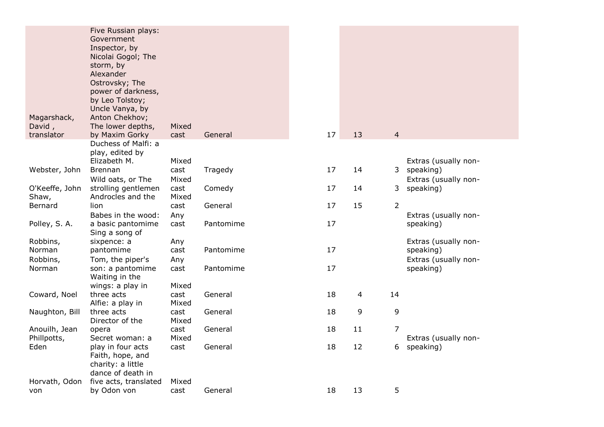| Magarshack,<br>David,   | Five Russian plays:<br>Government<br>Inspector, by<br>Nicolai Gogol; The<br>storm, by<br>Alexander<br>Ostrovsky; The<br>power of darkness,<br>by Leo Tolstoy;<br>Uncle Vanya, by<br>Anton Chekhov;<br>The lower depths, | Mixed         |           |    |    |                |                                     |
|-------------------------|-------------------------------------------------------------------------------------------------------------------------------------------------------------------------------------------------------------------------|---------------|-----------|----|----|----------------|-------------------------------------|
| translator              | by Maxim Gorky                                                                                                                                                                                                          | cast          | General   | 17 | 13 | $\overline{4}$ |                                     |
|                         | Duchess of Malfi: a<br>play, edited by<br>Elizabeth M.                                                                                                                                                                  | Mixed         |           |    |    |                | Extras (usually non-                |
| Webster, John           | <b>Brennan</b><br>Wild oats, or The                                                                                                                                                                                     | cast<br>Mixed | Tragedy   | 17 | 14 |                | 3 speaking)<br>Extras (usually non- |
| O'Keeffe, John<br>Shaw, | strolling gentlemen<br>Androcles and the                                                                                                                                                                                | cast<br>Mixed | Comedy    | 17 | 14 | 3              | speaking)                           |
| Bernard                 | lion                                                                                                                                                                                                                    | cast          | General   | 17 | 15 | $\overline{2}$ |                                     |
|                         | Babes in the wood:                                                                                                                                                                                                      | Any           |           |    |    |                | Extras (usually non-                |
| Polley, S. A.           | a basic pantomime<br>Sing a song of                                                                                                                                                                                     | cast          | Pantomime | 17 |    |                | speaking)                           |
| Robbins,                | sixpence: a                                                                                                                                                                                                             | Any           |           |    |    |                | Extras (usually non-                |
| Norman                  | pantomime                                                                                                                                                                                                               | cast          | Pantomime | 17 |    |                | speaking)                           |
| Robbins,                | Tom, the piper's                                                                                                                                                                                                        | Any           |           |    |    |                | Extras (usually non-                |
| Norman                  | son: a pantomime<br>Waiting in the                                                                                                                                                                                      | cast          | Pantomime | 17 |    |                | speaking)                           |
|                         | wings: a play in<br>three acts                                                                                                                                                                                          | Mixed         | General   | 18 |    | 14             |                                     |
| Coward, Noel            | Alfie: a play in                                                                                                                                                                                                        | cast<br>Mixed |           |    | 4  |                |                                     |
| Naughton, Bill          | three acts<br>Director of the                                                                                                                                                                                           | cast<br>Mixed | General   | 18 | 9  | 9              |                                     |
| Anouilh, Jean           | opera                                                                                                                                                                                                                   | cast          | General   | 18 | 11 | 7              |                                     |
| Phillpotts,             | Secret woman: a                                                                                                                                                                                                         | Mixed         |           |    |    |                | Extras (usually non-                |
| Eden                    | play in four acts<br>Faith, hope, and<br>charity: a little<br>dance of death in                                                                                                                                         | cast          | General   | 18 | 12 | 6              | speaking)                           |
| Horvath, Odon           | five acts, translated                                                                                                                                                                                                   | Mixed         |           |    |    |                |                                     |
| von                     | by Odon von                                                                                                                                                                                                             | cast          | General   | 18 | 13 | 5              |                                     |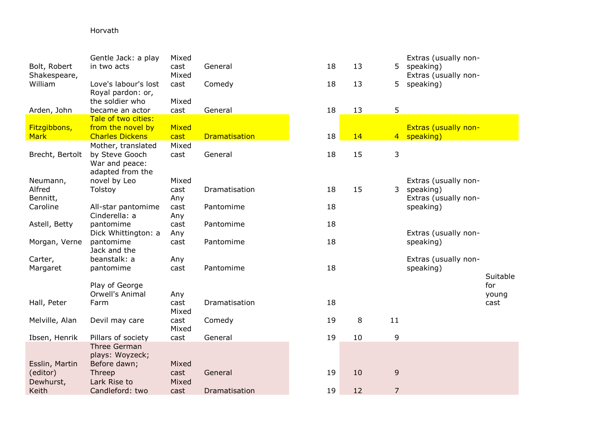# Horvath

| Bolt, Robert<br>Shakespeare, | Gentle Jack: a play<br>in two acts                                         | Mixed<br>cast<br>Mixed | General              | 18 | 13 | 5              | Extras (usually non-<br>speaking)<br>Extras (usually non- |               |
|------------------------------|----------------------------------------------------------------------------|------------------------|----------------------|----|----|----------------|-----------------------------------------------------------|---------------|
| William                      | Love's labour's lost<br>Royal pardon: or,                                  | cast                   | Comedy               | 18 | 13 | 5              | speaking)                                                 |               |
| Arden, John                  | the soldier who<br>became an actor                                         | Mixed<br>cast          | General              | 18 | 13 | 5              |                                                           |               |
|                              | Tale of two cities:                                                        |                        |                      |    |    |                |                                                           |               |
| Fitzgibbons,                 | from the novel by                                                          | Mixed                  |                      |    |    |                | <b>Extras (usually non-</b>                               |               |
| <b>Mark</b>                  | <b>Charles Dickens</b>                                                     | cast                   | <b>Dramatisation</b> | 18 | 14 | $4 -$          | speaking)                                                 |               |
| Brecht, Bertolt              | Mother, translated<br>by Steve Gooch<br>War and peace:<br>adapted from the | Mixed<br>cast          | General              | 18 | 15 | 3              |                                                           |               |
| Neumann,                     | novel by Leo                                                               | Mixed                  |                      |    |    |                | Extras (usually non-                                      |               |
| Alfred<br>Bennitt,           | Tolstoy                                                                    | cast<br>Any            | Dramatisation        | 18 | 15 | 3 <sup>7</sup> | speaking)<br>Extras (usually non-                         |               |
| Caroline                     | All-star pantomime                                                         | cast                   | Pantomime            | 18 |    |                | speaking)                                                 |               |
| Astell, Betty                | Cinderella: a<br>pantomime                                                 | Any<br>cast            | Pantomime            | 18 |    |                |                                                           |               |
|                              | Dick Whittington: a                                                        | Any                    |                      |    |    |                | Extras (usually non-                                      |               |
| Morgan, Verne                | pantomime<br>Jack and the                                                  | cast                   | Pantomime            | 18 |    |                | speaking)                                                 |               |
| Carter,                      | beanstalk: a                                                               | Any                    |                      |    |    |                | Extras (usually non-                                      |               |
| Margaret                     | pantomime                                                                  | cast                   | Pantomime            | 18 |    |                | speaking)                                                 |               |
|                              |                                                                            |                        |                      |    |    |                |                                                           | Suitable      |
|                              | Play of George                                                             |                        |                      |    |    |                |                                                           | for           |
| Hall, Peter                  | Orwell's Animal<br>Farm                                                    | Any<br>cast            | Dramatisation        | 18 |    |                |                                                           | young<br>cast |
|                              |                                                                            | Mixed                  |                      |    |    |                |                                                           |               |
| Melville, Alan               | Devil may care                                                             | cast<br>Mixed          | Comedy               | 19 | 8  | 11             |                                                           |               |
| Ibsen, Henrik                | Pillars of society                                                         | cast                   | General              | 19 | 10 | 9              |                                                           |               |
|                              | Three German<br>plays: Woyzeck;                                            |                        |                      |    |    |                |                                                           |               |
| Esslin, Martin               | Before dawn;                                                               | Mixed                  |                      |    |    |                |                                                           |               |
| (editor)                     | Threep                                                                     | cast                   | General              | 19 | 10 | $\mathsf 9$    |                                                           |               |
| Dewhurst,                    | Lark Rise to                                                               | Mixed                  |                      |    |    |                |                                                           |               |
| Keith                        | Candleford: two                                                            | cast                   | Dramatisation        | 19 | 12 | $\overline{7}$ |                                                           |               |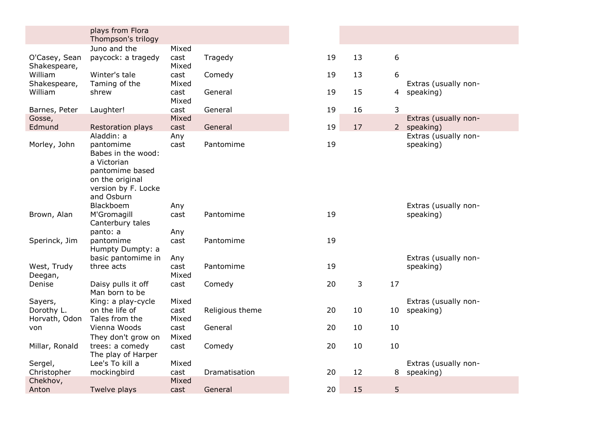|                               | plays from Flora<br>Thompson's trilogy |               |                 |    |    |                 |                      |
|-------------------------------|----------------------------------------|---------------|-----------------|----|----|-----------------|----------------------|
|                               | Juno and the                           | Mixed         |                 |    |    |                 |                      |
| O'Casey, Sean<br>Shakespeare, | paycock: a tragedy                     | cast<br>Mixed | Tragedy         | 19 | 13 | 6               |                      |
| William                       | Winter's tale                          | cast          | Comedy          | 19 | 13 | 6               |                      |
| Shakespeare,                  | Taming of the                          | Mixed         |                 |    |    |                 | Extras (usually non- |
| William                       | shrew                                  | cast<br>Mixed | General         | 19 | 15 | $\overline{4}$  | speaking)            |
| Barnes, Peter                 | Laughter!                              | cast          | General         | 19 | 16 | 3               |                      |
| Gosse,                        |                                        | Mixed         |                 |    |    |                 | Extras (usually non- |
| Edmund                        | Restoration plays                      | cast          | General         | 19 | 17 |                 | 2 speaking)          |
|                               | Aladdin: a                             | Any           |                 |    |    |                 | Extras (usually non- |
| Morley, John                  | pantomime                              | cast          | Pantomime       | 19 |    |                 | speaking)            |
|                               | Babes in the wood:                     |               |                 |    |    |                 |                      |
|                               | a Victorian                            |               |                 |    |    |                 |                      |
|                               | pantomime based                        |               |                 |    |    |                 |                      |
|                               | on the original                        |               |                 |    |    |                 |                      |
|                               | version by F. Locke<br>and Osburn      |               |                 |    |    |                 |                      |
|                               | Blackboem                              | Any           |                 |    |    |                 | Extras (usually non- |
| Brown, Alan                   | M'Gromagill                            | cast          | Pantomime       | 19 |    |                 | speaking)            |
|                               | Canterbury tales                       |               |                 |    |    |                 |                      |
|                               | panto: a                               | Any           |                 |    |    |                 |                      |
| Sperinck, Jim                 | pantomime                              | cast          | Pantomime       | 19 |    |                 |                      |
|                               | Humpty Dumpty: a                       |               |                 |    |    |                 |                      |
|                               | basic pantomime in                     | Any           |                 |    |    |                 | Extras (usually non- |
| West, Trudy                   | three acts                             | cast          | Pantomime       | 19 |    |                 | speaking)            |
| Deegan,                       |                                        | Mixed         |                 |    |    |                 |                      |
| Denise                        | Daisy pulls it off                     | cast          | Comedy          | 20 | 3  | 17              |                      |
|                               | Man born to be                         |               |                 |    |    |                 |                      |
| Sayers,                       | King: a play-cycle                     | Mixed         |                 |    |    |                 | Extras (usually non- |
| Dorothy L.                    | on the life of                         | cast          | Religious theme | 20 | 10 | 10 <sup>1</sup> | speaking)            |
| Horvath, Odon                 | Tales from the<br>Vienna Woods         | Mixed         | General         |    | 10 | 10              |                      |
| von                           |                                        | cast          |                 | 20 |    |                 |                      |
|                               | They don't grow on                     | Mixed         |                 |    |    | 10              |                      |
| Millar, Ronald                | trees: a comedy<br>The play of Harper  | cast          | Comedy          | 20 | 10 |                 |                      |
| Sergel,                       | Lee's To kill a                        | Mixed         |                 |    |    |                 | Extras (usually non- |
| Christopher                   | mockingbird                            | cast          | Dramatisation   | 20 | 12 | 8               | speaking)            |
| Chekhov,                      |                                        | Mixed         |                 |    |    |                 |                      |
| Anton                         | Twelve plays                           | cast          | General         | 20 | 15 | 5               |                      |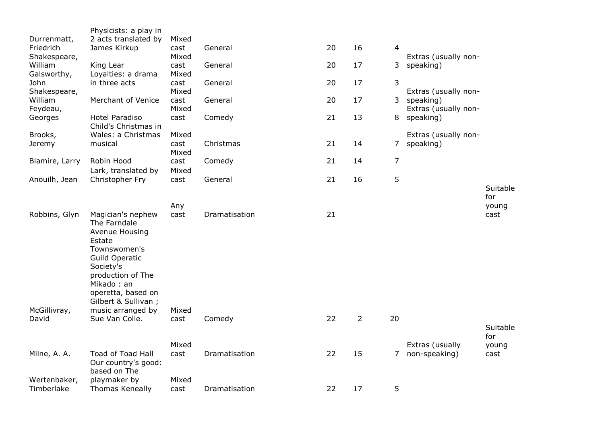| Durrenmatt,<br>Friedrich<br>Shakespeare, | Physicists: a play in<br>2 acts translated by<br>James Kirkup                                                                                                                                | Mixed<br>cast<br>Mixed | General       | 20 | 16             | $\overline{4}$ | Extras (usually non-              |                 |
|------------------------------------------|----------------------------------------------------------------------------------------------------------------------------------------------------------------------------------------------|------------------------|---------------|----|----------------|----------------|-----------------------------------|-----------------|
| William<br>Galsworthy,                   | King Lear<br>Loyalties: a drama                                                                                                                                                              | cast<br>Mixed          | General       | 20 | 17             | 3              | speaking)                         |                 |
| John<br>Shakespeare,                     | in three acts                                                                                                                                                                                | cast<br>Mixed          | General       | 20 | 17             | 3              | Extras (usually non-              |                 |
| William<br>Feydeau,                      | Merchant of Venice                                                                                                                                                                           | cast<br>Mixed          | General       | 20 | 17             | 3              | speaking)<br>Extras (usually non- |                 |
| Georges                                  | <b>Hotel Paradiso</b><br>Child's Christmas in                                                                                                                                                | cast                   | Comedy        | 21 | 13             | 8              | speaking)                         |                 |
| Brooks,<br>Jeremy                        | Wales: a Christmas<br>musical                                                                                                                                                                | Mixed<br>cast<br>Mixed | Christmas     | 21 | 14             | 7              | Extras (usually non-<br>speaking) |                 |
| Blamire, Larry                           | Robin Hood<br>Lark, translated by                                                                                                                                                            | cast<br>Mixed          | Comedy        | 21 | 14             | 7              |                                   |                 |
| Anouilh, Jean                            | Christopher Fry                                                                                                                                                                              | cast                   | General       | 21 | 16             | 5              |                                   | Suitable<br>for |
|                                          |                                                                                                                                                                                              | Any                    |               |    |                |                |                                   | young           |
| Robbins, Glyn                            | Magician's nephew<br>The Farndale<br>Avenue Housing<br>Estate<br>Townswomen's<br>Guild Operatic<br>Society's<br>production of The<br>Mikado: an<br>operetta, based on<br>Gilbert & Sullivan; | cast                   | Dramatisation | 21 |                |                |                                   | cast            |
| McGillivray,<br>David                    | music arranged by<br>Sue Van Colle.                                                                                                                                                          | Mixed<br>cast          | Comedy        | 22 | $\overline{2}$ | 20             |                                   | Suitable<br>for |
|                                          |                                                                                                                                                                                              | Mixed                  |               |    |                |                | Extras (usually                   | young           |
| Milne, A. A.                             | Toad of Toad Hall<br>Our country's good:<br>based on The                                                                                                                                     | cast                   | Dramatisation | 22 | 15             | 7 <sup>7</sup> | non-speaking)                     | cast            |
| Wertenbaker,<br>Timberlake               | playmaker by<br>Thomas Keneally                                                                                                                                                              | Mixed<br>cast          | Dramatisation | 22 | 17             | 5              |                                   |                 |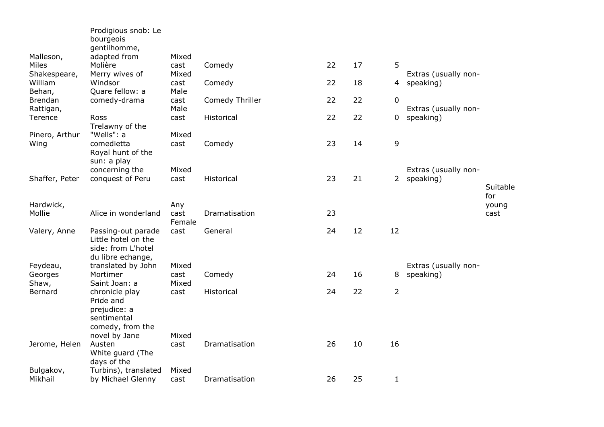|                        | Prodigious snob: Le<br>bourgeois<br>gentilhomme,                                     |                       |                 |    |    |                |                                   |               |
|------------------------|--------------------------------------------------------------------------------------|-----------------------|-----------------|----|----|----------------|-----------------------------------|---------------|
| Malleson,              | adapted from                                                                         | Mixed                 |                 |    |    |                |                                   |               |
| Miles<br>Shakespeare,  | Molière<br>Merry wives of                                                            | cast<br>Mixed         | Comedy          | 22 | 17 | 5              | Extras (usually non-              |               |
| William<br>Behan,      | Windsor<br>Quare fellow: a                                                           | cast<br>Male          | Comedy          | 22 | 18 | $\overline{4}$ | speaking)                         |               |
| Brendan<br>Rattigan,   | comedy-drama                                                                         | cast<br>Male          | Comedy Thriller | 22 | 22 | 0              | Extras (usually non-              |               |
| Terence                | Ross<br>Trelawny of the                                                              | cast                  | Historical      | 22 | 22 | $\mathbf 0$    | speaking)                         |               |
| Pinero, Arthur<br>Wing | "Wells": a<br>comedietta<br>Royal hunt of the                                        | Mixed<br>cast         | Comedy          | 23 | 14 | 9              |                                   |               |
| Shaffer, Peter         | sun: a play<br>concerning the<br>conquest of Peru                                    | Mixed<br>cast         | Historical      | 23 | 21 | $2^{\circ}$    | Extras (usually non-<br>speaking) | Suitable      |
| Hardwick,              |                                                                                      |                       |                 |    |    |                |                                   | for           |
| Mollie                 | Alice in wonderland                                                                  | Any<br>cast<br>Female | Dramatisation   | 23 |    |                |                                   | young<br>cast |
| Valery, Anne           | Passing-out parade<br>Little hotel on the<br>side: from L'hotel<br>du libre echange, | cast                  | General         | 24 | 12 | 12             |                                   |               |
| Feydeau,               | translated by John                                                                   | Mixed                 |                 |    |    |                | Extras (usually non-              |               |
| Georges<br>Shaw,       | Mortimer<br>Saint Joan: a                                                            | cast<br>Mixed         | Comedy          | 24 | 16 | 8              | speaking)                         |               |
| Bernard                | chronicle play<br>Pride and<br>prejudice: a<br>sentimental                           | cast                  | Historical      | 24 | 22 | $\overline{2}$ |                                   |               |
|                        | comedy, from the                                                                     | Mixed                 |                 |    |    |                |                                   |               |
| Jerome, Helen          | novel by Jane<br>Austen<br>White guard (The<br>days of the                           | cast                  | Dramatisation   | 26 | 10 | 16             |                                   |               |
| Bulgakov,              | Turbins), translated                                                                 | Mixed                 |                 |    |    |                |                                   |               |
| Mikhail                | by Michael Glenny                                                                    | cast                  | Dramatisation   | 26 | 25 | $1\,$          |                                   |               |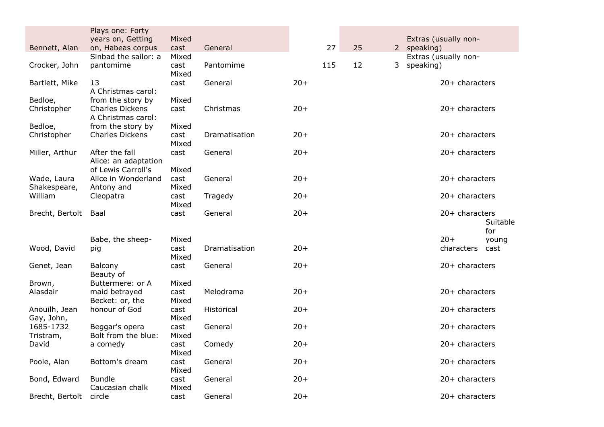|                      | Plays one: Forty                             |               |               |       |     |    |  |             |                      |          |
|----------------------|----------------------------------------------|---------------|---------------|-------|-----|----|--|-------------|----------------------|----------|
|                      | years on, Getting                            | Mixed         |               |       |     |    |  |             | Extras (usually non- |          |
| Bennett, Alan        | on, Habeas corpus                            | cast          | General       |       | 27  | 25 |  | 2 speaking) |                      |          |
|                      | Sinbad the sailor: a                         | Mixed         |               |       |     |    |  |             | Extras (usually non- |          |
| Crocker, John        | pantomime                                    | cast<br>Mixed | Pantomime     |       | 115 | 12 |  | 3 speaking) |                      |          |
| Bartlett, Mike       | 13<br>A Christmas carol:                     | cast          | General       | $20+$ |     |    |  |             | $20+$ characters     |          |
| Bedloe,              | from the story by                            | Mixed         |               |       |     |    |  |             |                      |          |
| Christopher          | <b>Charles Dickens</b><br>A Christmas carol: | cast          | Christmas     | $20+$ |     |    |  |             | 20+ characters       |          |
| Bedloe,              | from the story by                            | Mixed         |               |       |     |    |  |             |                      |          |
| Christopher          | <b>Charles Dickens</b>                       | cast          | Dramatisation | $20+$ |     |    |  |             | $20+$ characters     |          |
|                      |                                              | Mixed         |               |       |     |    |  |             |                      |          |
| Miller, Arthur       | After the fall<br>Alice: an adaptation       | cast          | General       | $20+$ |     |    |  |             | $20+$ characters     |          |
|                      | of Lewis Carroll's                           | Mixed         |               |       |     |    |  |             |                      |          |
| Wade, Laura          | Alice in Wonderland                          | cast          | General       | $20+$ |     |    |  |             | $20+$ characters     |          |
| Shakespeare,         | Antony and                                   | Mixed         |               |       |     |    |  |             |                      |          |
| William              | Cleopatra                                    | cast          | Tragedy       | $20+$ |     |    |  |             | 20+ characters       |          |
|                      |                                              | Mixed         |               |       |     |    |  |             |                      |          |
| Brecht, Bertolt Baal |                                              | cast          | General       | $20+$ |     |    |  |             | 20+ characters       | Suitable |
|                      |                                              |               |               |       |     |    |  |             |                      | for      |
|                      | Babe, the sheep-                             | Mixed         |               |       |     |    |  |             | $20+$                | young    |
| Wood, David          | pig                                          | cast          | Dramatisation | $20+$ |     |    |  |             | characters           | cast     |
|                      |                                              | Mixed         |               |       |     |    |  |             |                      |          |
| Genet, Jean          | Balcony                                      | cast          | General       | $20+$ |     |    |  |             | 20+ characters       |          |
|                      | Beauty of                                    |               |               |       |     |    |  |             |                      |          |
| Brown,<br>Alasdair   | Buttermere: or A<br>maid betrayed            | Mixed<br>cast | Melodrama     | $20+$ |     |    |  |             | $20+$ characters     |          |
|                      | Becket: or, the                              | Mixed         |               |       |     |    |  |             |                      |          |
| Anouilh, Jean        | honour of God                                | cast          | Historical    | $20+$ |     |    |  |             | $20+$ characters     |          |
| Gay, John,           |                                              | Mixed         |               |       |     |    |  |             |                      |          |
| 1685-1732            | Beggar's opera                               | cast          | General       | $20+$ |     |    |  |             | 20+ characters       |          |
| Tristram,            | Bolt from the blue:                          | Mixed         |               |       |     |    |  |             |                      |          |
| David                | a comedy                                     | cast          | Comedy        | $20+$ |     |    |  |             | $20+$ characters     |          |
|                      |                                              | Mixed         |               |       |     |    |  |             |                      |          |
| Poole, Alan          | Bottom's dream                               | cast<br>Mixed | General       | $20+$ |     |    |  |             | $20+$ characters     |          |
| Bond, Edward         | <b>Bundle</b>                                | cast          | General       | $20+$ |     |    |  |             | 20+ characters       |          |
|                      | Caucasian chalk                              | Mixed         |               |       |     |    |  |             |                      |          |
| Brecht, Bertolt      | circle                                       | cast          | General       | $20+$ |     |    |  |             | 20+ characters       |          |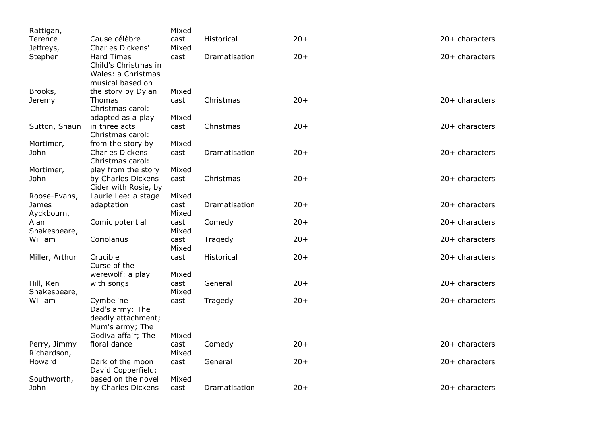| Rattigan,          |                                                                                     | Mixed         |               |       |                  |
|--------------------|-------------------------------------------------------------------------------------|---------------|---------------|-------|------------------|
| Terence            | Cause célèbre                                                                       | cast          | Historical    | $20+$ | $20+$ characters |
| Jeffreys,          | Charles Dickens'                                                                    | Mixed         |               |       |                  |
| Stephen            | <b>Hard Times</b><br>Child's Christmas in<br>Wales: a Christmas<br>musical based on | cast          | Dramatisation | $20+$ | $20+$ characters |
| Brooks,            | the story by Dylan                                                                  | Mixed         |               |       |                  |
| Jeremy             | Thomas                                                                              | cast          | Christmas     | $20+$ | 20+ characters   |
|                    | Christmas carol:                                                                    |               |               |       |                  |
|                    | adapted as a play                                                                   | Mixed         |               |       |                  |
| Sutton, Shaun      | in three acts<br>Christmas carol:                                                   | cast          | Christmas     | $20+$ | 20+ characters   |
| Mortimer,          | from the story by                                                                   | Mixed         |               |       |                  |
| John               | <b>Charles Dickens</b><br>Christmas carol:                                          | cast          | Dramatisation | $20+$ | $20+$ characters |
| Mortimer,          | play from the story                                                                 | Mixed         |               |       |                  |
| John               | by Charles Dickens<br>Cider with Rosie, by                                          | cast          | Christmas     | $20+$ | $20+$ characters |
| Roose-Evans,       | Laurie Lee: a stage                                                                 | Mixed         |               |       |                  |
| James              | adaptation                                                                          | cast          | Dramatisation | $20+$ | $20+$ characters |
| Ayckbourn,<br>Alan |                                                                                     | Mixed         |               | $20+$ | $20+$ characters |
| Shakespeare,       | Comic potential                                                                     | cast<br>Mixed | Comedy        |       |                  |
| William            | Coriolanus                                                                          | cast          | Tragedy       | $20+$ | $20+$ characters |
|                    |                                                                                     | Mixed         |               |       |                  |
| Miller, Arthur     | Crucible<br>Curse of the                                                            | cast          | Historical    | $20+$ | $20+$ characters |
|                    | werewolf: a play                                                                    | Mixed         |               |       |                  |
| Hill, Ken          | with songs                                                                          | cast          | General       | $20+$ | 20+ characters   |
| Shakespeare,       |                                                                                     | Mixed         |               |       |                  |
| William            | Cymbeline<br>Dad's army: The<br>deadly attachment;<br>Mum's army; The               | cast          | Tragedy       | $20+$ | $20+$ characters |
|                    | Godiva affair; The                                                                  | Mixed         |               |       |                  |
| Perry, Jimmy       | floral dance                                                                        | cast          | Comedy        | $20+$ | $20+$ characters |
| Richardson,        |                                                                                     | Mixed         |               |       |                  |
| Howard             | Dark of the moon<br>David Copperfield:                                              | cast          | General       | $20+$ | $20+$ characters |
| Southworth,        | based on the novel                                                                  | Mixed         |               |       |                  |
| John               | by Charles Dickens                                                                  | cast          | Dramatisation | $20+$ | 20+ characters   |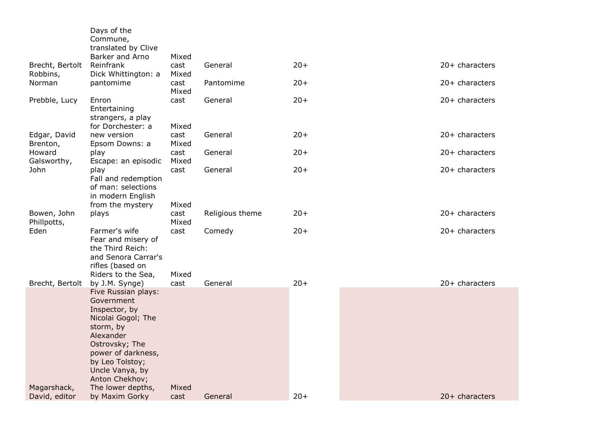|                              | Days of the<br>Commune,                                                                                                                                                                            |               |                 |       |                  |
|------------------------------|----------------------------------------------------------------------------------------------------------------------------------------------------------------------------------------------------|---------------|-----------------|-------|------------------|
|                              | translated by Clive<br>Barker and Arno                                                                                                                                                             | Mixed         |                 |       |                  |
| Brecht, Bertolt<br>Robbins,  | Reinfrank<br>Dick Whittington: a                                                                                                                                                                   | cast<br>Mixed | General         | $20+$ | 20+ characters   |
| Norman                       | pantomime                                                                                                                                                                                          | cast<br>Mixed | Pantomime       | $20+$ | $20+$ characters |
| Prebble, Lucy                | Enron<br>Entertaining<br>strangers, a play<br>for Dorchester: a                                                                                                                                    | cast<br>Mixed | General         | $20+$ | 20+ characters   |
| Edgar, David<br>Brenton,     | new version<br>Epsom Downs: a                                                                                                                                                                      | cast<br>Mixed | General         | $20+$ | $20+$ characters |
| Howard<br>Galsworthy,        | play<br>Escape: an episodic                                                                                                                                                                        | cast<br>Mixed | General         | $20+$ | $20+$ characters |
| John                         | play<br>Fall and redemption<br>of man: selections<br>in modern English                                                                                                                             | cast          | General         | $20+$ | $20+$ characters |
|                              | from the mystery                                                                                                                                                                                   | Mixed         |                 |       |                  |
| Bowen, John<br>Phillpotts,   | plays                                                                                                                                                                                              | cast<br>Mixed | Religious theme | $20+$ | $20+$ characters |
| Eden                         | Farmer's wife<br>Fear and misery of<br>the Third Reich:<br>and Senora Carrar's<br>rifles (based on                                                                                                 | cast          | Comedy          | $20+$ | $20+$ characters |
| Brecht, Bertolt              | Riders to the Sea,<br>by J.M. Synge)                                                                                                                                                               | Mixed<br>cast | General         | $20+$ | $20+$ characters |
|                              | Five Russian plays:<br>Government<br>Inspector, by<br>Nicolai Gogol; The<br>storm, by<br>Alexander<br>Ostrovsky; The<br>power of darkness,<br>by Leo Tolstoy;<br>Uncle Vanya, by<br>Anton Chekhov; |               |                 |       |                  |
| Magarshack,<br>David, editor | The lower depths,<br>by Maxim Gorky                                                                                                                                                                | Mixed<br>cast | General         | $20+$ | 20+ characters   |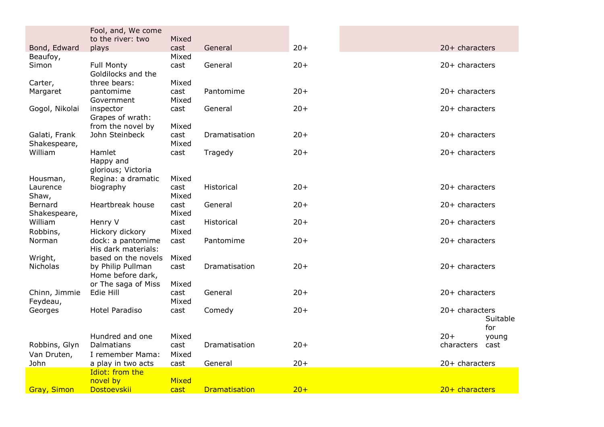|                         | Fool, and, We come<br>to the river: two | Mixed        |                      |       |                            |
|-------------------------|-----------------------------------------|--------------|----------------------|-------|----------------------------|
| Bond, Edward            | plays                                   | cast         | General              | $20+$ | $20+$ characters           |
| Beaufoy,                |                                         | Mixed        |                      |       |                            |
| Simon                   | <b>Full Monty</b>                       | cast         | General              | $20+$ | 20+ characters             |
|                         | Goldilocks and the                      |              |                      |       |                            |
| Carter,                 | three bears:                            | Mixed        |                      |       |                            |
| Margaret                | pantomime                               | cast         | Pantomime            | $20+$ | 20+ characters             |
|                         | Government                              | Mixed        |                      |       |                            |
| Gogol, Nikolai          | inspector                               | cast         | General              | $20+$ | 20+ characters             |
|                         | Grapes of wrath:                        |              |                      |       |                            |
|                         | from the novel by                       | Mixed        |                      |       |                            |
| Galati, Frank           | John Steinbeck                          | cast         | Dramatisation        | $20+$ | 20+ characters             |
| Shakespeare,<br>William | Hamlet                                  | Mixed        |                      | $20+$ | $20+$ characters           |
|                         | Happy and                               | cast         | Tragedy              |       |                            |
|                         | glorious; Victoria                      |              |                      |       |                            |
| Housman,                | Regina: a dramatic                      | Mixed        |                      |       |                            |
| Laurence                | biography                               | cast         | Historical           | $20+$ | 20+ characters             |
| Shaw,                   |                                         | Mixed        |                      |       |                            |
| Bernard                 | Heartbreak house                        | cast         | General              | $20+$ | 20+ characters             |
| Shakespeare,            |                                         | Mixed        |                      |       |                            |
| William                 | Henry V                                 | cast         | Historical           | $20+$ | $20+$ characters           |
| Robbins,                | Hickory dickory                         | Mixed        |                      |       |                            |
| Norman                  | dock: a pantomime                       | cast         | Pantomime            | $20+$ | $20+$ characters           |
|                         | His dark materials:                     |              |                      |       |                            |
| Wright,                 | based on the novels                     | Mixed        |                      |       |                            |
| Nicholas                | by Philip Pullman                       | cast         | Dramatisation        | $20+$ | 20+ characters             |
|                         | Home before dark,                       |              |                      |       |                            |
|                         | or The saga of Miss                     | Mixed        |                      |       |                            |
| Chinn, Jimmie           | Edie Hill                               | cast         | General              | $20+$ | 20+ characters             |
| Feydeau,                |                                         | Mixed        |                      |       |                            |
| Georges                 | <b>Hotel Paradiso</b>                   | cast         | Comedy               | $20+$ | 20+ characters<br>Suitable |
|                         |                                         |              |                      |       | for                        |
|                         | Hundred and one                         | Mixed        |                      |       | $20+$<br>young             |
| Robbins, Glyn           | Dalmatians                              | cast         | Dramatisation        | $20+$ | characters<br>cast         |
| Van Druten,             | I remember Mama:                        | Mixed        |                      |       |                            |
| John                    | a play in two acts                      | cast         | General              | $20+$ | 20+ characters             |
|                         | Idiot: from the                         |              |                      |       |                            |
|                         | novel by                                | <b>Mixed</b> |                      |       |                            |
| <b>Gray, Simon</b>      | Dostoevskii                             | cast         | <b>Dramatisation</b> | $20+$ | $20+$ characters           |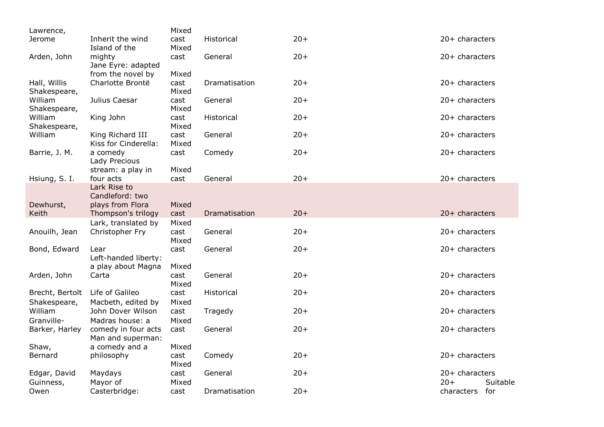| Lawrence,       |                                       | Mixed         |               |       |                   |
|-----------------|---------------------------------------|---------------|---------------|-------|-------------------|
| Jerome          | Inherit the wind                      | cast          | Historical    | $20+$ | $20+$ characters  |
|                 | Island of the                         | Mixed         |               |       |                   |
| Arden, John     | mighty                                | cast          | General       | $20+$ | $20+$ characters  |
|                 | Jane Eyre: adapted                    |               |               |       |                   |
| Hall, Willis    | from the novel by<br>Charlotte Brontë | Mixed<br>cast | Dramatisation | $20+$ | $20+$ characters  |
| Shakespeare,    |                                       | Mixed         |               |       |                   |
| William         | Julius Caesar                         | cast          | General       | $20+$ | $20+$ characters  |
| Shakespeare,    |                                       | Mixed         |               |       |                   |
| William         | King John                             | cast          | Historical    | $20+$ | $20+$ characters  |
| Shakespeare,    |                                       | Mixed         |               |       |                   |
| William         | King Richard III                      | cast          | General       | $20+$ | 20+ characters    |
|                 | Kiss for Cinderella:                  | Mixed         |               |       |                   |
| Barrie, J. M.   | a comedy                              | cast          | Comedy        | $20+$ | $20+$ characters  |
|                 | Lady Precious                         |               |               |       |                   |
| Hsiung, S. I.   | stream: a play in<br>four acts        | Mixed<br>cast | General       | $20+$ | 20+ characters    |
|                 | Lark Rise to                          |               |               |       |                   |
|                 | Candleford: two                       |               |               |       |                   |
| Dewhurst,       | plays from Flora                      | Mixed         |               |       |                   |
| Keith           | Thompson's trilogy                    | cast          | Dramatisation | $20+$ | $20+$ characters  |
|                 | Lark, translated by                   | Mixed         |               |       |                   |
| Anouilh, Jean   | Christopher Fry                       | cast          | General       | $20+$ | $20+$ characters  |
|                 |                                       | Mixed         |               |       |                   |
| Bond, Edward    | Lear                                  | cast          | General       | $20+$ | $20+$ characters  |
|                 | Left-handed liberty:                  |               |               |       |                   |
|                 | a play about Magna                    | Mixed         |               |       |                   |
| Arden, John     | Carta                                 | cast<br>Mixed | General       | $20+$ | $20+$ characters  |
| Brecht, Bertolt | Life of Galileo                       | cast          | Historical    | $20+$ | 20+ characters    |
| Shakespeare,    | Macbeth, edited by                    | Mixed         |               |       |                   |
| William         | John Dover Wilson                     | cast          | Tragedy       | $20+$ | $20+$ characters  |
| Granville-      | Madras house: a                       | Mixed         |               |       |                   |
| Barker, Harley  | comedy in four acts                   | cast          | General       | $20+$ | 20+ characters    |
|                 | Man and superman:                     |               |               |       |                   |
| Shaw,           | a comedy and a                        | Mixed         |               |       |                   |
| Bernard         | philosophy                            | cast          | Comedy        | $20+$ | 20+ characters    |
|                 |                                       | Mixed         |               |       |                   |
| Edgar, David    | Maydays                               | cast          | General       | $20+$ | 20+ characters    |
| Guinness,       | Mayor of                              | Mixed         |               |       | $20+$<br>Suitable |
| Owen            | Casterbridge:                         | cast          | Dramatisation | $20+$ | characters for    |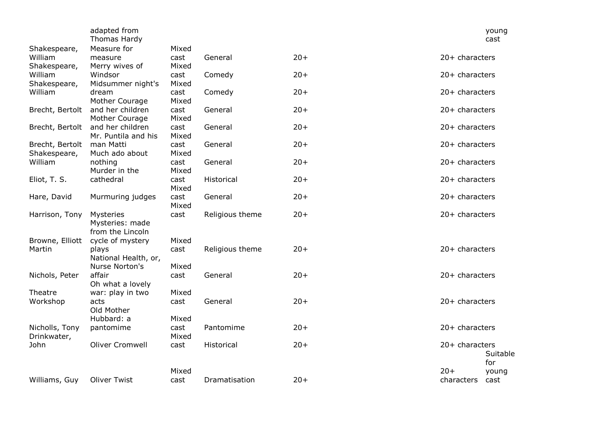|                 | adapted from<br>Thomas Hardy |               |                 |       |                  | young<br>cast |
|-----------------|------------------------------|---------------|-----------------|-------|------------------|---------------|
| Shakespeare,    | Measure for                  | Mixed         |                 |       |                  |               |
| William         | measure                      | cast          | General         | $20+$ | $20+$ characters |               |
| Shakespeare,    | Merry wives of               | Mixed         |                 |       |                  |               |
| William         | Windsor                      | cast          | Comedy          | $20+$ | 20+ characters   |               |
| Shakespeare,    | Midsummer night's            | Mixed         |                 |       |                  |               |
| William         | dream<br>Mother Courage      | cast<br>Mixed | Comedy          | $20+$ | $20+$ characters |               |
| Brecht, Bertolt | and her children             | cast          | General         | $20+$ | 20+ characters   |               |
|                 | Mother Courage               | Mixed         |                 |       |                  |               |
| Brecht, Bertolt | and her children             | cast          | General         | $20+$ | 20+ characters   |               |
|                 | Mr. Puntila and his          | Mixed         |                 |       |                  |               |
| Brecht, Bertolt | man Matti                    | cast          | General         | $20+$ | 20+ characters   |               |
| Shakespeare,    | Much ado about               | Mixed         |                 |       |                  |               |
| William         | nothing                      | cast          | General         | $20+$ | 20+ characters   |               |
|                 | Murder in the                | Mixed         |                 |       |                  |               |
| Eliot, T. S.    | cathedral                    | cast          | Historical      | $20+$ | 20+ characters   |               |
|                 |                              | Mixed         |                 |       |                  |               |
| Hare, David     | Murmuring judges             | cast<br>Mixed | General         | $20+$ | 20+ characters   |               |
| Harrison, Tony  | Mysteries                    | cast          | Religious theme | $20+$ | 20+ characters   |               |
|                 | Mysteries: made              |               |                 |       |                  |               |
|                 | from the Lincoln             |               |                 |       |                  |               |
| Browne, Elliott | cycle of mystery             | Mixed         |                 |       |                  |               |
| Martin          | plays                        | cast          | Religious theme | $20+$ | 20+ characters   |               |
|                 | National Health, or,         |               |                 |       |                  |               |
|                 | Nurse Norton's               | Mixed         |                 |       |                  |               |
| Nichols, Peter  | affair                       | cast          | General         | $20+$ | 20+ characters   |               |
|                 | Oh what a lovely             |               |                 |       |                  |               |
| Theatre         | war: play in two             | Mixed         |                 |       |                  |               |
| Workshop        | acts<br>Old Mother           | cast          | General         | $20+$ | 20+ characters   |               |
|                 | Hubbard: a                   | Mixed         |                 |       |                  |               |
| Nicholls, Tony  | pantomime                    | cast          | Pantomime       | $20+$ | $20+$ characters |               |
| Drinkwater,     |                              | Mixed         |                 |       |                  |               |
| John            | <b>Oliver Cromwell</b>       | cast          | Historical      | $20+$ | 20+ characters   |               |
|                 |                              |               |                 |       |                  | Suitable      |
|                 |                              |               |                 |       |                  | for           |
|                 |                              | Mixed         |                 |       | $20+$            | young         |
| Williams, Guy   | <b>Oliver Twist</b>          | cast          | Dramatisation   | $20+$ | characters       | cast          |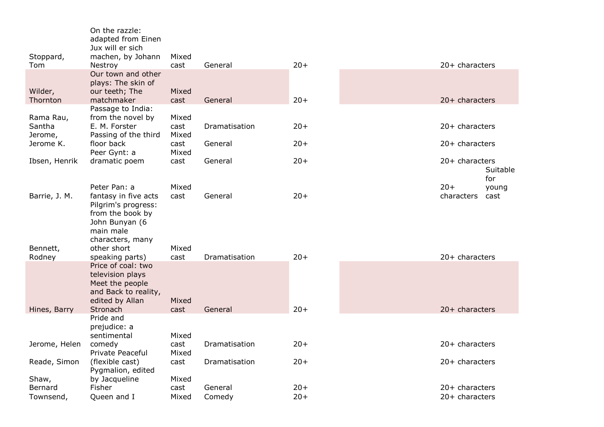| Stoppard,                      | On the razzle:<br>adapted from Einen<br>Jux will er sich<br>machen, by Johann                                  | Mixed                  |               |       |                                      |
|--------------------------------|----------------------------------------------------------------------------------------------------------------|------------------------|---------------|-------|--------------------------------------|
| Tom                            | Nestroy                                                                                                        | cast                   | General       | $20+$ | 20+ characters                       |
| Wilder,<br>Thornton            | Our town and other<br>plays: The skin of<br>our teeth; The<br>matchmaker                                       | Mixed<br>cast          | General       | $20+$ | $20+$ characters                     |
|                                | Passage to India:                                                                                              |                        |               |       |                                      |
| Rama Rau,<br>Santha<br>Jerome, | from the novel by<br>E. M. Forster<br>Passing of the third                                                     | Mixed<br>cast<br>Mixed | Dramatisation | $20+$ | $20+$ characters                     |
| Jerome K.                      | floor back<br>Peer Gynt: a                                                                                     | cast<br>Mixed          | General       | $20+$ | $20+$ characters                     |
| Ibsen, Henrik                  | dramatic poem                                                                                                  | cast                   | General       | $20+$ | 20+ characters<br>Suitable<br>for    |
| Barrie, J. M.                  | Peter Pan: a<br>fantasy in five acts<br>Pilgrim's progress:<br>from the book by<br>John Bunyan (6<br>main male | Mixed<br>cast          | General       | $20+$ | $20+$<br>young<br>characters<br>cast |
| Bennett,<br>Rodney             | characters, many<br>other short<br>speaking parts)                                                             | Mixed<br>cast          | Dramatisation | $20+$ | $20+$ characters                     |
|                                | Price of coal: two<br>television plays<br>Meet the people<br>and Back to reality,<br>edited by Allan           | Mixed                  |               |       |                                      |
| Hines, Barry                   | Stronach<br>Pride and<br>prejudice: a<br>sentimental                                                           | cast<br>Mixed          | General       | $20+$ | $20+$ characters                     |
| Jerome, Helen                  | comedy<br>Private Peaceful                                                                                     | cast<br>Mixed          | Dramatisation | $20+$ | $20+$ characters                     |
| Reade, Simon                   | (flexible cast)<br>Pygmalion, edited                                                                           | cast                   | Dramatisation | $20+$ | $20+$ characters                     |
| Shaw,<br>Bernard               | by Jacqueline<br>Fisher                                                                                        | Mixed<br>cast          | General       | $20+$ | $20+$ characters                     |
| Townsend,                      | Queen and I                                                                                                    | Mixed                  | Comedy        | $20+$ | $20+$ characters                     |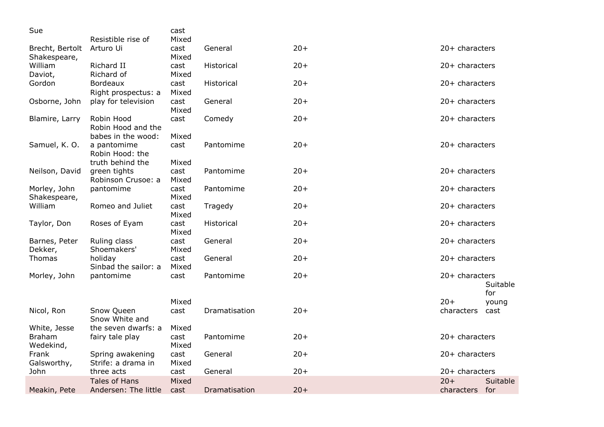| Sue                             |                                                        | cast                   |                   |       |                                     |
|---------------------------------|--------------------------------------------------------|------------------------|-------------------|-------|-------------------------------------|
| Brecht, Bertolt<br>Shakespeare, | Resistible rise of<br>Arturo Ui                        | Mixed<br>cast<br>Mixed | General           | $20+$ | $20+$ characters                    |
| William                         | Richard II                                             | cast                   | Historical        | $20+$ | $20+$ characters                    |
| Daviot,<br>Gordon               | Richard of<br>Bordeaux                                 | Mixed<br>cast          | <b>Historical</b> | $20+$ | $20+$ characters                    |
| Osborne, John                   | Right prospectus: a<br>play for television             | Mixed<br>cast<br>Mixed | General           | $20+$ | 20+ characters                      |
| Blamire, Larry                  | Robin Hood<br>Robin Hood and the                       | cast                   | Comedy            | $20+$ | $20+$ characters                    |
| Samuel, K. O.                   | babes in the wood:<br>a pantomime<br>Robin Hood: the   | Mixed<br>cast          | Pantomime         | $20+$ | 20+ characters                      |
| Neilson, David                  | truth behind the<br>green tights<br>Robinson Crusoe: a | Mixed<br>cast<br>Mixed | Pantomime         | $20+$ | $20+$ characters                    |
| Morley, John<br>Shakespeare,    | pantomime                                              | cast<br>Mixed          | Pantomime         | $20+$ | $20+$ characters                    |
| William                         | Romeo and Juliet                                       | cast<br>Mixed          | Tragedy           | $20+$ | 20+ characters                      |
| Taylor, Don                     | Roses of Eyam                                          | cast<br>Mixed          | Historical        | $20+$ | $20+$ characters                    |
| Barnes, Peter<br>Dekker,        | Ruling class<br>Shoemakers'                            | cast<br>Mixed          | General           | $20+$ | $20+$ characters                    |
| Thomas                          | holiday<br>Sinbad the sailor: a                        | cast<br>Mixed          | General           | $20+$ | $20+$ characters                    |
| Morley, John                    | pantomime                                              | cast                   | Pantomime         | $20+$ | 20+ characters<br>Suitable          |
|                                 |                                                        | Mixed                  |                   |       | for<br>$20+$<br>young               |
| Nicol, Ron                      | Snow Queen<br>Snow White and                           | cast                   | Dramatisation     | $20+$ | characters<br>cast                  |
| White, Jesse<br><b>Braham</b>   | the seven dwarfs: a<br>fairy tale play                 | Mixed<br>cast          | Pantomime         | $20+$ | $20+$ characters                    |
| Wedekind,<br>Frank              | Spring awakening<br>Strife: a drama in                 | Mixed<br>cast          | General           | $20+$ | 20+ characters                      |
| Galsworthy,<br>John             | three acts                                             | Mixed<br>cast          | General           | $20+$ | 20+ characters                      |
| Meakin, Pete                    | Tales of Hans<br>Andersen: The little                  | Mixed<br>cast          | Dramatisation     | $20+$ | $20+$<br>Suitable<br>characters for |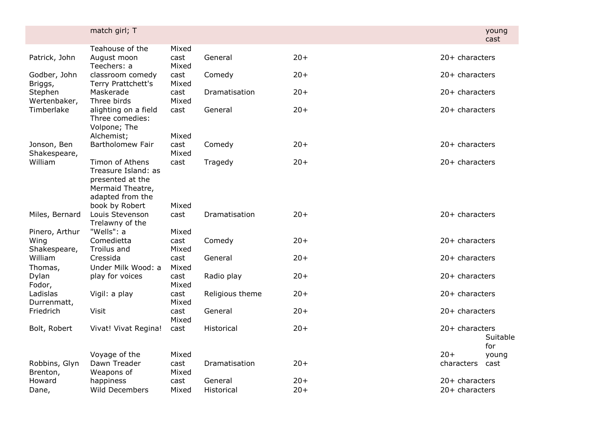|                                        | match girl; T                                                                                      |                        |                       |                |                                    | young<br>cast   |
|----------------------------------------|----------------------------------------------------------------------------------------------------|------------------------|-----------------------|----------------|------------------------------------|-----------------|
| Patrick, John                          | Teahouse of the<br>August moon<br>Teechers: a                                                      | Mixed<br>cast<br>Mixed | General               | $20+$          | $20+$ characters                   |                 |
| Godber, John<br>Briggs,                | classroom comedy<br>Terry Prattchett's                                                             | cast<br>Mixed          | Comedy                | $20+$          | $20+$ characters                   |                 |
| Stephen<br>Wertenbaker,                | Maskerade<br>Three birds                                                                           | cast<br>Mixed          | Dramatisation         | $20+$          | $20+$ characters                   |                 |
| Timberlake                             | alighting on a field<br>Three comedies:<br>Volpone; The<br>Alchemist;                              | cast<br>Mixed          | General               | $20+$          | 20+ characters                     |                 |
| Jonson, Ben<br>Shakespeare,            | Bartholomew Fair                                                                                   | cast<br>Mixed          | Comedy                | $20+$          | $20+$ characters                   |                 |
| William                                | Timon of Athens<br>Treasure Island: as<br>presented at the<br>Mermaid Theatre,<br>adapted from the | cast                   | Tragedy               | $20+$          | $20+$ characters                   |                 |
| Miles, Bernard                         | book by Robert<br>Louis Stevenson<br>Trelawny of the                                               | Mixed<br>cast          | Dramatisation         | $20+$          | $20+$ characters                   |                 |
| Pinero, Arthur<br>Wing<br>Shakespeare, | "Wells": a<br>Comedietta<br>Troilus and                                                            | Mixed<br>cast<br>Mixed | Comedy                | $20+$          | $20+$ characters                   |                 |
| William<br>Thomas,                     | Cressida<br>Under Milk Wood: a                                                                     | cast<br>Mixed          | General               | $20+$          | $20+$ characters                   |                 |
| Dylan<br>Fodor,                        | play for voices                                                                                    | cast<br>Mixed          | Radio play            | $20+$          | $20+$ characters                   |                 |
| Ladislas<br>Durrenmatt,                | Vigil: a play                                                                                      | cast<br>Mixed          | Religious theme       | $20+$          | $20+$ characters                   |                 |
| Friedrich                              | Visit                                                                                              | cast<br>Mixed          | General               | $20+$          | $20+$ characters                   |                 |
| Bolt, Robert                           | Vivat! Vivat Regina!                                                                               | cast                   | Historical            | $20+$          | 20+ characters                     | Suitable<br>for |
| Robbins, Glyn<br>Brenton,              | Voyage of the<br>Dawn Treader<br>Weapons of                                                        | Mixed<br>cast<br>Mixed | Dramatisation         | $20+$          | $20+$<br>characters                | young<br>cast   |
| Howard<br>Dane,                        | happiness<br>Wild Decembers                                                                        | cast<br>Mixed          | General<br>Historical | $20+$<br>$20+$ | 20+ characters<br>$20+$ characters |                 |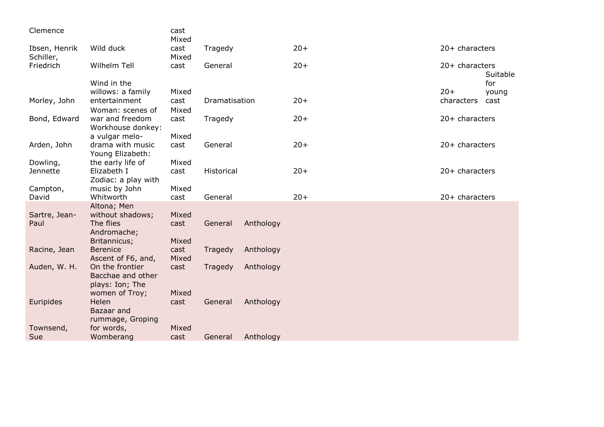| Clemence                   |                                     | cast<br>Mixed |               |           |       |                  |          |
|----------------------------|-------------------------------------|---------------|---------------|-----------|-------|------------------|----------|
| Ibsen, Henrik<br>Schiller, | Wild duck                           | cast<br>Mixed | Tragedy       |           | $20+$ | $20+$ characters |          |
| Friedrich                  | Wilhelm Tell                        | cast          | General       |           | $20+$ | 20+ characters   | Suitable |
|                            | Wind in the                         |               |               |           |       |                  | for      |
|                            | willows: a family                   | Mixed         |               |           |       | $20+$            | young    |
| Morley, John               | entertainment                       | cast          | Dramatisation |           | $20+$ | characters       | cast     |
|                            | Woman: scenes of                    | Mixed         |               |           |       |                  |          |
| Bond, Edward               | war and freedom                     | cast          | Tragedy       |           | $20+$ | $20+$ characters |          |
|                            | Workhouse donkey:<br>a vulgar melo- | Mixed         |               |           |       |                  |          |
| Arden, John                | drama with music                    | cast          | General       |           | $20+$ | $20+$ characters |          |
|                            | Young Elizabeth:                    |               |               |           |       |                  |          |
| Dowling,                   | the early life of                   | Mixed         |               |           |       |                  |          |
| Jennette                   | Elizabeth I                         | cast          | Historical    |           | $20+$ | 20+ characters   |          |
|                            | Zodiac: a play with                 |               |               |           |       |                  |          |
| Campton,                   | music by John                       | Mixed         |               |           |       |                  |          |
| David                      | Whitworth                           | cast          | General       |           | $20+$ | 20+ characters   |          |
|                            | Altona; Men                         |               |               |           |       |                  |          |
| Sartre, Jean-              | without shadows;                    | Mixed         |               |           |       |                  |          |
| Paul                       | The flies                           | cast          | General       | Anthology |       |                  |          |
|                            | Andromache;                         |               |               |           |       |                  |          |
| Racine, Jean               | Britannicus;<br><b>Berenice</b>     | Mixed<br>cast |               | Anthology |       |                  |          |
|                            | Ascent of F6, and,                  | Mixed         | Tragedy       |           |       |                  |          |
| Auden, W. H.               | On the frontier                     | cast          | Tragedy       | Anthology |       |                  |          |
|                            | Bacchae and other                   |               |               |           |       |                  |          |
|                            | plays: Ion; The                     |               |               |           |       |                  |          |
|                            | women of Troy;                      | Mixed         |               |           |       |                  |          |
| Euripides                  | Helen                               | cast          | General       | Anthology |       |                  |          |
|                            | Bazaar and                          |               |               |           |       |                  |          |
|                            | rummage, Groping                    |               |               |           |       |                  |          |
| Townsend,                  | for words,                          | Mixed         |               |           |       |                  |          |
| Sue                        | Womberang                           | cast          | General       | Anthology |       |                  |          |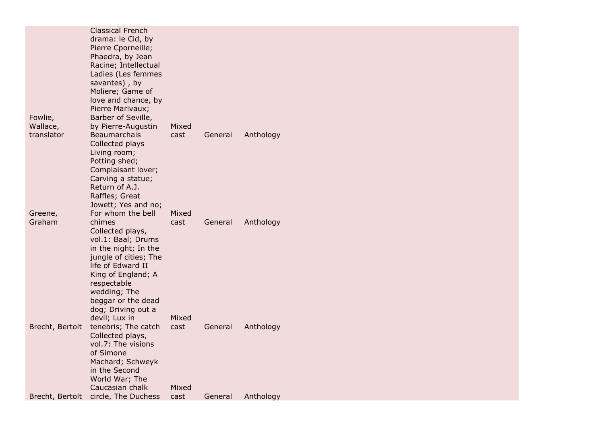|                                   | <b>Classical French</b><br>drama: le Cid, by<br>Pierre Cporneille;<br>Phaedra, by Jean<br>Racine; Intellectual<br>Ladies (Les femmes<br>savantes), by<br>Moliere; Game of<br>love and chance, by<br>Pierre Marivaux;                                                |               |         |           |
|-----------------------------------|---------------------------------------------------------------------------------------------------------------------------------------------------------------------------------------------------------------------------------------------------------------------|---------------|---------|-----------|
| Fowlie,<br>Wallace,<br>translator | Barber of Seville,<br>by Pierre-Augustin<br>Beaumarchais<br>Collected plays<br>Living room;<br>Potting shed;<br>Complaisant lover;<br>Carving a statue;<br>Return of A.J.<br>Raffles; Great                                                                         | Mixed<br>cast | General | Anthology |
| Greene,<br>Graham                 | Jowett; Yes and no;<br>For whom the bell<br>chimes<br>Collected plays,<br>vol.1: Baal; Drums<br>in the night; In the<br>jungle of cities; The<br>life of Edward II<br>King of England; A<br>respectable<br>wedding; The<br>beggar or the dead<br>dog; Driving out a | Mixed<br>cast | General | Anthology |
| Brecht, Bertolt                   | devil; Lux in<br>tenebris; The catch<br>Collected plays,<br>vol.7: The visions<br>of Simone<br>Machard; Schweyk<br>in the Second<br>World War; The                                                                                                                  | Mixed<br>cast | General | Anthology |
| Brecht, Bertolt                   | Caucasian chalk<br>circle, The Duchess                                                                                                                                                                                                                              | Mixed<br>cast | General | Anthology |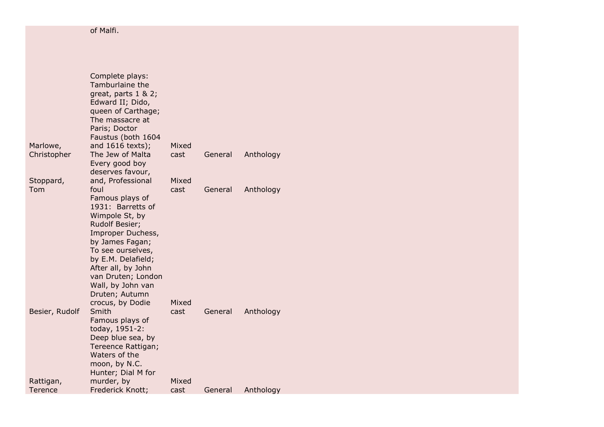of Malfi.

|                | Complete plays:<br>Tamburlaine the<br>great, parts $1 & 2$ ;<br>Edward II; Dido,<br>queen of Carthage;<br>The massacre at<br>Paris; Doctor<br>Faustus (both 1604                       |       |         |           |
|----------------|----------------------------------------------------------------------------------------------------------------------------------------------------------------------------------------|-------|---------|-----------|
| Marlowe,       | and 1616 texts);                                                                                                                                                                       | Mixed |         |           |
| Christopher    | The Jew of Malta<br>Every good boy<br>deserves favour,                                                                                                                                 | cast  | General | Anthology |
| Stoppard,      | and, Professional                                                                                                                                                                      | Mixed |         |           |
| Tom            | foul<br>Famous plays of<br>1931: Barretts of<br>Wimpole St, by<br>Rudolf Besier;                                                                                                       | cast  | General | Anthology |
|                | Improper Duchess,<br>by James Fagan;<br>To see ourselves,<br>by E.M. Delafield;<br>After all, by John<br>van Druten; London<br>Wall, by John van<br>Druten; Autumn<br>crocus, by Dodie | Mixed |         |           |
| Besier, Rudolf | Smith<br>Famous plays of<br>today, 1951-2:<br>Deep blue sea, by<br>Tereence Rattigan;<br>Waters of the<br>moon, by N.C.<br>Hunter; Dial M for                                          | cast  | General | Anthology |
| Rattigan,      | murder, by                                                                                                                                                                             | Mixed |         |           |
| Terence        | Frederick Knott;                                                                                                                                                                       | cast  | General | Anthology |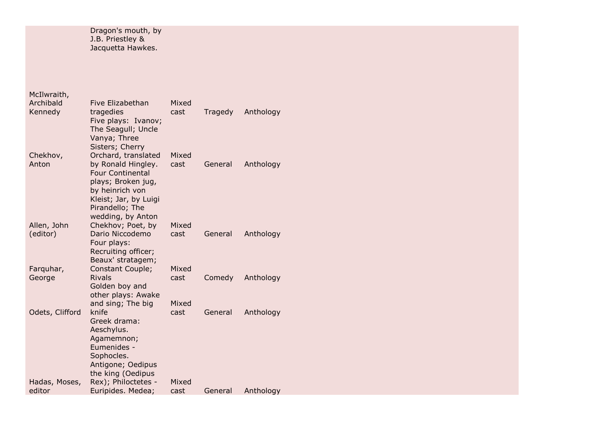Dragon's mouth, by J.B. Priestley & Jacquetta Hawkes.

McIlwraith,

| Archibald               | Five Elizabethan                                                                                                                                          | Mixed         |         |           |
|-------------------------|-----------------------------------------------------------------------------------------------------------------------------------------------------------|---------------|---------|-----------|
| Kennedy                 | tragedies<br>Five plays: Ivanov;<br>The Seagull; Uncle<br>Vanya; Three                                                                                    | cast          | Tragedy | Anthology |
| Chekhov,<br>Anton       | Sisters; Cherry<br>Orchard, translated<br>by Ronald Hingley.<br><b>Four Continental</b><br>plays; Broken jug,<br>by heinrich von<br>Kleist; Jar, by Luigi | Mixed<br>cast | General | Anthology |
| Allen, John<br>(editor) | Pirandello; The<br>wedding, by Anton<br>Chekhov; Poet, by<br>Dario Niccodemo<br>Four plays:<br>Recruiting officer;                                        | Mixed<br>cast | General | Anthology |
| Farquhar,<br>George     | Beaux' stratagem;<br>Constant Couple;<br><b>Rivals</b>                                                                                                    | Mixed<br>cast | Comedy  | Anthology |
|                         | Golden boy and<br>other plays: Awake                                                                                                                      |               |         |           |
| Odets, Clifford         | and sing; The big<br>knife<br>Greek drama:<br>Aeschylus.<br>Agamemnon;<br>Eumenides -<br>Sophocles.<br>Antigone; Oedipus<br>the king (Oedipus             | Mixed<br>cast | General | Anthology |
| Hadas, Moses,<br>editor | Rex); Philoctetes -<br>Euripides. Medea;                                                                                                                  | Mixed<br>cast | General | Anthology |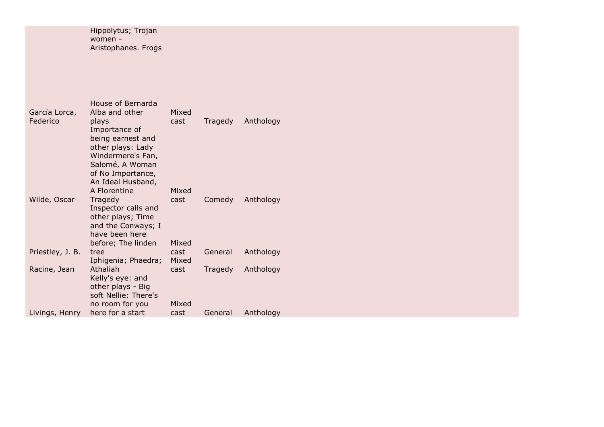Hippolytus; Trojan women - Aristophanes. Frogs

| Alba and other<br>Mixed<br>García Lorca,<br>Anthology<br>Federico<br>Tragedy<br>plays<br>cast<br>Importance of<br>being earnest and<br>other plays: Lady |
|----------------------------------------------------------------------------------------------------------------------------------------------------------|
|                                                                                                                                                          |
|                                                                                                                                                          |
|                                                                                                                                                          |
|                                                                                                                                                          |
|                                                                                                                                                          |
| Windermere's Fan,                                                                                                                                        |
| Salomé, A Woman                                                                                                                                          |
| of No Importance,                                                                                                                                        |
| An Ideal Husband,                                                                                                                                        |
| A Florentine<br>Mixed                                                                                                                                    |
| Wilde, Oscar<br>Comedy<br>Anthology<br>Tragedy<br>cast                                                                                                   |
| Inspector calls and                                                                                                                                      |
| other plays; Time                                                                                                                                        |
| and the Conways; I<br>have been here                                                                                                                     |
| Mixed<br>before; The linden                                                                                                                              |
| Priestley, J. B.<br>Anthology<br>cast<br>General<br>tree                                                                                                 |
| Mixed<br>Iphigenia; Phaedra;                                                                                                                             |
| Athaliah<br>Racine, Jean<br>Tragedy<br>Anthology<br>cast                                                                                                 |
| Kelly's eye: and                                                                                                                                         |
| other plays - Big                                                                                                                                        |
| soft Nellie: There's                                                                                                                                     |
| Mixed<br>no room for you                                                                                                                                 |
| here for a start<br>Anthology<br>Livings, Henry<br>General<br>cast                                                                                       |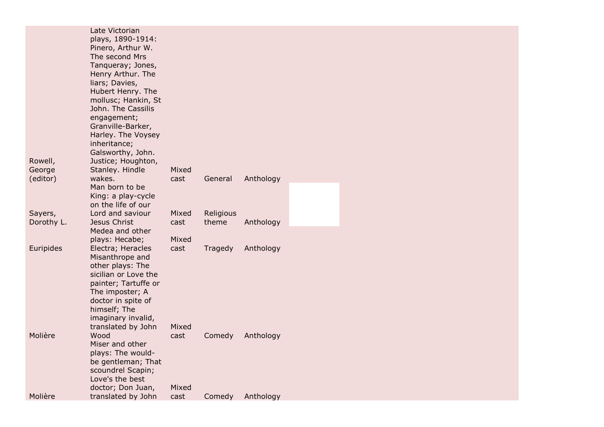|            | Late Victorian<br>plays, 1890-1914:          |       |           |           |  |
|------------|----------------------------------------------|-------|-----------|-----------|--|
|            | Pinero, Arthur W.                            |       |           |           |  |
|            | The second Mrs                               |       |           |           |  |
|            | Tanqueray; Jones,<br>Henry Arthur. The       |       |           |           |  |
|            | liars; Davies,                               |       |           |           |  |
|            | Hubert Henry. The                            |       |           |           |  |
|            | mollusc; Hankin, St                          |       |           |           |  |
|            | John. The Cassilis                           |       |           |           |  |
|            | engagement;                                  |       |           |           |  |
|            | Granville-Barker,                            |       |           |           |  |
|            | Harley. The Voysey<br>inheritance;           |       |           |           |  |
|            | Galsworthy, John.                            |       |           |           |  |
| Rowell,    | Justice; Houghton,                           |       |           |           |  |
| George     | Stanley. Hindle                              | Mixed |           |           |  |
| (editor)   | wakes.                                       | cast  | General   | Anthology |  |
|            | Man born to be                               |       |           |           |  |
|            | King: a play-cycle                           |       |           |           |  |
| Sayers,    | on the life of our<br>Lord and saviour       | Mixed | Religious |           |  |
| Dorothy L. | Jesus Christ                                 | cast  | theme     | Anthology |  |
|            | Medea and other                              |       |           |           |  |
|            | plays: Hecabe;                               | Mixed |           |           |  |
| Euripides  | Electra; Heracles                            | cast  | Tragedy   | Anthology |  |
|            | Misanthrope and                              |       |           |           |  |
|            | other plays: The                             |       |           |           |  |
|            | sicilian or Love the<br>painter; Tartuffe or |       |           |           |  |
|            | The imposter; A                              |       |           |           |  |
|            | doctor in spite of                           |       |           |           |  |
|            | himself; The                                 |       |           |           |  |
|            | imaginary invalid,                           |       |           |           |  |
|            | translated by John                           | Mixed |           |           |  |
| Molière    | Wood                                         | cast  | Comedy    | Anthology |  |
|            | Miser and other                              |       |           |           |  |
|            | plays: The would-<br>be gentleman; That      |       |           |           |  |
|            | scoundrel Scapin;                            |       |           |           |  |
|            | Love's the best                              |       |           |           |  |
|            | doctor; Don Juan,                            | Mixed |           |           |  |
| Molière    | translated by John                           | cast  | Comedy    | Anthology |  |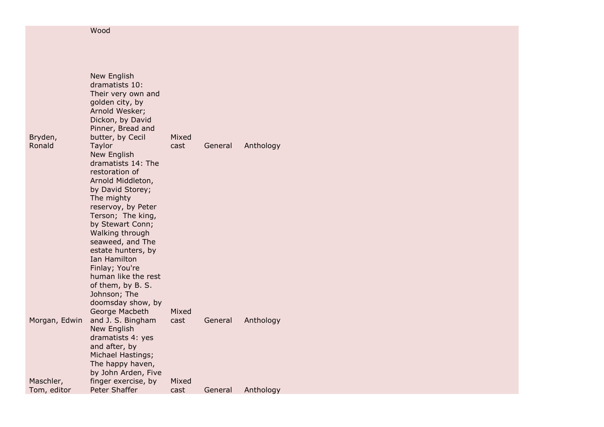Wood

|                          | New English<br>dramatists 10:<br>Their very own and<br>golden city, by<br>Arnold Wesker;<br>Dickon, by David<br>Pinner, Bread and                                                                                                                                                                                                                                                              |               |         |           |
|--------------------------|------------------------------------------------------------------------------------------------------------------------------------------------------------------------------------------------------------------------------------------------------------------------------------------------------------------------------------------------------------------------------------------------|---------------|---------|-----------|
| Bryden,<br>Ronald        | butter, by Cecil<br>Taylor<br><b>New English</b><br>dramatists 14: The<br>restoration of<br>Arnold Middleton,<br>by David Storey;<br>The mighty<br>reservoy, by Peter<br>Terson; The king,<br>by Stewart Conn;<br>Walking through<br>seaweed, and The<br>estate hunters, by<br>Ian Hamilton<br>Finlay; You're<br>human like the rest<br>of them, by B. S.<br>Johnson; The<br>doomsday show, by | Mixed<br>cast | General | Anthology |
| Morgan, Edwin            | George Macbeth<br>and J. S. Bingham<br>New English<br>dramatists 4: yes<br>and after, by<br>Michael Hastings;<br>The happy haven,<br>by John Arden, Five                                                                                                                                                                                                                                       | Mixed<br>cast | General | Anthology |
| Maschler,<br>Tom, editor | finger exercise, by<br>Peter Shaffer                                                                                                                                                                                                                                                                                                                                                           | Mixed<br>cast | General | Anthology |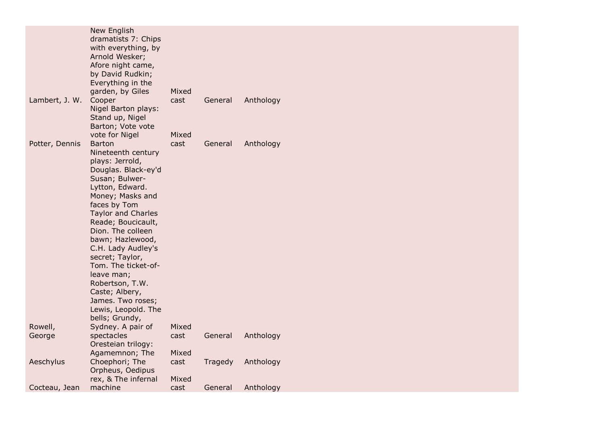|                | New English<br>dramatists 7: Chips<br>with everything, by<br>Arnold Wesker;<br>Afore night came,<br>by David Rudkin; |       |         |           |
|----------------|----------------------------------------------------------------------------------------------------------------------|-------|---------|-----------|
|                | Everything in the<br>garden, by Giles                                                                                | Mixed |         |           |
| Lambert, J. W. | Cooper                                                                                                               | cast  | General | Anthology |
|                | Nigel Barton plays:                                                                                                  |       |         |           |
|                | Stand up, Nigel<br>Barton; Vote vote                                                                                 |       |         |           |
|                | vote for Nigel                                                                                                       | Mixed |         |           |
| Potter, Dennis | <b>Barton</b>                                                                                                        | cast  | General | Anthology |
|                | Nineteenth century                                                                                                   |       |         |           |
|                | plays: Jerrold,                                                                                                      |       |         |           |
|                | Douglas. Black-ey'd<br>Susan; Bulwer-                                                                                |       |         |           |
|                | Lytton, Edward.                                                                                                      |       |         |           |
|                | Money; Masks and                                                                                                     |       |         |           |
|                | faces by Tom                                                                                                         |       |         |           |
|                | <b>Taylor and Charles</b>                                                                                            |       |         |           |
|                | Reade; Boucicault,<br>Dion. The colleen                                                                              |       |         |           |
|                | bawn; Hazlewood,                                                                                                     |       |         |           |
|                | C.H. Lady Audley's                                                                                                   |       |         |           |
|                | secret; Taylor,                                                                                                      |       |         |           |
|                | Tom. The ticket-of-                                                                                                  |       |         |           |
|                | leave man;                                                                                                           |       |         |           |
|                | Robertson, T.W.                                                                                                      |       |         |           |
|                | Caste; Albery,<br>James. Two roses;                                                                                  |       |         |           |
|                | Lewis, Leopold. The                                                                                                  |       |         |           |
|                | bells; Grundy,                                                                                                       |       |         |           |
| Rowell,        | Sydney. A pair of                                                                                                    | Mixed |         |           |
| George         | spectacles<br>Oresteian trilogy:                                                                                     | cast  | General | Anthology |
|                | Agamemnon; The                                                                                                       | Mixed |         |           |
| Aeschylus      | Choephori; The<br>Orpheus, Oedipus                                                                                   | cast  | Tragedy | Anthology |
|                | rex, & The infernal                                                                                                  | Mixed |         |           |
| Cocteau, Jean  | machine                                                                                                              | cast  | General | Anthology |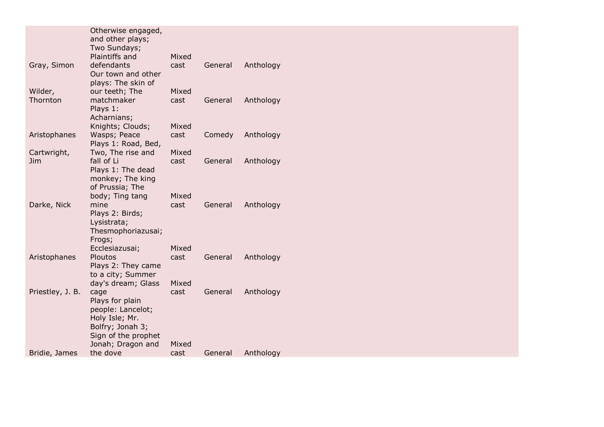|                     | Otherwise engaged,<br>and other plays;  |       |         |           |
|---------------------|-----------------------------------------|-------|---------|-----------|
|                     | Two Sundays;                            |       |         |           |
|                     | Plaintiffs and                          | Mixed |         |           |
| Gray, Simon         | defendants                              | cast  | General | Anthology |
|                     | Our town and other                      |       |         |           |
|                     | plays: The skin of                      |       |         |           |
| Wilder,<br>Thornton | our teeth; The<br>matchmaker            | Mixed |         |           |
|                     | Plays 1:                                | cast  | General | Anthology |
|                     | Acharnians;                             |       |         |           |
|                     | Knights; Clouds;                        | Mixed |         |           |
| Aristophanes        | Wasps; Peace                            | cast  | Comedy  | Anthology |
|                     | Plays 1: Road, Bed,                     |       |         |           |
| Cartwright,         | Two, The rise and                       | Mixed |         |           |
| <b>Jim</b>          | fall of Li                              | cast  | General | Anthology |
|                     | Plays 1: The dead                       |       |         |           |
|                     | monkey; The king                        |       |         |           |
|                     | of Prussia; The                         |       |         |           |
|                     | body; Ting tang                         | Mixed |         |           |
| Darke, Nick         | mine                                    | cast  | General | Anthology |
|                     | Plays 2: Birds;                         |       |         |           |
|                     | Lysistrata;                             |       |         |           |
|                     | Thesmophoriazusai;                      |       |         |           |
|                     | Frogs;                                  |       |         |           |
|                     | Ecclesiazusai;                          | Mixed |         |           |
| Aristophanes        | Ploutos                                 | cast  | General | Anthology |
|                     | Plays 2: They came                      |       |         |           |
|                     | to a city; Summer<br>day's dream; Glass | Mixed |         |           |
| Priestley, J. B.    | cage                                    | cast  | General | Anthology |
|                     | Plays for plain                         |       |         |           |
|                     | people: Lancelot;                       |       |         |           |
|                     | Holy Isle; Mr.                          |       |         |           |
|                     | Bolfry; Jonah 3;                        |       |         |           |
|                     | Sign of the prophet                     |       |         |           |
|                     | Jonah; Dragon and                       | Mixed |         |           |
| Bridie, James       | the dove                                | cast  | General | Anthology |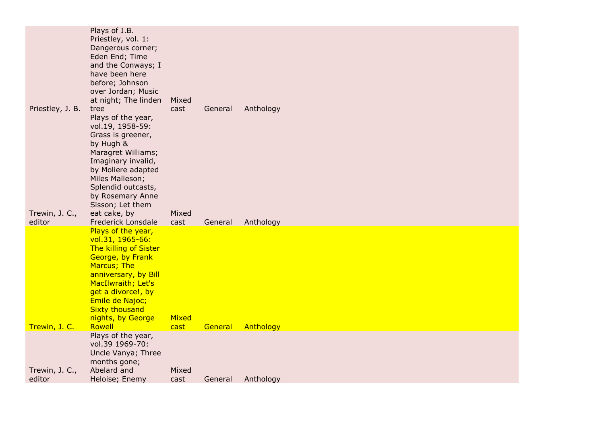| Priestley, J. B.         | Plays of J.B.<br>Priestley, vol. 1:<br>Dangerous corner;<br>Eden End; Time<br>and the Conways; I<br>have been here<br>before; Johnson<br>over Jordan; Music<br>at night; The linden<br>tree<br>Plays of the year,<br>vol.19, 1958-59:<br>Grass is greener,<br>by Hugh &<br>Maragret Williams;<br>Imaginary invalid,<br>by Moliere adapted | Mixed<br>cast | General | Anthology |
|--------------------------|-------------------------------------------------------------------------------------------------------------------------------------------------------------------------------------------------------------------------------------------------------------------------------------------------------------------------------------------|---------------|---------|-----------|
| Trewin, J. C.,<br>editor | Miles Malleson;<br>Splendid outcasts,<br>by Rosemary Anne<br>Sisson; Let them<br>eat cake, by<br>Frederick Lonsdale                                                                                                                                                                                                                       | Mixed<br>cast | General | Anthology |
| Trewin, J. C.            | Plays of the year,<br>vol.31, 1965-66:<br>The killing of Sister<br>George, by Frank<br>Marcus; The<br>anniversary, by Bill<br>MacIlwraith; Let's<br>get a divorce!, by<br>Emile de Najoc;<br><b>Sixty thousand</b><br>nights, by George<br>Rowell                                                                                         | Mixed<br>cast | General | Anthology |
|                          | Plays of the year,<br>vol.39 1969-70:                                                                                                                                                                                                                                                                                                     |               |         |           |
|                          | Uncle Vanya; Three<br>months gone;                                                                                                                                                                                                                                                                                                        |               |         |           |
| Trewin, J. C.,<br>editor | Abelard and<br>Heloise; Enemy                                                                                                                                                                                                                                                                                                             | Mixed<br>cast | General | Anthology |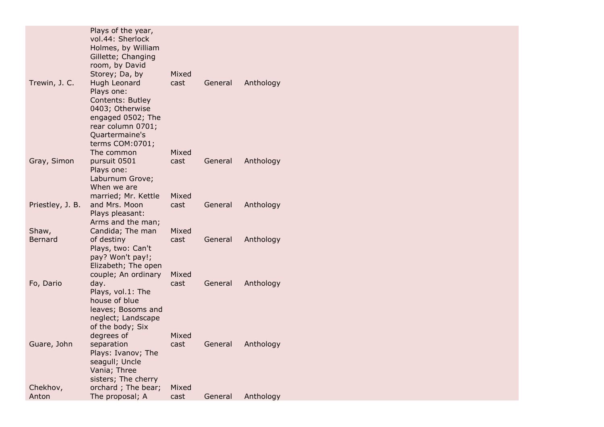|                   | Plays of the year,<br>vol.44: Sherlock<br>Holmes, by William<br>Gillette; Changing<br>room, by David<br>Storey; Da, by                           | Mixed                  |         |           |
|-------------------|--------------------------------------------------------------------------------------------------------------------------------------------------|------------------------|---------|-----------|
| Trewin, J. C.     | Hugh Leonard<br>Plays one:<br>Contents: Butley<br>0403; Otherwise<br>engaged 0502; The<br>rear column 0701;<br>Quartermaine's<br>terms COM:0701; | cast                   | General | Anthology |
| Gray, Simon       | The common<br>pursuit 0501<br>Plays one:<br>Laburnum Grove;<br>When we are                                                                       | Mixed<br>cast          | General | Anthology |
| Priestley, J. B.  | married; Mr. Kettle<br>and Mrs. Moon<br>Plays pleasant:<br>Arms and the man;                                                                     | Mixed<br>cast          | General | Anthology |
| Shaw,<br>Bernard  | Candida; The man<br>of destiny<br>Plays, two: Can't<br>pay? Won't pay!;<br>Elizabeth; The open<br>couple; An ordinary                            | Mixed<br>cast<br>Mixed | General | Anthology |
| Fo, Dario         | day.<br>Plays, vol.1: The<br>house of blue<br>leaves; Bosoms and<br>neglect; Landscape<br>of the body; Six                                       | cast                   | General | Anthology |
| Guare, John       | degrees of<br>separation<br>Plays: Ivanov; The<br>seagull; Uncle<br>Vania; Three<br>sisters; The cherry                                          | Mixed<br>cast          | General | Anthology |
| Chekhov,<br>Anton | orchard; The bear;<br>The proposal; A                                                                                                            | Mixed<br>cast          | General | Anthology |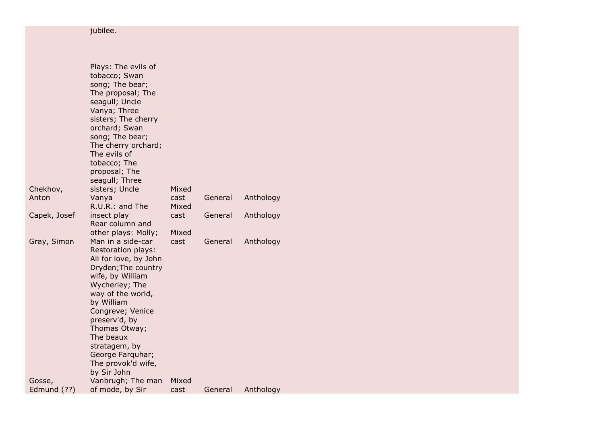## jubilee.

|              | Plays: The evils of<br>tobacco; Swan<br>song; The bear;<br>The proposal; The<br>seagull; Uncle<br>Vanya; Three<br>sisters; The cherry<br>orchard; Swan<br>song; The bear;<br>The cherry orchard;<br>The evils of<br>tobacco; The<br>proposal; The<br>seagull; Three                      |               |         |           |  |
|--------------|------------------------------------------------------------------------------------------------------------------------------------------------------------------------------------------------------------------------------------------------------------------------------------------|---------------|---------|-----------|--|
| Chekhov,     | sisters; Uncle                                                                                                                                                                                                                                                                           | Mixed         |         |           |  |
| Anton        | Vanya                                                                                                                                                                                                                                                                                    | cast          | General | Anthology |  |
|              | R.U.R.: and The                                                                                                                                                                                                                                                                          | Mixed<br>cast | General |           |  |
| Capek, Josef | insect play<br>Rear column and                                                                                                                                                                                                                                                           |               |         | Anthology |  |
|              | other plays: Molly;                                                                                                                                                                                                                                                                      | Mixed         |         |           |  |
| Gray, Simon  | Man in a side-car                                                                                                                                                                                                                                                                        | cast          | General | Anthology |  |
|              | Restoration plays:<br>All for love, by John<br>Dryden; The country<br>wife, by William<br>Wycherley; The<br>way of the world,<br>by William<br>Congreve; Venice<br>preserv'd, by<br>Thomas Otway;<br>The beaux<br>stratagem, by<br>George Farquhar;<br>The provok'd wife,<br>by Sir John |               |         |           |  |
| Gosse,       | Vanbrugh; The man                                                                                                                                                                                                                                                                        | Mixed         |         |           |  |
| Edmund (??)  | of mode, by Sir                                                                                                                                                                                                                                                                          | cast          | General | Anthology |  |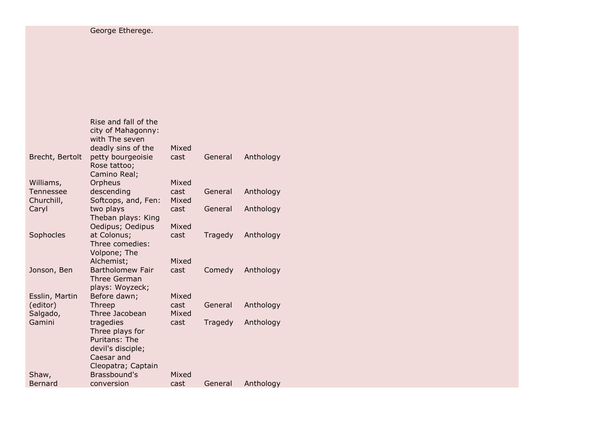|                 | Rise and fall of the<br>city of Mahagonny:<br>with The seven |       |         |           |
|-----------------|--------------------------------------------------------------|-------|---------|-----------|
|                 | deadly sins of the                                           | Mixed |         |           |
| Brecht, Bertolt | petty bourgeoisie<br>Rose tattoo;                            | cast  | General | Anthology |
|                 | Camino Real;                                                 |       |         |           |
| Williams,       | Orpheus                                                      | Mixed |         |           |
| Tennessee       | descending                                                   | cast  | General | Anthology |
| Churchill,      | Softcops, and, Fen:                                          | Mixed |         |           |
| Caryl           | two plays                                                    | cast  | General | Anthology |
|                 | Theban plays: King                                           | Mixed |         |           |
| Sophocles       | Oedipus; Oedipus<br>at Colonus;                              | cast  | Tragedy | Anthology |
|                 | Three comedies:                                              |       |         |           |
|                 | Volpone; The                                                 |       |         |           |
|                 | Alchemist;                                                   | Mixed |         |           |
| Jonson, Ben     | <b>Bartholomew Fair</b>                                      | cast  | Comedy  | Anthology |
|                 | <b>Three German</b>                                          |       |         |           |
|                 | plays: Woyzeck;                                              |       |         |           |
| Esslin, Martin  | Before dawn;                                                 | Mixed |         |           |
| (editor)        | Threep                                                       | cast  | General | Anthology |
| Salgado,        | Three Jacobean                                               | Mixed |         |           |
| Gamini          | tragedies                                                    | cast  | Tragedy | Anthology |
|                 | Three plays for                                              |       |         |           |
|                 | Puritans: The                                                |       |         |           |
|                 | devil's disciple;                                            |       |         |           |
|                 | Caesar and                                                   |       |         |           |
|                 | Cleopatra; Captain                                           |       |         |           |
| Shaw,           | Brassbound's                                                 | Mixed |         |           |
| Bernard         | conversion                                                   | cast  | General | Anthology |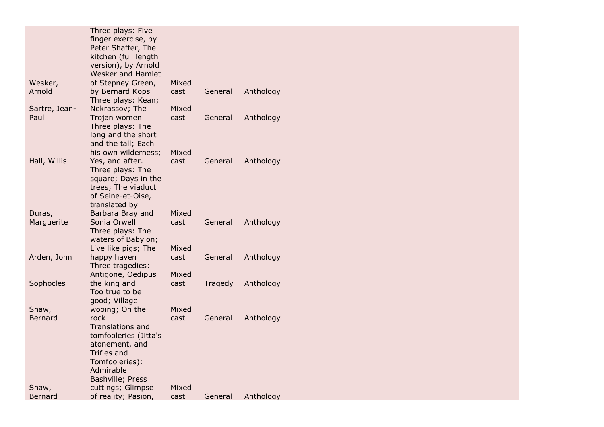|                         | Three plays: Five<br>finger exercise, by<br>Peter Shaffer, The<br>kitchen (full length                                                                         |               |         |           |
|-------------------------|----------------------------------------------------------------------------------------------------------------------------------------------------------------|---------------|---------|-----------|
|                         | version), by Arnold<br>Wesker and Hamlet                                                                                                                       |               |         |           |
| Wesker,<br>Arnold       | of Stepney Green,<br>by Bernard Kops<br>Three plays: Kean;                                                                                                     | Mixed<br>cast | General | Anthology |
| Sartre, Jean-           | Nekrassov; The                                                                                                                                                 | Mixed         |         |           |
| Paul                    | Trojan women<br>Three plays: The<br>long and the short<br>and the tall; Each<br>his own wilderness;                                                            | cast<br>Mixed | General | Anthology |
| Hall, Willis<br>Duras,  | Yes, and after.<br>Three plays: The<br>square; Days in the<br>trees; The viaduct<br>of Seine-et-Oise,<br>translated by<br>Barbara Bray and                     | cast<br>Mixed | General | Anthology |
| Marguerite              | Sonia Orwell<br>Three plays: The<br>waters of Babylon;<br>Live like pigs; The                                                                                  | cast<br>Mixed | General | Anthology |
| Arden, John             | happy haven<br>Three tragedies:<br>Antigone, Oedipus                                                                                                           | cast<br>Mixed | General | Anthology |
| Sophocles               | the king and<br>Too true to be<br>good; Village                                                                                                                | cast          | Tragedy | Anthology |
| Shaw,<br><b>Bernard</b> | wooing; On the<br>rock<br><b>Translations and</b><br>tomfooleries (Jitta's<br>atonement, and<br>Trifles and<br>Tomfooleries):<br>Admirable<br>Bashville; Press | Mixed<br>cast | General | Anthology |
| Shaw,<br><b>Bernard</b> | cuttings; Glimpse<br>of reality; Pasion,                                                                                                                       | Mixed<br>cast | General | Anthology |